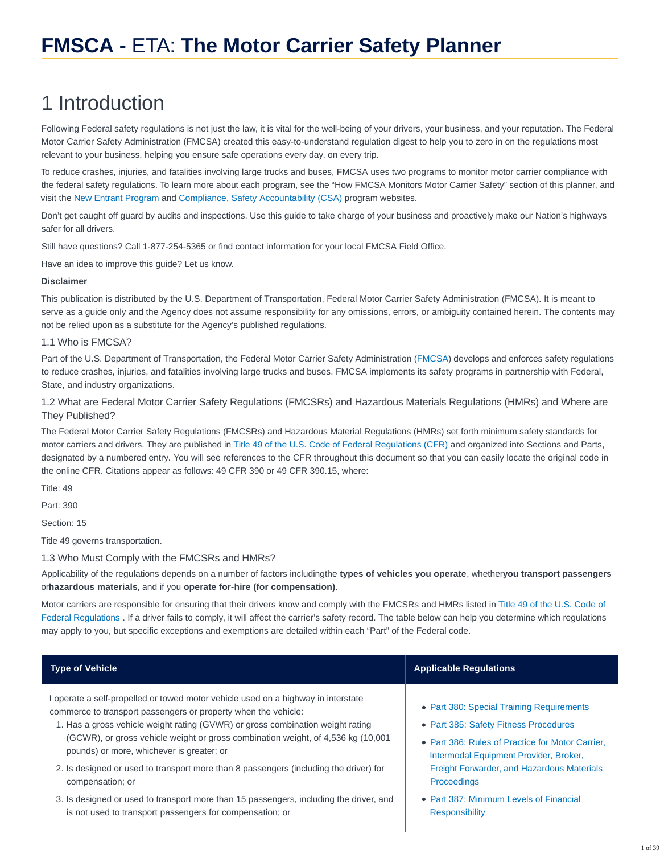# 1 Introduction

Following Federal safety regulations is not just the law, it is vital for the well-being of your drivers, your business, and your reputation. The Federal Motor Carrier Safety Administration (FMCSA) created this easy-to-understand regulation digest to help you to zero in on the regulations most relevant to your business, helping you ensure safe operations every day, on every trip.

To reduce crashes, injuries, and fatalities involving large trucks and buses, FMCSA uses two programs to monitor motor carrier compliance with the federal safety regulations. To learn more about each program, see the "How FMCSA Monitors Motor Carrier Safety" section of this planner, and visit the [New Entrant Program](http://ai.fmcsa.dot.gov/newentrant) and [Compliance, Safety Accountability \(CSA\)](https://csa.fmcsa.dot.gov/) program websites.

Don't get caught off guard by audits and inspections. Use this guide to take charge of your business and proactively make our Nation's highways safer for all drivers.

Still have questions? Call 1-877-254-5365 or find contact information for your local FMCSA Field Office.

Have an idea to improve this guide? Let us know.

#### **Disclaimer**

This publication is distributed by the U.S. Department of Transportation, Federal Motor Carrier Safety Administration (FMCSA). It is meant to serve as a guide only and the Agency does not assume responsibility for any omissions, errors, or ambiguity contained herein. The contents may not be relied upon as a substitute for the Agency's published regulations.

# 1.1 Who is FMCSA?

Part of the U.S. Department of Transportation, the Federal Motor Carrier Safety Administration [\(FMCSA\)](https://www.fmcsa.dot.gov/) develops and enforces safety regulations to reduce crashes, injuries, and fatalities involving large trucks and buses. FMCSA implements its safety programs in partnership with Federal, State, and industry organizations.

1.2 What are Federal Motor Carrier Safety Regulations (FMCSRs) and Hazardous Materials Regulations (HMRs) and Where are They Published?

The Federal Motor Carrier Safety Regulations (FMCSRs) and Hazardous Material Regulations (HMRs) set forth minimum safety standards for motor carriers and drivers. They are published in [Title 49 of the U.S. Code of Federal Regulations \(CFR\)](http://www.ecfr.gov/cgi-bin/text-idx?tpl=/ecfrbrowse/Title49/49tab_02.tpl) and organized into Sections and Parts, designated by a numbered entry. You will see references to the CFR throughout this document so that you can easily locate the original code in the online CFR. Citations appear as follows: 49 CFR 390 or 49 CFR 390.15, where:

Title: 49

Part: 390

Section: 15

Title 49 governs transportation.

1.3 Who Must Comply with the FMCSRs and HMRs?

Applicability of the regulations depends on a number of factors includingthe **types of vehicles you operate**, whether**you transport passengers** or**hazardous materials**, and if you **operate for-hire (for compensation)**.

Motor carriers are responsible for ensuring that their drivers know and comply with the FMCSRs and HMRs listed in [Title 49 of the U.S. Code of](http://www.ecfr.gov/cgi-bin/text-idx?tpl=/ecfrbrowse/Title49/49tab_02.tpl) Federal Regulations . If a driver fails to comply, it will affect the carrier's safety record. The table below can help you determine which regulations may apply to you, but specific exceptions and exemptions are detailed within each "Part" of the Federal code.

| <b>Type of Vehicle</b>                                                                                                                                                                                                                                                                                                                                                                                                                                                               | <b>Applicable Regulations</b>                                                                                                                                                                                                                        |
|--------------------------------------------------------------------------------------------------------------------------------------------------------------------------------------------------------------------------------------------------------------------------------------------------------------------------------------------------------------------------------------------------------------------------------------------------------------------------------------|------------------------------------------------------------------------------------------------------------------------------------------------------------------------------------------------------------------------------------------------------|
| I operate a self-propelled or towed motor vehicle used on a highway in interstate<br>commerce to transport passengers or property when the vehicle:<br>1. Has a gross vehicle weight rating (GVWR) or gross combination weight rating<br>(GCWR), or gross vehicle weight or gross combination weight, of 4,536 kg (10,001)<br>pounds) or more, whichever is greater; or<br>2. Is designed or used to transport more than 8 passengers (including the driver) for<br>compensation; or | • Part 380: Special Training Requirements<br>• Part 385: Safety Fitness Procedures<br>• Part 386: Rules of Practice for Motor Carrier.<br>Intermodal Equipment Provider, Broker,<br>Freight Forwarder, and Hazardous Materials<br><b>Proceedings</b> |
| 3. Is designed or used to transport more than 15 passengers, including the driver, and<br>is not used to transport passengers for compensation; or                                                                                                                                                                                                                                                                                                                                   | • Part 387: Minimum Levels of Financial<br><b>Responsibility</b>                                                                                                                                                                                     |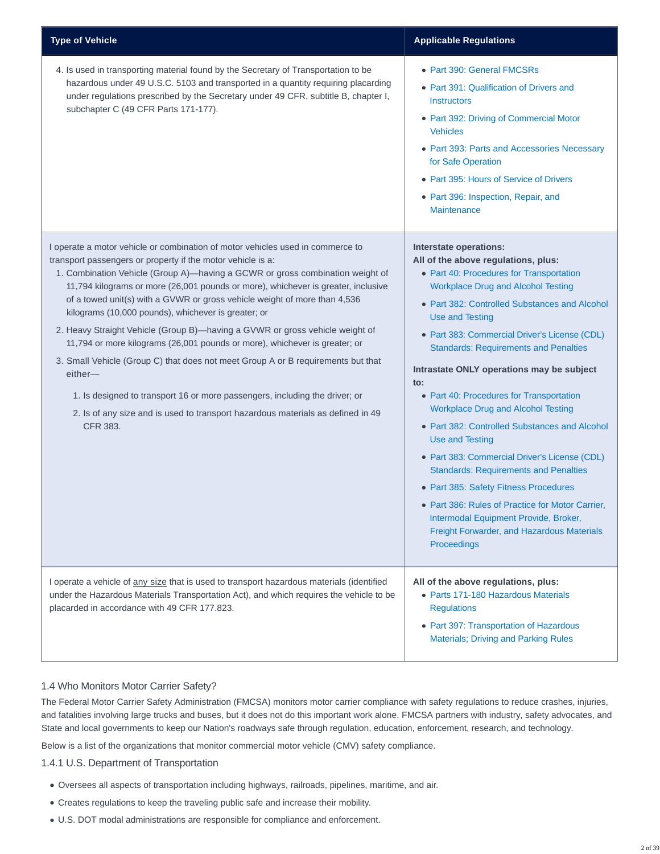| <b>Type of Vehicle</b>                                                                                                                                                                                                                                                                                                                                                                                                                                                                                                                                                                                                                                                                                                                                                                                                                                                                                    | <b>Applicable Regulations</b>                                                                                                                                                                                                                                                                                                                                                                                                                                                                                                                                                                                                                                                                                                                                                                                                                                       |
|-----------------------------------------------------------------------------------------------------------------------------------------------------------------------------------------------------------------------------------------------------------------------------------------------------------------------------------------------------------------------------------------------------------------------------------------------------------------------------------------------------------------------------------------------------------------------------------------------------------------------------------------------------------------------------------------------------------------------------------------------------------------------------------------------------------------------------------------------------------------------------------------------------------|---------------------------------------------------------------------------------------------------------------------------------------------------------------------------------------------------------------------------------------------------------------------------------------------------------------------------------------------------------------------------------------------------------------------------------------------------------------------------------------------------------------------------------------------------------------------------------------------------------------------------------------------------------------------------------------------------------------------------------------------------------------------------------------------------------------------------------------------------------------------|
| 4. Is used in transporting material found by the Secretary of Transportation to be<br>hazardous under 49 U.S.C. 5103 and transported in a quantity requiring placarding<br>under regulations prescribed by the Secretary under 49 CFR, subtitle B, chapter I,<br>subchapter C (49 CFR Parts 171-177).                                                                                                                                                                                                                                                                                                                                                                                                                                                                                                                                                                                                     | • Part 390: General FMCSRs<br>• Part 391: Qualification of Drivers and<br><b>Instructors</b><br>• Part 392: Driving of Commercial Motor<br><b>Vehicles</b><br>• Part 393: Parts and Accessories Necessary<br>for Safe Operation<br>• Part 395: Hours of Service of Drivers<br>• Part 396: Inspection, Repair, and<br><b>Maintenance</b>                                                                                                                                                                                                                                                                                                                                                                                                                                                                                                                             |
| I operate a motor vehicle or combination of motor vehicles used in commerce to<br>transport passengers or property if the motor vehicle is a:<br>1. Combination Vehicle (Group A)-having a GCWR or gross combination weight of<br>11,794 kilograms or more (26,001 pounds or more), whichever is greater, inclusive<br>of a towed unit(s) with a GVWR or gross vehicle weight of more than 4,536<br>kilograms (10,000 pounds), whichever is greater; or<br>2. Heavy Straight Vehicle (Group B)-having a GVWR or gross vehicle weight of<br>11,794 or more kilograms (26,001 pounds or more), whichever is greater; or<br>3. Small Vehicle (Group C) that does not meet Group A or B requirements but that<br>either-<br>1. Is designed to transport 16 or more passengers, including the driver; or<br>2. Is of any size and is used to transport hazardous materials as defined in 49<br><b>CFR 383.</b> | Interstate operations:<br>All of the above regulations, plus:<br>• Part 40: Procedures for Transportation<br><b>Workplace Drug and Alcohol Testing</b><br>• Part 382: Controlled Substances and Alcohol<br>Use and Testing<br>· Part 383: Commercial Driver's License (CDL)<br><b>Standards: Requirements and Penalties</b><br>Intrastate ONLY operations may be subject<br>$\mathsf{to}$ :<br>• Part 40: Procedures for Transportation<br><b>Workplace Drug and Alcohol Testing</b><br>• Part 382: Controlled Substances and Alcohol<br><b>Use and Testing</b><br>• Part 383: Commercial Driver's License (CDL)<br><b>Standards: Requirements and Penalties</b><br>• Part 385: Safety Fitness Procedures<br>• Part 386: Rules of Practice for Motor Carrier,<br>Intermodal Equipment Provide, Broker,<br>Freight Forwarder, and Hazardous Materials<br>Proceedings |
| I operate a vehicle of any size that is used to transport hazardous materials (identified<br>under the Hazardous Materials Transportation Act), and which requires the vehicle to be<br>placarded in accordance with 49 CFR 177.823.                                                                                                                                                                                                                                                                                                                                                                                                                                                                                                                                                                                                                                                                      | All of the above regulations, plus:<br>• Parts 171-180 Hazardous Materials<br><b>Requlations</b><br>• Part 397: Transportation of Hazardous<br><b>Materials; Driving and Parking Rules</b>                                                                                                                                                                                                                                                                                                                                                                                                                                                                                                                                                                                                                                                                          |

# 1.4 Who Monitors Motor Carrier Safety?

The Federal Motor Carrier Safety Administration (FMCSA) monitors motor carrier compliance with safety regulations to reduce crashes, injuries, and fatalities involving large trucks and buses, but it does not do this important work alone. FMCSA partners with industry, safety advocates, and State and local governments to keep our Nation's roadways safe through regulation, education, enforcement, research, and technology.

Below is a list of the organizations that monitor commercial motor vehicle (CMV) safety compliance.

#### 1.4.1 U.S. Department of Transportation

- Oversees all aspects of transportation including highways, railroads, pipelines, maritime, and air.
- Creates regulations to keep the traveling public safe and increase their mobility.
- U.S. DOT modal administrations are responsible for compliance and enforcement.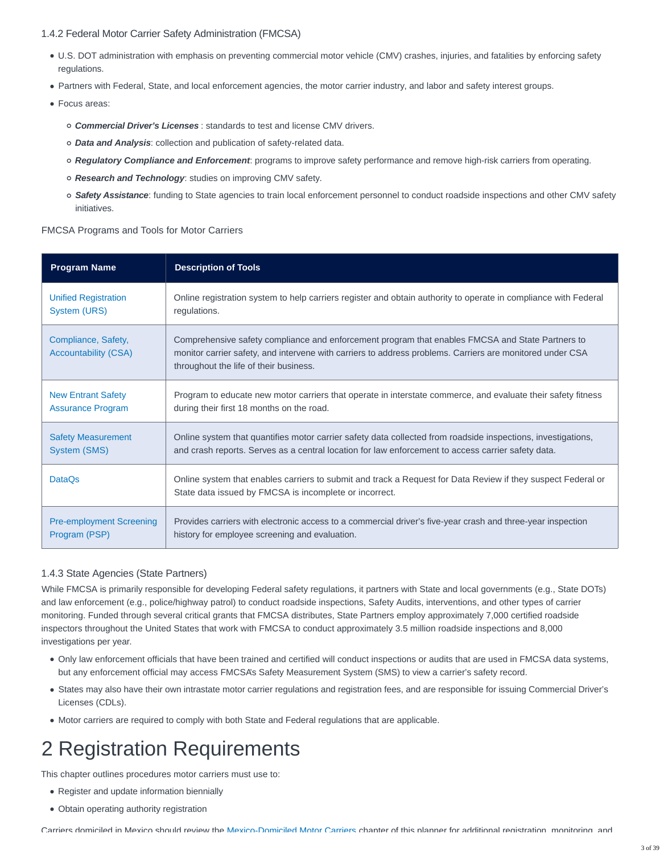## 1.4.2 Federal Motor Carrier Safety Administration (FMCSA)

- U.S. DOT administration with emphasis on preventing commercial motor vehicle (CMV) crashes, injuries, and fatalities by enforcing safety regulations.
- Partners with Federal, State, and local enforcement agencies, the motor carrier industry, and labor and safety interest groups.
- Focus areas:
	- **Commercial Driver's Licenses** : standards to test and license CMV drivers.
	- **Data and Analysis**: collection and publication of safety-related data.
	- **Regulatory Compliance and Enforcement**: programs to improve safety performance and remove high-risk carriers from operating.
	- **Research and Technology**: studies on improving CMV safety.
	- **Safety Assistance**: funding to State agencies to train local enforcement personnel to conduct roadside inspections and other CMV safety initiatives.

### FMCSA Programs and Tools for Motor Carriers

| <b>Program Name</b>                                | <b>Description of Tools</b>                                                                                                                                                                                                                             |
|----------------------------------------------------|---------------------------------------------------------------------------------------------------------------------------------------------------------------------------------------------------------------------------------------------------------|
| <b>Unified Registration</b>                        | Online registration system to help carriers register and obtain authority to operate in compliance with Federal                                                                                                                                         |
| System (URS)                                       | regulations.                                                                                                                                                                                                                                            |
| Compliance, Safety,<br><b>Accountability (CSA)</b> | Comprehensive safety compliance and enforcement program that enables FMCSA and State Partners to<br>monitor carrier safety, and intervene with carriers to address problems. Carriers are monitored under CSA<br>throughout the life of their business. |
| <b>New Entrant Safety</b>                          | Program to educate new motor carriers that operate in interstate commerce, and evaluate their safety fitness                                                                                                                                            |
| <b>Assurance Program</b>                           | during their first 18 months on the road.                                                                                                                                                                                                               |
| <b>Safety Measurement</b>                          | Online system that quantifies motor carrier safety data collected from roadside inspections, investigations,                                                                                                                                            |
| System (SMS)                                       | and crash reports. Serves as a central location for law enforcement to access carrier safety data.                                                                                                                                                      |
| <b>DataOs</b>                                      | Online system that enables carriers to submit and track a Request for Data Review if they suspect Federal or<br>State data issued by FMCSA is incomplete or incorrect.                                                                                  |
| <b>Pre-employment Screening</b>                    | Provides carriers with electronic access to a commercial driver's five-year crash and three-year inspection                                                                                                                                             |
| Program (PSP)                                      | history for employee screening and evaluation.                                                                                                                                                                                                          |

# 1.4.3 State Agencies (State Partners)

While FMCSA is primarily responsible for developing Federal safety regulations, it partners with State and local governments (e.g., State DOTs) and law enforcement (e.g., police/highway patrol) to conduct roadside inspections, Safety Audits, interventions, and other types of carrier monitoring. Funded through several critical grants that FMCSA distributes, State Partners employ approximately 7,000 certified roadside inspectors throughout the United States that work with FMCSA to conduct approximately 3.5 million roadside inspections and 8,000 investigations per year.

- Only law enforcement officials that have been trained and certified will conduct inspections or audits that are used in FMCSA data systems, but any enforcement official may access FMCSA's Safety Measurement System (SMS) to view a carrier's safety record.
- States may also have their own intrastate motor carrier regulations and registration fees, and are responsible for issuing Commercial Driver's Licenses (CDLs).
- Motor carriers are required to comply with both State and Federal regulations that are applicable.

# 2 Registration Requirements

This chapter outlines procedures motor carriers must use to:

- Register and update information biennially
- Obtain operating authority registration

Carriers domiciled in Mexico should review the [Mexico-Domiciled Motor Carriers](https://csa.fmcsa.dot.gov/safetyplanner/myfiles/Chapters.aspx?ch=26) chapter of this planner for additional registration, monitoring, and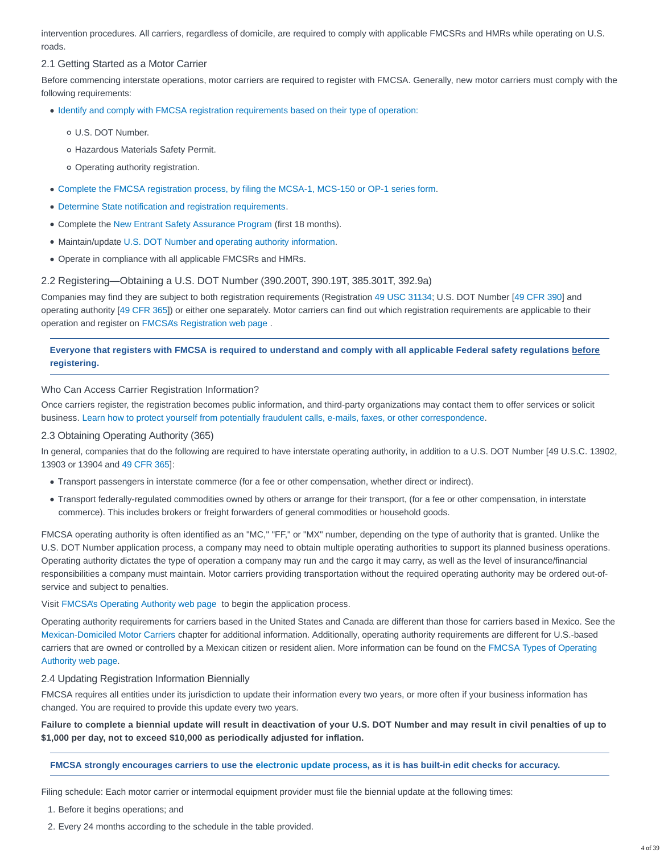intervention procedures. All carriers, regardless of domicile, are required to comply with applicable FMCSRs and HMRs while operating on U.S. roads.

# 2.1 Getting Started as a Motor Carrier

Before commencing interstate operations, motor carriers are required to register with FMCSA. Generally, new motor carriers must comply with the following requirements:

- [Identify and comply with FMCSA registration requirements based on their type of operation:](https://www.fmcsa.dot.gov/registration/getting-started)
	- U.S. DOT Number.
	- Hazardous Materials Safety Permit.
	- Operating authority registration.
- [Complete the FMCSA registration process, by filing the MCSA-1, MCS-150 or OP-1 series form.](https://www.fmcsa.dot.gov/registration)
- [Determine State notification and registration requirements.](https://www.usa.gov/state-tribal-governments)
- Complete the [New Entrant Safety Assurance Program](https://ai.fmcsa.dot.gov/NewEntrant/home.aspx) (first 18 months).
- Maintain/update [U.S. DOT Number and operating authority information.](https://www.fmcsa.dot.gov/registration/updating-your-registration)
- Operate in compliance with all applicable FMCSRs and HMRs.

# 2.2 Registering—Obtaining a U.S. DOT Number (390.200T, 390.19T, 385.301T, 392.9a)

Companies may find they are subject to both registration requirements (Registration [49 USC 31134;](https://www.gpo.gov/fdsys/pkg/USCODE-2014-title49/html/USCODE-2014-title49-subtitleVI-partB-chap311-subchapIII.htm) U.S. DOT Number [\[49 CFR 390\]](https://www.ecfr.gov/cgi-bin/text-idx?SID=d5b09f33dbdb24a3d6debb84a8cf8fa3&mc=true&node=pt49.5.390&rgn=div5) and operating authority [\[49 CFR 365\]](http://www.ecfr.gov/cgi-bin/text-idx?SID=5a6b0c396c78372b14fbad16af1dfb9b&mc=true&node=pt49.5.365&rgn=div5)) or either one separately. Motor carriers can find out which registration requirements are applicable to their operation and register on [FMCSA's Registration web page](https://www.fmcsa.dot.gov/registration) .

# **Everyone that registers with FMCSA is required to understand and comply with all applicable Federal safety regulations before registering.**

Who Can Access Carrier Registration Information?

Once carriers register, the registration becomes public information, and third-party organizations may contact them to offer services or solicit business. [Learn how to protect yourself from potentially fraudulent calls, e-mails, faxes, or other correspondence.](https://www.fmcsa.dot.gov/registration/fraudulent-and-misleading-marketing-new-fmcsa-applicants)

# 2.3 Obtaining Operating Authority (365)

In general, companies that do the following are required to have interstate operating authority, in addition to a U.S. DOT Number [49 U.S.C. 13902, 13903 or 13904 and [49 CFR 365\]](http://www.ecfr.gov/cgi-bin/text-idx?SID=5a6b0c396c78372b14fbad16af1dfb9b&mc=true&node=pt49.5.365&rgn=div5):

- Transport passengers in interstate commerce (for a fee or other compensation, whether direct or indirect).
- Transport federally-regulated commodities owned by others or arrange for their transport, (for a fee or other compensation, in interstate commerce). This includes brokers or freight forwarders of general commodities or household goods.

FMCSA operating authority is often identified as an "MC," "FF," or "MX" number, depending on the type of authority that is granted. Unlike the U.S. DOT Number application process, a company may need to obtain multiple operating authorities to support its planned business operations. Operating authority dictates the type of operation a company may run and the cargo it may carry, as well as the level of insurance/financial responsibilities a company must maintain. Motor carriers providing transportation without the required operating authority may be ordered out-ofservice and subject to penalties.

# Visit [FMCSA's Operating Authority web page](https://www.fmcsa.dot.gov/registration/get-mc-number-authority-operate) to begin the application process.

Operating authority requirements for carriers based in the United States and Canada are different than those for carriers based in Mexico. See the [Mexican-Domiciled Motor Carriers](https://csa.fmcsa.dot.gov/safetyplanner/myfiles/Chapters.aspx?ch=26) chapter for additional information. Additionally, operating authority requirements are different for U.S.-based carriers that are owned or controlled by a Mexican citizen or resident alien. More information can be found on the [FMCSA Types of Operating](https://www.fmcsa.dot.gov/registration/types-operating-authority) Authority web page.

# 2.4 Updating Registration Information Biennially

FMCSA requires all entities under its jurisdiction to update their information every two years, or more often if your business information has changed. You are required to provide this update every two years.

**Failure to complete a biennial update will result in deactivation of your U.S. DOT Number and may result in civil penalties of up to \$1,000 per day, not to exceed \$10,000 as periodically adjusted for inflation.**

# **FMCSA strongly encourages carriers to use the [electronic update process,](http://li-public.fmcsa.dot.gov/LIVIEW/PKG_REGISTRATION.prc_option) as it is has built-in edit checks for accuracy.**

Filing schedule: Each motor carrier or intermodal equipment provider must file the biennial update at the following times:

1. Before it begins operations; and

2. Every 24 months according to the schedule in the table provided.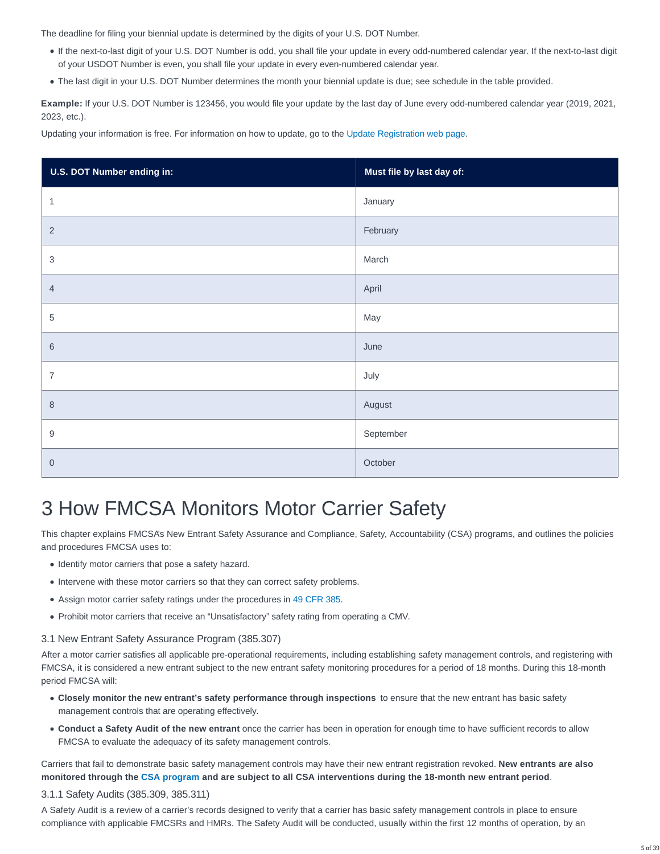The deadline for filing your biennial update is determined by the digits of your U.S. DOT Number.

- If the next-to-last digit of your U.S. DOT Number is odd, you shall file your update in every odd-numbered calendar year. If the next-to-last digit of your USDOT Number is even, you shall file your update in every even-numbered calendar year.
- The last digit in your U.S. DOT Number determines the month your biennial update is due; see schedule in the table provided.

**Example:** If your U.S. DOT Number is 123456, you would file your update by the last day of June every odd-numbered calendar year (2019, 2021, 2023, etc.).

Updating your information is free. For information on how to update, go to the [Update Registration web page.](https://www.fmcsa.dot.gov/registration/updating-your-registration)

| U.S. DOT Number ending in: | Must file by last day of: |
|----------------------------|---------------------------|
| $\mathbf{1}$               | January                   |
| $\overline{2}$             | February                  |
| $\sqrt{3}$                 | March                     |
| $\overline{4}$             | April                     |
| $\,$ 5 $\,$                | May                       |
| $\,6$                      | June                      |
| $\overline{7}$             | July                      |
| $\,8\,$                    | August                    |
| $\boldsymbol{9}$           | September                 |
| $\boldsymbol{0}$           | October                   |

# 3 How FMCSA Monitors Motor Carrier Safety

This chapter explains FMCSA's New Entrant Safety Assurance and Compliance, Safety, Accountability (CSA) programs, and outlines the policies and procedures FMCSA uses to:

- Identify motor carriers that pose a safety hazard.
- Intervene with these motor carriers so that they can correct safety problems.
- Assign motor carrier safety ratings under the procedures in [49 CFR 385.](https://www.ecfr.gov/cgi-bin/text-idx?SID=820a93ecfa00b2afec0fce3434e16893&mc=true&node=pt49.5.385&rgn=div5)
- Prohibit motor carriers that receive an "Unsatisfactory" safety rating from operating a CMV.

# 3.1 New Entrant Safety Assurance Program (385.307)

After a motor carrier satisfies all applicable pre-operational requirements, including establishing safety management controls, and registering with FMCSA, it is considered a new entrant subject to the new entrant safety monitoring procedures for a period of 18 months. During this 18-month period FMCSA will:

- **Closely monitor the new entrant's safety performance through inspections** to ensure that the new entrant has basic safety management controls that are operating effectively.
- **Conduct a Safety Audit of the new entrant** once the carrier has been in operation for enough time to have sufficient records to allow FMCSA to evaluate the adequacy of its safety management controls.

Carriers that fail to demonstrate basic safety management controls may have their new entrant registration revoked. **New entrants are also monitored through the [CSA program](https://csa.fmcsa.dot.gov/safetyplanner/myfiles/Sections.aspx?ch=20&sec=54) and are subject to all CSA interventions during the 18-month new entrant period**.

# 3.1.1 Safety Audits (385.309, 385.311)

A Safety Audit is a review of a carrier's records designed to verify that a carrier has basic safety management controls in place to ensure compliance with applicable FMCSRs and HMRs. The Safety Audit will be conducted, usually within the first 12 months of operation, by an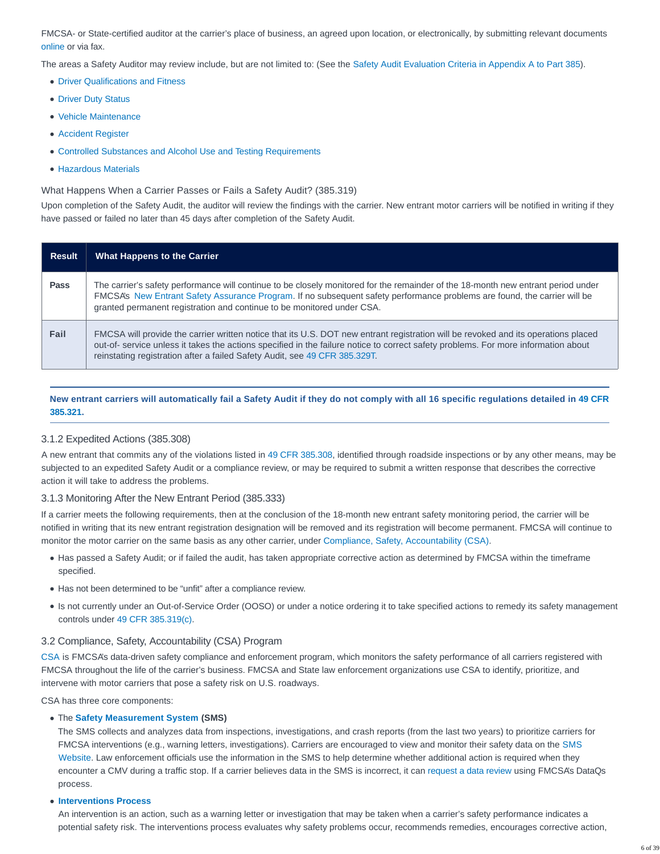FMCSA- or State-certified auditor at the carrier's place of business, an agreed upon location, or electronically, by submitting relevant documents [online](https://ai.fmcsa.dot.gov/NewEntrant/home.aspx) or via fax.

The areas a Safety Auditor may review include, but are not limited to: (See the [Safety Audit Evaluation Criteria in Appendix A to Part 385\)](https://www.ecfr.gov/cgi-bin/text-idx?SID=24b643f42f02bb99052b5b75ac22fee2&mc=true&node=ap49.5.385_11019.a&rgn=div9).

- [Driver Qualifications and Fitness](https://csa.fmcsa.dot.gov/safetyplanner/myfiles/SubSections.aspx?ch=23&sec=66&sub=152)
- [Driver Duty Status](https://csa.fmcsa.dot.gov/safetyplanner/myfiles/SubSections.aspx?ch=23&sec=69&sub=178)
- [Vehicle Maintenance](https://csa.fmcsa.dot.gov/safetyplanner/myfiles/Sections.aspx?ch=22&sec=65)
- [Accident Register](https://csa.fmcsa.dot.gov/safetyplanner/myfiles/SubSections.aspx?ch=21&sec=59&sub=112)
- [Controlled Substances and Alcohol Use and Testing Requirements](https://csa.fmcsa.dot.gov/safetyplanner/myfiles/Sections.aspx?ch=23&sec=70)
- [Hazardous Materials](https://csa.fmcsa.dot.gov/safetyplanner/myfiles/Chapters.aspx?ch=25)

What Happens When a Carrier Passes or Fails a Safety Audit? (385.319)

Upon completion of the Safety Audit, the auditor will review the findings with the carrier. New entrant motor carriers will be notified in writing if they have passed or failed no later than 45 days after completion of the Safety Audit.

| <b>Result</b> | <b>What Happens to the Carrier</b>                                                                                                                                                                                                                                                                                                                    |
|---------------|-------------------------------------------------------------------------------------------------------------------------------------------------------------------------------------------------------------------------------------------------------------------------------------------------------------------------------------------------------|
| Pass          | The carrier's safety performance will continue to be closely monitored for the remainder of the 18-month new entrant period under<br>FMCSA's New Entrant Safety Assurance Program. If no subsequent safety performance problems are found, the carrier will be<br>granted permanent registration and continue to be monitored under CSA.              |
| Fail          | FMCSA will provide the carrier written notice that its U.S. DOT new entrant registration will be revoked and its operations placed<br>out-of-service unless it takes the actions specified in the failure notice to correct safety problems. For more information about<br>reinstating registration after a failed Safety Audit, see 49 CFR 385.329T. |

# **New entrant carriers will automatically fail a Safety Audit if they do not comply with all 16 specific regulations detailed in [49 CFR](https://www.ecfr.gov/cgi-bin/text-idx?SID=ff6de4c1951028b844773344a009e579&mc=true&node=se49.5.385_1321&rgn=div8) 385.321.**

# 3.1.2 Expedited Actions (385.308)

A new entrant that commits any of the violations listed in [49 CFR 385.308,](https://www.ecfr.gov/cgi-bin/text-idx?SID=ff6de4c1951028b844773344a009e579&mc=true&node=se49.5.385_1308&rgn=div8) identified through roadside inspections or by any other means, may be subjected to an expedited Safety Audit or a compliance review, or may be required to submit a written response that describes the corrective action it will take to address the problems.

# 3.1.3 Monitoring After the New Entrant Period (385.333)

If a carrier meets the following requirements, then at the conclusion of the 18-month new entrant safety monitoring period, the carrier will be notified in writing that its new entrant registration designation will be removed and its registration will become permanent. FMCSA will continue to monitor the motor carrier on the same basis as any other carrier, under [Compliance, Safety, Accountability \(CSA\).](https://csa.fmcsa.dot.gov/safetyplanner/myfiles/Sections.aspx?ch=20&sec=54)

- Has passed a Safety Audit; or if failed the audit, has taken appropriate corrective action as determined by FMCSA within the timeframe specified.
- Has not been determined to be "unfit" after a compliance review.
- Is not currently under an Out-of-Service Order (OOSO) or under a notice ordering it to take specified actions to remedy its safety management controls under [49 CFR 385.319\(c\).](https://www.ecfr.gov/cgi-bin/text-idx?SID=dfbba1f89d68ec4d0471db760c2a9b78&mc=true&node=se49.5.385_1319&rgn=div8)

# 3.2 Compliance, Safety, Accountability (CSA) Program

[CSA](https://csa.fmcsa.dot.gov/) is FMCSA's data-driven safety compliance and enforcement program, which monitors the safety performance of all carriers registered with FMCSA throughout the life of the carrier's business. FMCSA and State law enforcement organizations use CSA to identify, prioritize, and intervene with motor carriers that pose a safety risk on U.S. roadways.

CSA has three core components:

#### The **[Safety Measurement System](https://csa.fmcsa.dot.gov/About/Measure) (SMS)**

The SMS collects and analyzes data from inspections, investigations, and crash reports (from the last two years) to prioritize carriers for FMCSA interventions (e.g., warning letters, investigations). Carriers are encouraged to view and monitor their safety data on the [SMS](https://ai.fmcsa.dot.gov/sms) Website. Law enforcement officials use the information in the SMS to help determine whether additional action is required when they encounter a CMV during a traffic stop. If a carrier believes data in the SMS is incorrect, it can [request a data review](https://dataqs.fmcsa.dot.gov/Default.aspx?enc=4orUr4VSakAlYsjxOmHrCeQ158IknHedB20QvqZJtcw=) using FMCSA's DataQs process.

#### **[Interventions Process](https://csa.fmcsa.dot.gov/About/Intervene)**

An intervention is an action, such as a warning letter or investigation that may be taken when a carrier's safety performance indicates a potential safety risk. The interventions process evaluates why safety problems occur, recommends remedies, encourages corrective action,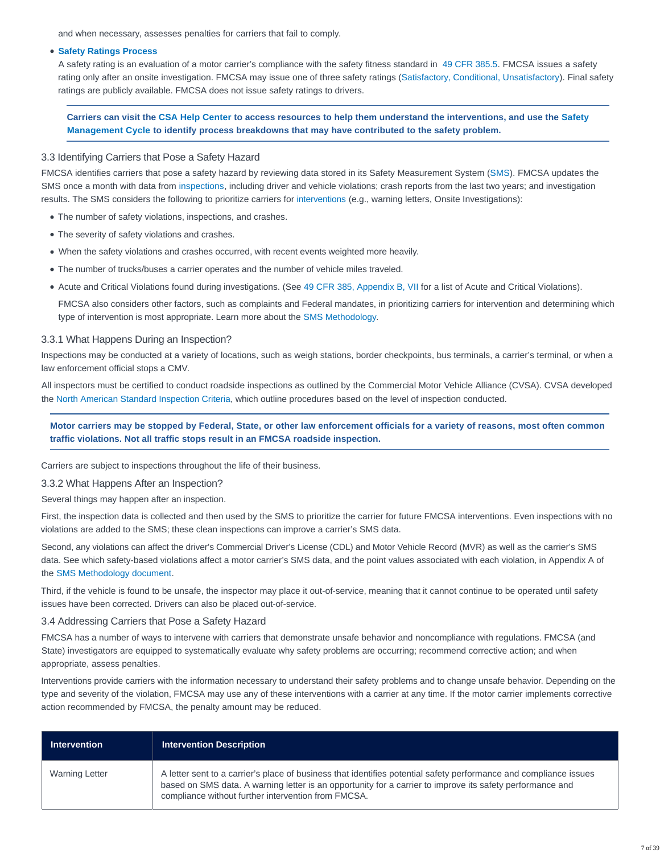and when necessary, assesses penalties for carriers that fail to comply.

#### **[Safety Ratings Process](https://csa.fmcsa.dot.gov/safetyplanner/myfiles/Sections.aspx?ch=20&sec=58)**

A safety rating is an evaluation of a motor carrier's compliance with the safety fitness standard in [49 CFR 385.5.](https://www.ecfr.gov/cgi-bin/text-idx?SID=ff6de4c1951028b844773344a009e579&mc=true&node=se49.5.385_15&rgn=div8) FMCSA issues a safety rating only after an onsite investigation. FMCSA may issue one of three safety ratings [\(Satisfactory, Conditional, Unsatisfactory\)](https://csa.fmcsa.dot.gov/safetyplanner/myfiles/SubSections.aspx?ch=20&sec=58&sub=100). Final safety ratings are publicly available. FMCSA does not issue safety ratings to drivers.

# **Carriers can visit the [CSA Help Center](https://csa.fmcsa.dot.gov/HelpCenter/Index) to access resources to help them understand the interventions, and use the [Safety](https://csa.fmcsa.dot.gov/Documents/FMC_CSA_12_002_SMC_Overview.pdf) Management Cycle to identify process breakdowns that may have contributed to the safety problem.**

#### 3.3 Identifying Carriers that Pose a Safety Hazard

FMCSA identifies carriers that pose a safety hazard by reviewing data stored in its Safety Measurement System [\(SMS\)](https://ai.fmcsa.dot.gov/sms). FMCSA updates the SMS once a month with data from [inspections,](https://csa.fmcsa.dot.gov/safetyplanner/myfiles/SubSections.aspx?ch=20&sec=55&sub=98) including driver and vehicle violations; crash reports from the last two years; and investigation results. The SMS considers the following to prioritize carriers for [interventions](https://csa.fmcsa.dot.gov/About/Intervene) (e.g., warning letters, Onsite Investigations):

- The number of safety violations, inspections, and crashes.
- The severity of safety violations and crashes.
- When the safety violations and crashes occurred, with recent events weighted more heavily.
- The number of trucks/buses a carrier operates and the number of vehicle miles traveled.
- Acute and Critical Violations found during investigations. (See [49 CFR 385, Appendix B, VII](https://www.ecfr.gov/cgi-bin/text-idx?SID=51a3bec9ee3ac2856f0daf9dc68e5dde&mc=true&node=pt49.5.385&rgn=div5%20-%20ap49.5.385_11019.b#ap49.5.385_11019.b) for a list of Acute and Critical Violations).

FMCSA also considers other factors, such as complaints and Federal mandates, in prioritizing carriers for intervention and determining which type of intervention is most appropriate. Learn more about the [SMS Methodology.](https://csa.fmcsa.dot.gov/Documents/SMSMethodology.pdf)

#### 3.3.1 What Happens During an Inspection?

Inspections may be conducted at a variety of locations, such as weigh stations, border checkpoints, bus terminals, a carrier's terminal, or when a law enforcement official stops a CMV.

All inspectors must be certified to conduct roadside inspections as outlined by the Commercial Motor Vehicle Alliance (CVSA). CVSA developed the [North American Standard Inspection Criteria,](http://cvsa.org/inspections/inspections/) which outline procedures based on the level of inspection conducted.

# **Motor carriers may be stopped by Federal, State, or other law enforcement officials for a variety of reasons, most often common traffic violations. Not all traffic stops result in an FMCSA roadside inspection.**

Carriers are subject to inspections throughout the life of their business.

#### 3.3.2 What Happens After an Inspection?

Several things may happen after an inspection.

First, the inspection data is collected and then used by the SMS to prioritize the carrier for future FMCSA interventions. Even inspections with no violations are added to the SMS; these clean inspections can improve a carrier's SMS data.

Second, any violations can affect the driver's Commercial Driver's License (CDL) and Motor Vehicle Record (MVR) as well as the carrier's SMS data. See which safety-based violations affect a motor carrier's SMS data, and the point values associated with each violation, in Appendix A of the [SMS Methodology document.](https://csa.fmcsa.dot.gov/Documents/SMS_AppendixA_ViolationsList.xlsx)

Third, if the vehicle is found to be unsafe, the inspector may place it out-of-service, meaning that it cannot continue to be operated until safety issues have been corrected. Drivers can also be placed out-of-service.

#### 3.4 Addressing Carriers that Pose a Safety Hazard

FMCSA has a number of ways to intervene with carriers that demonstrate unsafe behavior and noncompliance with regulations. FMCSA (and State) investigators are equipped to systematically evaluate why safety problems are occurring; recommend corrective action; and when appropriate, assess penalties.

Interventions provide carriers with the information necessary to understand their safety problems and to change unsafe behavior. Depending on the type and severity of the violation, FMCSA may use any of these interventions with a carrier at any time. If the motor carrier implements corrective action recommended by FMCSA, the penalty amount may be reduced.

| <b>Intervention</b>   | <b>Intervention Description</b>                                                                                                                                                                                                                                                       |
|-----------------------|---------------------------------------------------------------------------------------------------------------------------------------------------------------------------------------------------------------------------------------------------------------------------------------|
| <b>Warning Letter</b> | A letter sent to a carrier's place of business that identifies potential safety performance and compliance issues<br>based on SMS data. A warning letter is an opportunity for a carrier to improve its safety performance and<br>compliance without further intervention from FMCSA. |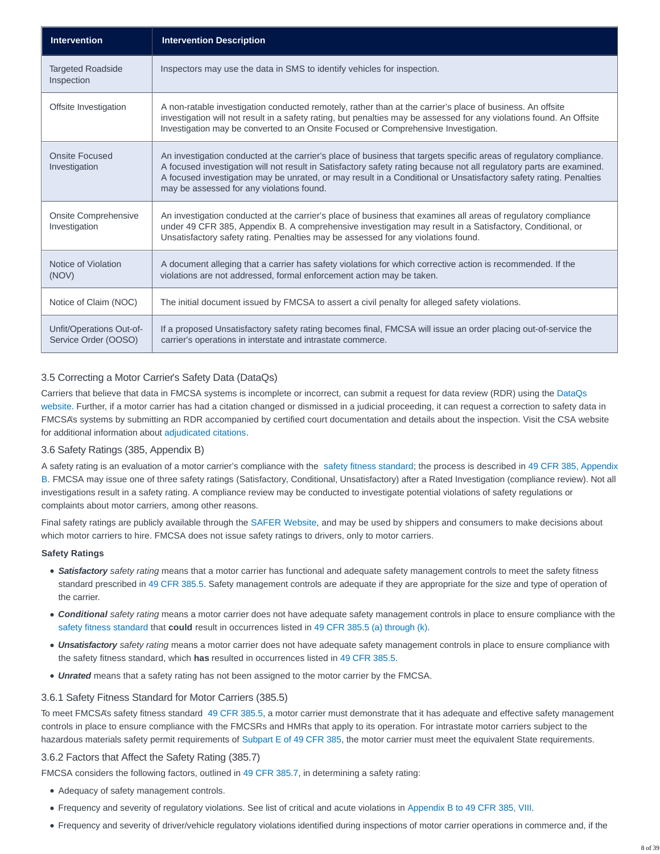| <b>Intervention</b>                              | <b>Intervention Description</b>                                                                                                                                                                                                                                                                                                                                                                               |
|--------------------------------------------------|---------------------------------------------------------------------------------------------------------------------------------------------------------------------------------------------------------------------------------------------------------------------------------------------------------------------------------------------------------------------------------------------------------------|
| <b>Targeted Roadside</b><br>Inspection           | Inspectors may use the data in SMS to identify vehicles for inspection.                                                                                                                                                                                                                                                                                                                                       |
| Offsite Investigation                            | A non-ratable investigation conducted remotely, rather than at the carrier's place of business. An offsite<br>investigation will not result in a safety rating, but penalties may be assessed for any violations found. An Offsite<br>Investigation may be converted to an Onsite Focused or Comprehensive Investigation.                                                                                     |
| Onsite Focused<br>Investigation                  | An investigation conducted at the carrier's place of business that targets specific areas of regulatory compliance.<br>A focused investigation will not result in Satisfactory safety rating because not all regulatory parts are examined.<br>A focused investigation may be unrated, or may result in a Conditional or Unsatisfactory safety rating. Penalties<br>may be assessed for any violations found. |
| <b>Onsite Comprehensive</b><br>Investigation     | An investigation conducted at the carrier's place of business that examines all areas of regulatory compliance<br>under 49 CFR 385, Appendix B. A comprehensive investigation may result in a Satisfactory, Conditional, or<br>Unsatisfactory safety rating. Penalties may be assessed for any violations found.                                                                                              |
| Notice of Violation<br>(NOV)                     | A document alleging that a carrier has safety violations for which corrective action is recommended. If the<br>violations are not addressed, formal enforcement action may be taken.                                                                                                                                                                                                                          |
| Notice of Claim (NOC)                            | The initial document issued by FMCSA to assert a civil penalty for alleged safety violations.                                                                                                                                                                                                                                                                                                                 |
| Unfit/Operations Out-of-<br>Service Order (OOSO) | If a proposed Unsatisfactory safety rating becomes final, FMCSA will issue an order placing out-of-service the<br>carrier's operations in interstate and intrastate commerce.                                                                                                                                                                                                                                 |

# 3.5 Correcting a Motor Carrier's Safety Data (DataQs)

Carriers that believe that data in FMCSA systems is incomplete or incorrect, can submit a request for data review (RDR) using the [DataQs](https://dataqs.fmcsa.dot.gov/Default.aspx?enc=4orUr4VSakAlYsjxOmHrCeQ158IknHedB20QvqZJtcw=) website. Further, if a motor carrier has had a citation changed or dismissed in a judicial proceeding, it can request a correction to safety data in FMCSA's systems by submitting an RDR accompanied by certified court documentation and details about the inspection. Visit the CSA website for additional information about [adjudicated citations.](https://csa.fmcsa.dot.gov/Documents/Adjudicated_Citations_Factsheet_GRS_Final_508.pdf)

# 3.6 Safety Ratings (385, Appendix B)

A safety rating is an evaluation of a motor carrier's compliance with the [safety fitness standard;](https://csa.fmcsa.dot.gov/safetyplanner/myfiles/SubSections.aspx?ch=20&sec=58) the process is described in [49 CFR 385, Appendix](https://www.ecfr.gov/cgi-bin/text-idx?SID=51a3bec9ee3ac2856f0daf9dc68e5dde&mc=true&node=pt49.5.385&rgn=div5%20-%20ap49.5.385_11019.b#ap49.5.385_11019.b) B. FMCSA may issue one of three safety ratings (Satisfactory, Conditional, Unsatisfactory) after a Rated Investigation (compliance review). Not all investigations result in a safety rating. A compliance review may be conducted to investigate potential violations of safety regulations or complaints about motor carriers, among other reasons.

Final safety ratings are publicly available through the [SAFER Website,](https://safer.fmcsa.dot.gov/CompanySnapshot.aspx) and may be used by shippers and consumers to make decisions about which motor carriers to hire. FMCSA does not issue safety ratings to drivers, only to motor carriers.

#### **Safety Ratings**

- **Satisfactory** safety rating means that a motor carrier has functional and adequate safety management controls to meet the safety fitness standard prescribed in [49 CFR 385.5.](https://www.ecfr.gov/cgi-bin/text-idx?SID=ff6de4c1951028b844773344a009e579&mc=true&node=se49.5.385_15&rgn=div8) Safety management controls are adequate if they are appropriate for the size and type of operation of the carrier.
- **Conditional** safety rating means a motor carrier does not have adequate safety management controls in place to ensure compliance with the [safety fitness standard](https://csa.fmcsa.dot.gov/safetyplanner/myfiles/%23) that **could** result in occurrences listed in [49 CFR 385.5 \(a\) through \(k\).](http://www.ecfr.gov/cgi-bin/text-idx?SID=51a3bec9ee3ac2856f0daf9dc68e5dde&mc=true&node=pt49.5.385&rgn=div5#se49.5.385_15)
- **Unsatisfactory** safety rating means a motor carrier does not have adequate safety management controls in place to ensure compliance with the safety fitness standard, which **has** resulted in occurrences listed in [49 CFR 385.5.](https://www.ecfr.gov/cgi-bin/text-idx?SID=ff6de4c1951028b844773344a009e579&mc=true&node=se49.5.385_15&rgn=div8)
- **Unrated** means that a safety rating has not been assigned to the motor carrier by the FMCSA.

#### 3.6.1 Safety Fitness Standard for Motor Carriers (385.5)

To meet FMCSA's safety fitness standard [49 CFR 385.5,](https://www.ecfr.gov/cgi-bin/text-idx?SID=ff6de4c1951028b844773344a009e579&mc=true&node=se49.5.385_15&rgn=div8) a motor carrier must demonstrate that it has adequate and effective safety management controls in place to ensure compliance with the FMCSRs and HMRs that apply to its operation. For intrastate motor carriers subject to the hazardous materials safety permit requirements of [Subpart E of 49 CFR 385,](https://www.ecfr.gov/cgi-bin/retrieveECFR?gp=&SID=2b348b46c13f27da9df2ba8bbe2ff693&mc=true&r=SUBPART&n=sp49.5.385.e) the motor carrier must meet the equivalent State requirements.

#### 3.6.2 Factors that Affect the Safety Rating (385.7)

FMCSA considers the following factors, outlined in [49 CFR 385.7,](https://www.ecfr.gov/cgi-bin/text-idx?SID=ff6de4c1951028b844773344a009e579&mc=true&node=se49.5.385_17&rgn=div8) in determining a safety rating:

- Adequacy of safety management controls.
- Frequency and severity of regulatory violations. See list of critical and acute violations in [Appendix B to 49 CFR 385, VIII.](https://www.ecfr.gov/cgi-bin/text-idx?SID=51a3bec9ee3ac2856f0daf9dc68e5dde&mc=true&node=pt49.5.385&rgn=div5#ap49.5.385_11019.b)
- Frequency and severity of driver/vehicle regulatory violations identified during inspections of motor carrier operations in commerce and, if the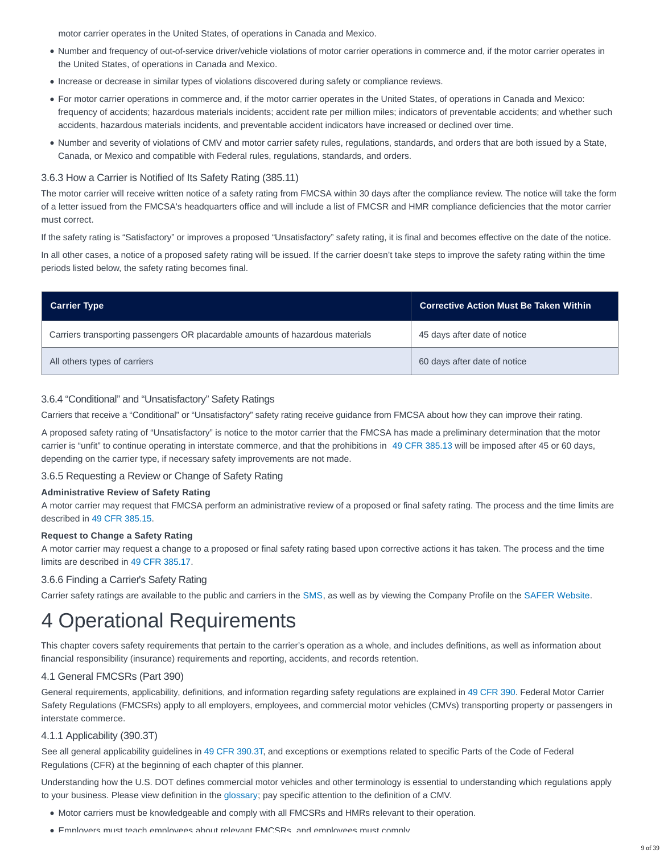motor carrier operates in the United States, of operations in Canada and Mexico.

- Number and frequency of out-of-service driver/vehicle violations of motor carrier operations in commerce and, if the motor carrier operates in the United States, of operations in Canada and Mexico.
- Increase or decrease in similar types of violations discovered during safety or compliance reviews.
- For motor carrier operations in commerce and, if the motor carrier operates in the United States, of operations in Canada and Mexico: frequency of accidents; hazardous materials incidents; accident rate per million miles; indicators of preventable accidents; and whether such accidents, hazardous materials incidents, and preventable accident indicators have increased or declined over time.
- Number and severity of violations of CMV and motor carrier safety rules, regulations, standards, and orders that are both issued by a State, Canada, or Mexico and compatible with Federal rules, regulations, standards, and orders.

# 3.6.3 How a Carrier is Notified of Its Safety Rating (385.11)

The motor carrier will receive written notice of a safety rating from FMCSA within 30 days after the compliance review. The notice will take the form of a letter issued from the FMCSA's headquarters office and will include a list of FMCSR and HMR compliance deficiencies that the motor carrier must correct.

If the safety rating is "Satisfactory" or improves a proposed "Unsatisfactory" safety rating, it is final and becomes effective on the date of the notice.

In all other cases, a notice of a proposed safety rating will be issued. If the carrier doesn't take steps to improve the safety rating within the time periods listed below, the safety rating becomes final.

| <b>Carrier Type</b>                                                            | <b>Corrective Action Must Be Taken Within</b> |
|--------------------------------------------------------------------------------|-----------------------------------------------|
| Carriers transporting passengers OR placardable amounts of hazardous materials | 45 days after date of notice                  |
| All others types of carriers                                                   | 60 days after date of notice                  |

### 3.6.4 "Conditional" and "Unsatisfactory" Safety Ratings

Carriers that receive a "Conditional" or "Unsatisfactory" safety rating receive guidance from FMCSA about how they can improve their rating.

A proposed safety rating of "Unsatisfactory" is notice to the motor carrier that the FMCSA has made a preliminary determination that the motor carrier is "unfit" to continue operating in interstate commerce, and that the prohibitions in [49 CFR 385.13](https://www.ecfr.gov/cgi-bin/text-idx?SID=ff6de4c1951028b844773344a009e579&mc=true&node=se49.5.385_113&rgn=div8) will be imposed after 45 or 60 days, depending on the carrier type, if necessary safety improvements are not made.

3.6.5 Requesting a Review or Change of Safety Rating

#### **Administrative Review of Safety Rating**

A motor carrier may request that FMCSA perform an administrative review of a proposed or final safety rating. The process and the time limits are described in [49 CFR 385.15.](https://www.ecfr.gov/cgi-bin/text-idx?SID=ff6de4c1951028b844773344a009e579&mc=true&node=se49.5.385_115&rgn=div8)

#### **Request to Change a Safety Rating**

A motor carrier may request a change to a proposed or final safety rating based upon corrective actions it has taken. The process and the time limits are described in [49 CFR 385.17.](https://www.ecfr.gov/cgi-bin/text-idx?SID=ff6de4c1951028b844773344a009e579&mc=true&node=se49.5.385_117&rgn=div8)

# 3.6.6 Finding a Carrier's Safety Rating

Carrier safety ratings are available to the public and carriers in the [SMS,](https://ai.fmcsa.dot.gov/sms/) as well as by viewing the Company Profile on the [SAFER Website.](https://safer.fmcsa.dot.gov/CompanySnapshot.aspx)

# 4 Operational Requirements

This chapter covers safety requirements that pertain to the carrier's operation as a whole, and includes definitions, as well as information about financial responsibility (insurance) requirements and reporting, accidents, and records retention.

# 4.1 General FMCSRs (Part 390)

General requirements, applicability, definitions, and information regarding safety regulations are explained in [49 CFR 390.](http://www.ecfr.gov/cgi-bin/text-idx?SID=51a3bec9ee3ac2856f0daf9dc68e5dde&mc=true&node=pt49.5.390&rgn=div5) Federal Motor Carrier Safety Regulations (FMCSRs) apply to all employers, employees, and commercial motor vehicles (CMVs) transporting property or passengers in interstate commerce.

# 4.1.1 Applicability (390.3T)

See all general applicability guidelines in [49 CFR 390.3T,](https://www.ecfr.gov/cgi-bin/text-idx?SID=77f02ff15483cba505764a99212e8a3b&mc=true&node=se49.5.390_13t&rgn=div8) and exceptions or exemptions related to specific Parts of the Code of Federal Regulations (CFR) at the beginning of each chapter of this planner.

Understanding how the U.S. DOT defines commercial motor vehicles and other terminology is essential to understanding which regulations apply to your business. Please view definition in the [glossary;](https://csa.fmcsa.dot.gov/safetyplanner/Resources/GlossaryAcronymns.aspx) pay specific attention to the definition of a CMV.

- Motor carriers must be knowledgeable and comply with all FMCSRs and HMRs relevant to their operation.
- Employers must teach employees about relevant FMCSRs, and employees must comply.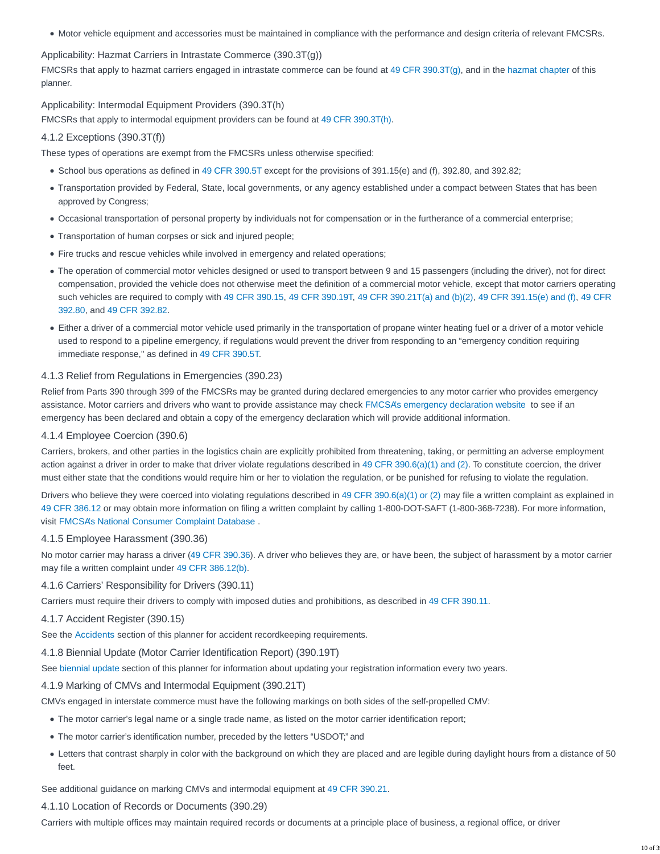Motor vehicle equipment and accessories must be maintained in compliance with the performance and design criteria of relevant FMCSRs.

Applicability: Hazmat Carriers in Intrastate Commerce (390.3T(g))

FMCSRs that apply to hazmat carriers engaged in intrastate commerce can be found at [49 CFR 390.3T\(g\),](https://www.ecfr.gov/cgi-bin/text-idx?SID=ff6de4c1951028b844773344a009e579&mc=true&node=se49.5.390_13t&rgn=div8) and in the [hazmat chapter](https://csa.fmcsa.dot.gov/safetyplanner/myfiles/Chapters.aspx?ch=25) of this planner.

Applicability: Intermodal Equipment Providers (390.3T(h)

FMCSRs that apply to intermodal equipment providers can be found at [49 CFR 390.3T\(h\).](https://www.ecfr.gov/cgi-bin/text-idx?SID=ff6de4c1951028b844773344a009e579&mc=true&node=se49.5.390_13t&rgn=div8)

# 4.1.2 Exceptions (390.3T(f))

These types of operations are exempt from the FMCSRs unless otherwise specified:

- School bus operations as defined in [49 CFR 390.5T](https://www.ecfr.gov/cgi-bin/text-idx?SID=ff6de4c1951028b844773344a009e579&mc=true&node=se49.5.390_15t&rgn=div8) except for the provisions of 391.15(e) and (f), 392.80, and 392.82;
- Transportation provided by Federal, State, local governments, or any agency established under a compact between States that has been approved by Congress;
- Occasional transportation of personal property by individuals not for compensation or in the furtherance of a commercial enterprise;
- Transportation of human corpses or sick and injured people;
- Fire trucks and rescue vehicles while involved in emergency and related operations;
- The operation of commercial motor vehicles designed or used to transport between 9 and 15 passengers (including the driver), not for direct compensation, provided the vehicle does not otherwise meet the definition of a commercial motor vehicle, except that motor carriers operating such vehicles are required to comply with [49 CFR 390.15,](https://www.ecfr.gov/cgi-bin/text-idx?SID=ff6de4c1951028b844773344a009e579&mc=true&node=se49.5.390_115&rgn=div8) [49 CFR 390.19T,](https://www.ecfr.gov/cgi-bin/text-idx?SID=ff6de4c1951028b844773344a009e579&mc=true&node=se49.5.390_119t&rgn=div8) [49 CFR 390.21T\(a\) and \(b\)\(2\),](https://www.ecfr.gov/cgi-bin/text-idx?SID=ff6de4c1951028b844773344a009e579&mc=true&node=se49.5.390_121t&rgn=div8) [49 CFR 391.15\(e\) and \(f\),](https://www.ecfr.gov/cgi-bin/text-idx?SID=ff6de4c1951028b844773344a009e579&mc=true&node=se49.5.391_115&rgn=div8) [49 CFR](https://www.ecfr.gov/cgi-bin/text-idx?SID=ff6de4c1951028b844773344a009e579&mc=true&node=se49.5.392_180&rgn=div8) 392.80, and [49 CFR 392.82.](https://www.ecfr.gov/cgi-bin/text-idx?SID=ff6de4c1951028b844773344a009e579&mc=true&node=se49.5.392_182&rgn=div8)
- Either a driver of a commercial motor vehicle used primarily in the transportation of propane winter heating fuel or a driver of a motor vehicle used to respond to a pipeline emergency, if regulations would prevent the driver from responding to an "emergency condition requiring immediate response," as defined in [49 CFR 390.5T.](https://www.ecfr.gov/cgi-bin/text-idx?SID=ff6de4c1951028b844773344a009e579&mc=true&node=se49.5.390_15t&rgn=div8)

## 4.1.3 Relief from Regulations in Emergencies (390.23)

Relief from Parts 390 through 399 of the FMCSRs may be granted during declared emergencies to any motor carrier who provides emergency assistance. Motor carriers and drivers who want to provide assistance may check [FMCSA's emergency declaration website](https://www.fmcsa.dot.gov/emergency) to see if an emergency has been declared and obtain a copy of the emergency declaration which will provide additional information.

#### 4.1.4 Employee Coercion (390.6)

Carriers, brokers, and other parties in the logistics chain are explicitly prohibited from threatening, taking, or permitting an adverse employment action against a driver in order to make that driver violate regulations described in [49 CFR 390.6\(a\)\(1\) and \(2\).](https://www.ecfr.gov/cgi-bin/text-idx?SID=b37271af66def7031e9872cf0ca89b4a&mc=true&node=se49.5.390_16&rgn=div8) To constitute coercion, the driver must either state that the conditions would require him or her to violation the regulation, or be punished for refusing to violate the regulation.

Drivers who believe they were coerced into violating regulations described in [49 CFR 390.6\(a\)\(1\) or \(2\)](https://www.ecfr.gov/cgi-bin/text-idx?SID=b37271af66def7031e9872cf0ca89b4a&mc=true&node=se49.5.390_16&rgn=div8) may file a written complaint as explained in [49 CFR 386.12](https://www.ecfr.gov/cgi-bin/text-idx?SID=ff6de4c1951028b844773344a009e579&mc=true&node=se49.5.386_112&rgn=div8) or may obtain more information on filing a written complaint by calling 1-800-DOT-SAFT (1-800-368-7238). For more information, visit [FMCSA's National Consumer Complaint Database](https://nccdb.fmcsa.dot.gov/nccdb/home.aspx) .

## 4.1.5 Employee Harassment (390.36)

No motor carrier may harass a driver [\(49 CFR 390.36\)](https://www.ecfr.gov/cgi-bin/text-idx?SID=ff6de4c1951028b844773344a009e579&mc=true&node=se49.5.390_136&rgn=div8). A driver who believes they are, or have been, the subject of harassment by a motor carrier may file a written complaint under [49 CFR 386.12\(b\).](https://www.ecfr.gov/cgi-bin/text-idx?SID=ff6de4c1951028b844773344a009e579&mc=true&node=se49.5.386_112&rgn=div8)

#### 4.1.6 Carriers' Responsibility for Drivers (390.11)

Carriers must require their drivers to comply with imposed duties and prohibitions, as described in [49 CFR 390.11.](https://www.ecfr.gov/cgi-bin/text-idx?SID=dbc0b806e7a6b199edef6f3a462430e9&mc=true&node=se49.5.390_111&rgn=div8)

#### 4.1.7 Accident Register (390.15)

See the [Accidents](https://csa.fmcsa.dot.gov/safetyplanner/myfiles/Sections.aspx?ch=21&sec=62) section of this planner for accident recordkeeping requirements.

## 4.1.8 Biennial Update (Motor Carrier Identification Report) (390.19T)

See [biennial update](https://csa.fmcsa.dot.gov/safetyplanner/myfiles/Sections.aspx?ch=19&sec=49) section of this planner for information about updating your registration information every two years.

#### 4.1.9 Marking of CMVs and Intermodal Equipment (390.21T)

CMVs engaged in interstate commerce must have the following markings on both sides of the self-propelled CMV:

- The motor carrier's legal name or a single trade name, as listed on the motor carrier identification report;
- The motor carrier's identification number, preceded by the letters "USDOT;" and
- Letters that contrast sharply in color with the background on which they are placed and are legible during daylight hours from a distance of 50 feet.

See additional guidance on marking CMVs and intermodal equipment at [49 CFR 390.21.](https://www.ecfr.gov/cgi-bin/text-idx?SID=cc8952bfe11fde0238298ac73eca379c&mc=true&node=se49.5.390_121&rgn=div8)

## 4.1.10 Location of Records or Documents (390.29)

Carriers with multiple offices may maintain required records or documents at a principle place of business, a regional office, or driver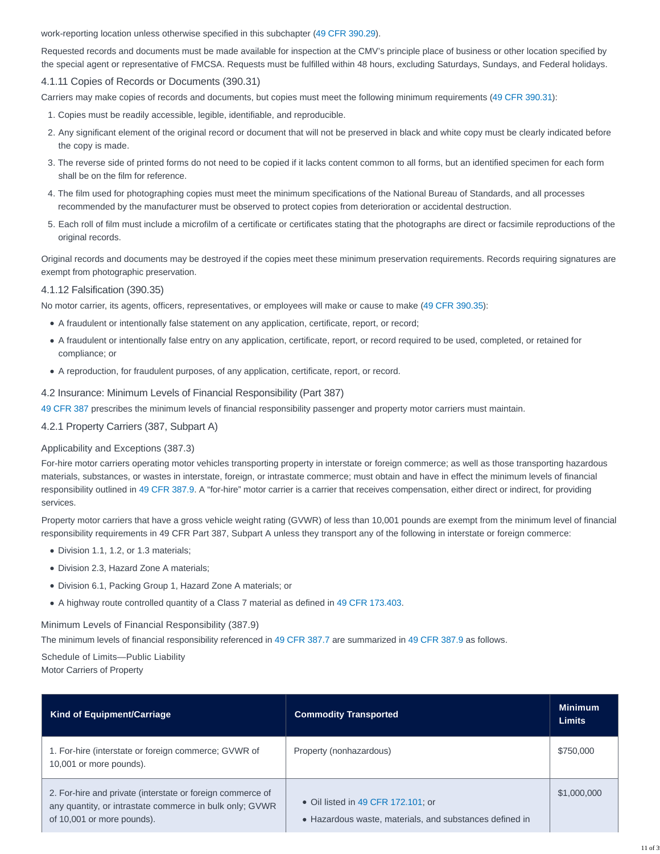work-reporting location unless otherwise specified in this subchapter [\(49 CFR 390.29\)](https://www.ecfr.gov/cgi-bin/text-idx?SID=ff6de4c1951028b844773344a009e579&mc=true&node=se49.5.390_129&rgn=div8).

Requested records and documents must be made available for inspection at the CMV's principle place of business or other location specified by the special agent or representative of FMCSA. Requests must be fulfilled within 48 hours, excluding Saturdays, Sundays, and Federal holidays.

## 4.1.11 Copies of Records or Documents (390.31)

Carriers may make copies of records and documents, but copies must meet the following minimum requirements [\(49 CFR 390.31\)](https://www.ecfr.gov/cgi-bin/text-idx?SID=ff6de4c1951028b844773344a009e579&mc=true&node=se49.5.390_131&rgn=div8):

- 1. Copies must be readily accessible, legible, identifiable, and reproducible.
- 2. Any significant element of the original record or document that will not be preserved in black and white copy must be clearly indicated before the copy is made.
- The reverse side of printed forms do not need to be copied if it lacks content common to all forms, but an identified specimen for each form 3. shall be on the film for reference.
- The film used for photographing copies must meet the minimum specifications of the National Bureau of Standards, and all processes 4. recommended by the manufacturer must be observed to protect copies from deterioration or accidental destruction.
- Each roll of film must include a microfilm of a certificate or certificates stating that the photographs are direct or facsimile reproductions of the 5. original records.

Original records and documents may be destroyed if the copies meet these minimum preservation requirements. Records requiring signatures are exempt from photographic preservation.

#### 4.1.12 Falsification (390.35)

No motor carrier, its agents, officers, representatives, or employees will make or cause to make [\(49 CFR 390.35\)](https://www.ecfr.gov/cgi-bin/text-idx?SID=ff6de4c1951028b844773344a009e579&mc=true&node=se49.5.390_135&rgn=div8):

- A fraudulent or intentionally false statement on any application, certificate, report, or record;
- A fraudulent or intentionally false entry on any application, certificate, report, or record required to be used, completed, or retained for compliance; or
- A reproduction, for fraudulent purposes, of any application, certificate, report, or record.

#### 4.2 Insurance: Minimum Levels of Financial Responsibility (Part 387)

[49 CFR 387](http://www.ecfr.gov/cgi-bin/text-idx?SID=51a3bec9ee3ac2856f0daf9dc68e5dde&mc=true&node=pt49.5.387&rgn=div5) prescribes the minimum levels of financial responsibility passenger and property motor carriers must maintain.

4.2.1 Property Carriers (387, Subpart A)

#### Applicability and Exceptions (387.3)

For-hire motor carriers operating motor vehicles transporting property in interstate or foreign commerce; as well as those transporting hazardous materials, substances, or wastes in interstate, foreign, or intrastate commerce; must obtain and have in effect the minimum levels of financial responsibility outlined in [49 CFR 387.9.](https://www.ecfr.gov/cgi-bin/text-idx?SID=ff6de4c1951028b844773344a009e579&mc=true&node=se49.5.387_19&rgn=div8) A "for-hire" motor carrier is a carrier that receives compensation, either direct or indirect, for providing services.

Property motor carriers that have a gross vehicle weight rating (GVWR) of less than 10,001 pounds are exempt from the minimum level of financial responsibility requirements in 49 CFR Part 387, Subpart A unless they transport any of the following in interstate or foreign commerce:

- Division 1.1, 1.2, or 1.3 materials;
- Division 2.3, Hazard Zone A materials;
- Division 6.1, Packing Group 1, Hazard Zone A materials; or
- A highway route controlled quantity of a Class 7 material as defined in [49 CFR 173.403.](https://www.ecfr.gov/cgi-bin/text-idx?SID=ff6de4c1951028b844773344a009e579&mc=true&node=se49.5.173_1403&rgn=div8)

#### Minimum Levels of Financial Responsibility (387.9)

The minimum levels of financial responsibility referenced in [49 CFR 387.7](https://www.ecfr.gov/cgi-bin/text-idx?SID=ff6de4c1951028b844773344a009e579&mc=true&node=se49.5.387_17&rgn=div8) are summarized in [49 CFR 387.9](https://www.ecfr.gov/cgi-bin/text-idx?SID=ff6de4c1951028b844773344a009e579&mc=true&node=se49.5.387_19&rgn=div8) as follows.

Schedule of Limits—Public Liability

Motor Carriers of Property

| <b>Kind of Equipment/Carriage</b>                                                                                                                   | <b>Commodity Transported</b>                                                                  | <b>Minimum</b><br><b>Limits</b> |
|-----------------------------------------------------------------------------------------------------------------------------------------------------|-----------------------------------------------------------------------------------------------|---------------------------------|
| 1. For-hire (interstate or foreign commerce; GVWR of<br>10,001 or more pounds).                                                                     | Property (nonhazardous)                                                                       | \$750,000                       |
| 2. For-hire and private (interstate or foreign commerce of<br>any quantity, or intrastate commerce in bulk only; GVWR<br>of 10,001 or more pounds). | • Oil listed in 49 CFR 172.101; or<br>• Hazardous waste, materials, and substances defined in | \$1,000,000                     |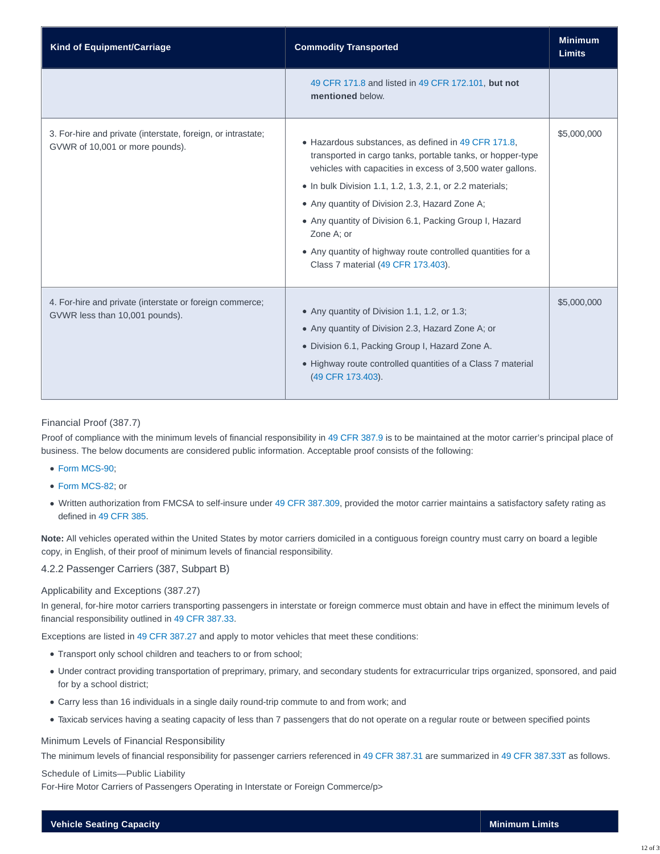| <b>Kind of Equipment/Carriage</b>                                                               | <b>Commodity Transported</b>                                                                                                                                                                                                                                                                                                                                                                                                                                                        | <b>Minimum</b><br><b>Limits</b> |
|-------------------------------------------------------------------------------------------------|-------------------------------------------------------------------------------------------------------------------------------------------------------------------------------------------------------------------------------------------------------------------------------------------------------------------------------------------------------------------------------------------------------------------------------------------------------------------------------------|---------------------------------|
|                                                                                                 | 49 CFR 171.8 and listed in 49 CFR 172.101, but not<br>mentioned below.                                                                                                                                                                                                                                                                                                                                                                                                              |                                 |
| 3. For-hire and private (interstate, foreign, or intrastate;<br>GVWR of 10,001 or more pounds). | • Hazardous substances, as defined in 49 CFR 171.8,<br>transported in cargo tanks, portable tanks, or hopper-type<br>vehicles with capacities in excess of 3,500 water gallons.<br>$\bullet$ In bulk Division 1.1, 1.2, 1.3, 2.1, or 2.2 materials;<br>• Any quantity of Division 2.3, Hazard Zone A;<br>• Any quantity of Division 6.1, Packing Group I, Hazard<br>Zone A; or<br>• Any quantity of highway route controlled quantities for a<br>Class 7 material (49 CFR 173.403). | \$5,000,000                     |
| 4. For-hire and private (interstate or foreign commerce;<br>GVWR less than 10,001 pounds).      | • Any quantity of Division 1.1, 1.2, or 1.3;<br>• Any quantity of Division 2.3, Hazard Zone A; or<br>· Division 6.1, Packing Group I, Hazard Zone A.<br>• Highway route controlled quantities of a Class 7 material<br>(49 CFR 173.403).                                                                                                                                                                                                                                            | \$5,000,000                     |

## Financial Proof (387.7)

Proof of compliance with the minimum levels of financial responsibility in [49 CFR 387.9](https://www.ecfr.gov/cgi-bin/text-idx?SID=ff6de4c1951028b844773344a009e579&mc=true&node=se49.5.387_19&rgn=div8) is to be maintained at the motor carrier's principal place of business. The below documents are considered public information. Acceptable proof consists of the following:

- [Form MCS-90;](https://www.fmcsa.dot.gov/registration/form-mcs-90-endorsement-motor-carrier-policies-insurance-public-liability-under)
- [Form MCS-82;](https://www.fmcsa.dot.gov/registration/form-mcs-82-motor-carrier-public-liability-surety-bond-under-sections-29-and-30-motor) or
- Written authorization from FMCSA to self-insure under [49 CFR 387.309,](https://www.ecfr.gov/cgi-bin/text-idx?SID=ff6de4c1951028b844773344a009e579&mc=true&node=se49.5.387_1309&rgn=div8) provided the motor carrier maintains a satisfactory safety rating as defined in [49 CFR 385.](http://www.ecfr.gov/cgi-bin/text-idx?SID=7c4ff1118f7f14fd5d0d76496465774a&mc=true&node=pt49.5.385&rgn=div5#se49.5.385_15)

**Note:** All vehicles operated within the United States by motor carriers domiciled in a contiguous foreign country must carry on board a legible copy, in English, of their proof of minimum levels of financial responsibility.

## 4.2.2 Passenger Carriers (387, Subpart B)

#### Applicability and Exceptions (387.27)

In general, for-hire motor carriers transporting passengers in interstate or foreign commerce must obtain and have in effect the minimum levels of financial responsibility outlined in [49 CFR 387.33.](https://www.ecfr.gov/cgi-bin/text-idx?SID=ff6de4c1951028b844773344a009e579&mc=true&node=se49.5.387_133&rgn=div8)

Exceptions are listed in [49 CFR 387.27](https://www.ecfr.gov/cgi-bin/text-idx?SID=ff6de4c1951028b844773344a009e579&mc=true&node=se49.5.387_127&rgn=div8) and apply to motor vehicles that meet these conditions:

- Transport only school children and teachers to or from school;
- Under contract providing transportation of preprimary, primary, and secondary students for extracurricular trips organized, sponsored, and paid for by a school district;
- Carry less than 16 individuals in a single daily round-trip commute to and from work; and
- Taxicab services having a seating capacity of less than 7 passengers that do not operate on a regular route or between specified points

#### Minimum Levels of Financial Responsibility

The minimum levels of financial responsibility for passenger carriers referenced in [49 CFR 387.31](https://www.ecfr.gov/cgi-bin/text-idx?SID=ff6de4c1951028b844773344a009e579&mc=true&node=se49.5.387_131&rgn=div8) are summarized in [49 CFR 387.33T](https://www.ecfr.gov/cgi-bin/text-idx?SID=ff6de4c1951028b844773344a009e579&mc=true&node=se49.5.387_133t) as follows.

#### Schedule of Limits—Public Liability

For-Hire Motor Carriers of Passengers Operating in Interstate or Foreign Commerce/p>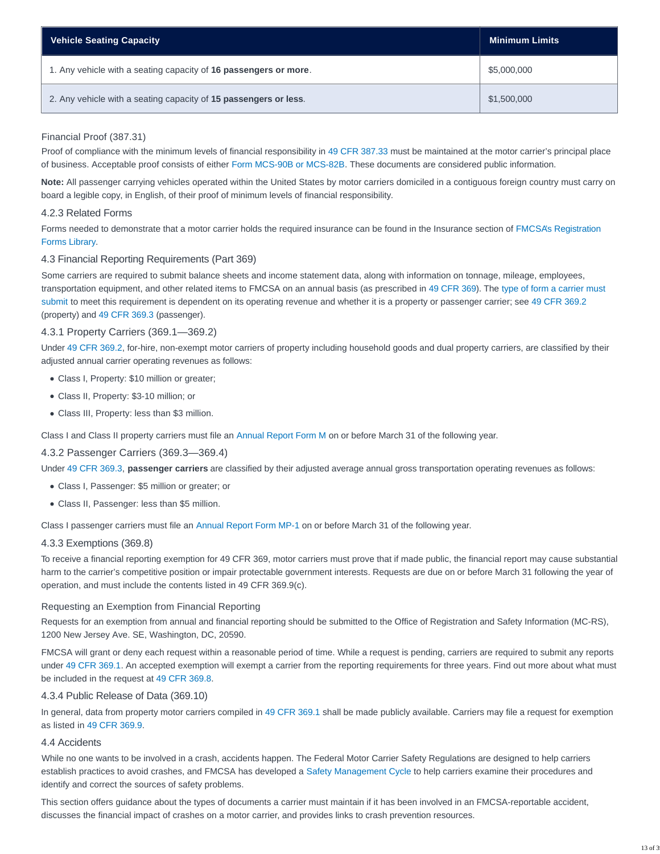| <b>Vehicle Seating Capacity</b>                                  | Minimum Limits |
|------------------------------------------------------------------|----------------|
| 1. Any vehicle with a seating capacity of 16 passengers or more. | \$5,000,000    |
| 2. Any vehicle with a seating capacity of 15 passengers or less. | \$1,500,000    |

# Financial Proof (387.31)

Proof of compliance with the minimum levels of financial responsibility in [49 CFR 387.33](https://www.ecfr.gov/cgi-bin/text-idx?SID=ff6de4c1951028b844773344a009e579&mc=true&node=se49.5.387_133&rgn=div8) must be maintained at the motor carrier's principal place of business. Acceptable proof consists of either [Form MCS-90B or MCS-82B.](https://cms.fmcsa.dot.gov/registration/registration-forms) These documents are considered public information.

**Note:** All passenger carrying vehicles operated within the United States by motor carriers domiciled in a contiguous foreign country must carry on board a legible copy, in English, of their proof of minimum levels of financial responsibility.

# 4.2.3 Related Forms

Forms needed to demonstrate that a motor carrier holds the required insurance can be found in the Insurance section of [FMCSA's Registration](https://www.fmcsa.dot.gov/registration/registration-forms) Forms Library.

# 4.3 Financial Reporting Requirements (Part 369)

Some carriers are required to submit balance sheets and income statement data, along with information on tonnage, mileage, employees, transportation equipment, and other related items to FMCSA on an annual basis (as prescribed in [49 CFR 369\)](https://www.ecfr.gov/cgi-bin/text-idx?SID=8d40de2e66dd57df92e666dd0b25ab5e&mc=true&tpl=/ecfrbrowse/Title49/49cfr369_main_02.tpl). The [type of form a carrier must](https://www.fmcsa.dot.gov/mission/file-carrier-financial-and-operating-statistics) submit to meet this requirement is dependent on its operating revenue and whether it is a property or passenger carrier; see [49 CFR 369.2](http://www.ecfr.gov/cgi-bin/text-idx?SID=b39250874348c4a8491d211d270a50c4&mc=true&node=se49.5.369_12&rgn=div8) (property) and [49 CFR 369.3](http://www.ecfr.gov/cgi-bin/text-idx?SID=b39250874348c4a8491d211d270a50c4&mc=true&node=se49.5.369_13&rgn=div8) (passenger).

# 4.3.1 Property Carriers (369.1—369.2)

Under [49 CFR 369.2,](http://www.ecfr.gov/cgi-bin/text-idx?SID=b39250874348c4a8491d211d270a50c4&mc=true&node=se49.5.369_12&rgn=div8) for-hire, non-exempt motor carriers of property including household goods and dual property carriers, are classified by their adjusted annual carrier operating revenues as follows:

- Class I, Property: \$10 million or greater;
- Class II, Property: \$3-10 million; or
- Class III, Property: less than \$3 million.

Class I and Class II property carriers must file an [Annual Report Form M](https://www.fmcsa.dot.gov/mission/form-m) on or before March 31 of the following year.

# 4.3.2 Passenger Carriers (369.3—369.4)

Under [49 CFR 369.3,](http://www.ecfr.gov/cgi-bin/text-idx?SID=b39250874348c4a8491d211d270a50c4&mc=true&node=se49.5.369_13&rgn=div8) **passenger carriers** are classified by their adjusted average annual gross transportation operating revenues as follows:

- Class I, Passenger: \$5 million or greater; or
- Class II, Passenger: less than \$5 million.

Class I passenger carriers must file an [Annual Report Form MP-1](https://www.fmcsa.dot.gov/registration/form-mp-1-annual-report-form-and-worksheet-class-i-motor-carriers-passengers) on or before March 31 of the following year.

#### 4.3.3 Exemptions (369.8)

To receive a financial reporting exemption for 49 CFR 369, motor carriers must prove that if made public, the financial report may cause substantial harm to the carrier's competitive position or impair protectable government interests. Requests are due on or before March 31 following the year of operation, and must include the contents listed in 49 CFR 369.9(c).

#### Requesting an Exemption from Financial Reporting

Requests for an exemption from annual and financial reporting should be submitted to the Office of Registration and Safety Information (MC-RS), 1200 New Jersey Ave. SE, Washington, DC, 20590.

FMCSA will grant or deny each request within a reasonable period of time. While a request is pending, carriers are required to submit any reports under [49 CFR 369.1.](http://www.ecfr.gov/cgi-bin/text-idx?SID=b39250874348c4a8491d211d270a50c4&mc=true&node=se49.5.369_11&rgn=div8) An accepted exemption will exempt a carrier from the reporting requirements for three years. Find out more about what must be included in the request at [49 CFR 369.8.](https://www.ecfr.gov/cgi-bin/text-idx?SID=e31b6be7237914f9676cd17148de8969&mc=true&node=se49.5.369_18&rgn=div8)

#### 4.3.4 Public Release of Data (369.10)

In general, data from property motor carriers compiled in [49 CFR 369.1](http://www.ecfr.gov/cgi-bin/text-idx?SID=b39250874348c4a8491d211d270a50c4&mc=true&node=se49.5.369_11&rgn=div8) shall be made publicly available. Carriers may file a request for exemption as listed in [49 CFR 369.9.](http://www.ecfr.gov/cgi-bin/text-idx?SID=b39250874348c4a8491d211d270a50c4&mc=true&node=se49.5.369_19&rgn=div8)

#### 4.4 Accidents

While no one wants to be involved in a crash, accidents happen. The Federal Motor Carrier Safety Regulations are designed to help carriers establish practices to avoid crashes, and FMCSA has developed a [Safety Management Cycle](https://csa.fmcsa.dot.gov/Documents/FMC_CSA_12_002_SMC_Overview.pdf) to help carriers examine their procedures and identify and correct the sources of safety problems.

This section offers guidance about the types of documents a carrier must maintain if it has been involved in an FMCSA-reportable accident, discusses the financial impact of crashes on a motor carrier, and provides links to crash prevention resources.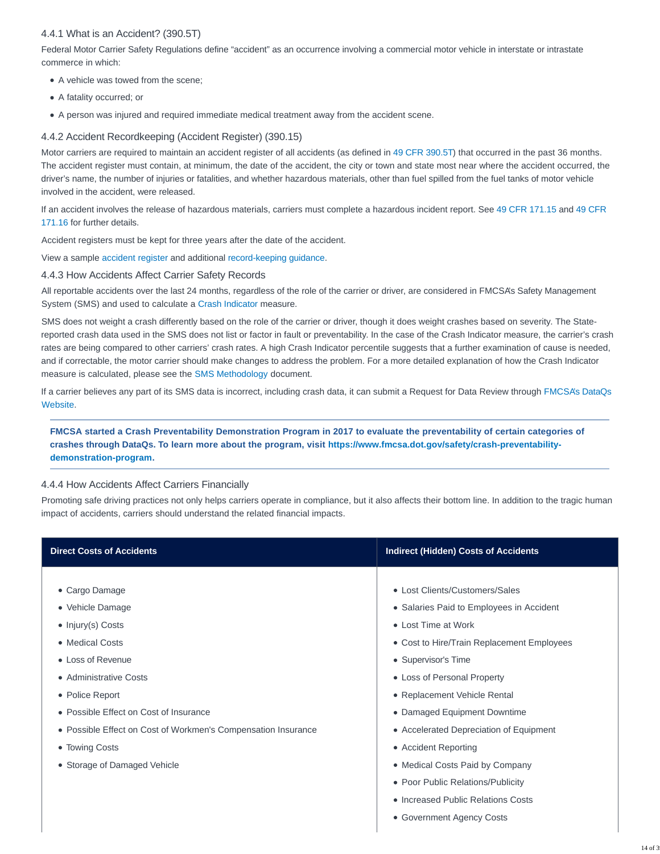# 4.4.1 What is an Accident? (390.5T)

Federal Motor Carrier Safety Regulations define "accident" as an occurrence involving a commercial motor vehicle in interstate or intrastate commerce in which:

- A vehicle was towed from the scene:
- A fatality occurred; or
- A person was injured and required immediate medical treatment away from the accident scene.

# 4.4.2 Accident Recordkeeping (Accident Register) (390.15)

Motor carriers are required to maintain an accident register of all accidents (as defined in [49 CFR 390.5T\)](http://www.ecfr.gov/cgi-bin/text-idx?SID=b39250874348c4a8491d211d270a50c4&mc=true&node=se49.5.390_15t&rgn=div8) that occurred in the past 36 months. The accident register must contain, at minimum, the date of the accident, the city or town and state most near where the accident occurred, the driver's name, the number of injuries or fatalities, and whether hazardous materials, other than fuel spilled from the fuel tanks of motor vehicle involved in the accident, were released.

If an accident involves the release of hazardous materials, carriers must complete a hazardous incident report. See [49 CFR 171.15](http://www.ecfr.gov/cgi-bin/text-idx?SID=b39250874348c4a8491d211d270a50c4&mc=true&node=se49.5.171_115&rgn=div8) and [49 CFR](http://www.ecfr.gov/cgi-bin/text-idx?SID=b39250874348c4a8491d211d270a50c4&mc=true&node=se49.5.171_116&rgn=div8) 171.16 for further details.

Accident registers must be kept for three years after the date of the accident.

View a sample [accident register](http://www.fmcsa.dot.gov/documents/forms/form_1.pdf) and additional [record-keeping guidance.](https://www.fmcsa.dot.gov/regulations/title49/section/390.15?guidance)

### 4.4.3 How Accidents Affect Carrier Safety Records

All reportable accidents over the last 24 months, regardless of the role of the carrier or driver, are considered in FMCSA's Safety Management System (SMS) and used to calculate a [Crash Indicator](https://csa.fmcsa.dot.gov/Documents/FMC_CSA_12_005_BASICs_Crash_Indicator.pdf) measure.

SMS does not weight a crash differently based on the role of the carrier or driver, though it does weight crashes based on severity. The Statereported crash data used in the SMS does not list or factor in fault or preventability. In the case of the Crash Indicator measure, the carrier's crash rates are being compared to other carriers' crash rates. A high Crash Indicator percentile suggests that a further examination of cause is needed, and if correctable, the motor carrier should make changes to address the problem. For a more detailed explanation of how the Crash Indicator measure is calculated, please see the [SMS Methodology](https://csa.fmcsa.dot.gov/documents/smsmethodology.pdf) document.

If a carrier believes any part of its SMS data is incorrect, including crash data, it can submit a Request for Data Review through [FMCSA's DataQs](https://dataqs.fmcsa.dot.gov/Default.aspx?enc=4orUr4VSakAlYsjxOmHrCeQ158IknHedB20QvqZJtcw=) Website.

# **FMCSA started a Crash Preventability Demonstration Program in 2017 to evaluate the preventability of certain categories of crashes through DataQs. To learn more about the program, visit [https://www.fmcsa.dot.gov/safety/crash-preventability](https://www.fmcsa.dot.gov/safety/crash-preventability-demonstration-program)demonstration-program.**

# 4.4.4 How Accidents Affect Carriers Financially

Promoting safe driving practices not only helps carriers operate in compliance, but it also affects their bottom line. In addition to the tragic human impact of accidents, carriers should understand the related financial impacts.

| <b>Direct Costs of Accidents</b>                              | <b>Indirect (Hidden) Costs of Accidents</b> |
|---------------------------------------------------------------|---------------------------------------------|
|                                                               |                                             |
| • Cargo Damage                                                | • Lost Clients/Customers/Sales              |
| • Vehicle Damage                                              | • Salaries Paid to Employees in Accident    |
| $\bullet$ Injury(s) Costs                                     | • Lost Time at Work                         |
| • Medical Costs                                               | • Cost to Hire/Train Replacement Employees  |
| • Loss of Revenue                                             | • Supervisor's Time                         |
| • Administrative Costs                                        | • Loss of Personal Property                 |
| • Police Report                                               | • Replacement Vehicle Rental                |
| • Possible Effect on Cost of Insurance                        | • Damaged Equipment Downtime                |
| • Possible Effect on Cost of Workmen's Compensation Insurance | • Accelerated Depreciation of Equipment     |
| • Towing Costs                                                | • Accident Reporting                        |
| • Storage of Damaged Vehicle                                  | • Medical Costs Paid by Company             |
|                                                               | • Poor Public Relations/Publicity           |
|                                                               | • Increased Public Relations Costs          |
|                                                               | • Government Agency Costs                   |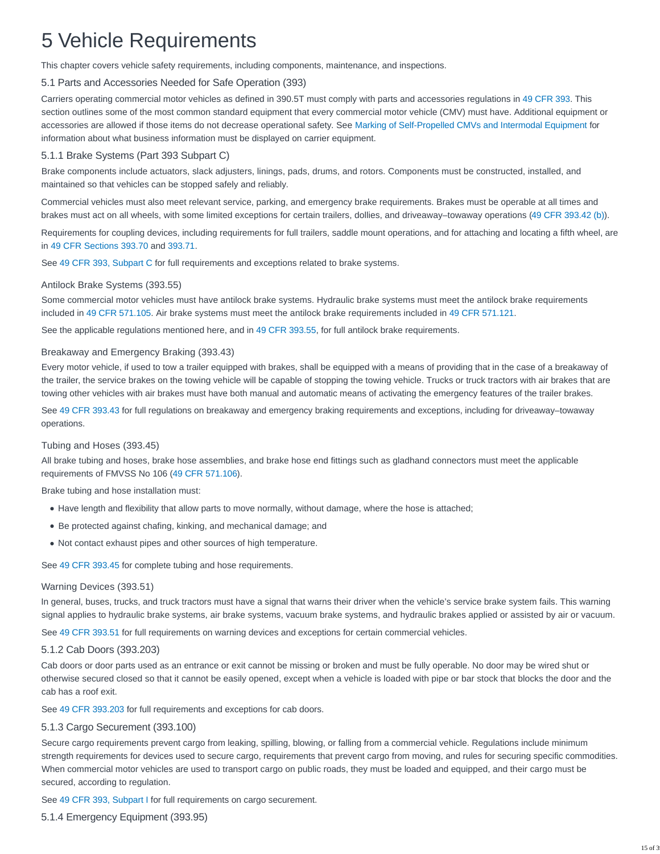# 5 Vehicle Requirements

This chapter covers vehicle safety requirements, including components, maintenance, and inspections.

# 5.1 Parts and Accessories Needed for Safe Operation (393)

Carriers operating commercial motor vehicles as defined in 390.5T must comply with parts and accessories regulations in [49 CFR 393.](http://www.ecfr.gov/cgi-bin/text-idx?SID=ac518e81410a5b897c053a966a282fc8&mc=true&node=pt49.5.393&rgn=div5) This section outlines some of the most common standard equipment that every commercial motor vehicle (CMV) must have. Additional equipment or accessories are allowed if those items do not decrease operational safety. See [Marking of Self-Propelled CMVs and Intermodal Equipment](https://csa.fmcsa.dot.gov/safetyplanner/myfiles/SubSections.aspx?ch=21&sec=59&sub=114) for information about what business information must be displayed on carrier equipment.

# 5.1.1 Brake Systems (Part 393 Subpart C)

Brake components include actuators, slack adjusters, linings, pads, drums, and rotors. Components must be constructed, installed, and maintained so that vehicles can be stopped safely and reliably.

Commercial vehicles must also meet relevant service, parking, and emergency brake requirements. Brakes must be operable at all times and brakes must act on all wheels, with some limited exceptions for certain trailers, dollies, and driveaway–towaway operations [\(49 CFR 393.42 \(b\)\)](https://www.ecfr.gov/cgi-bin/text-idx?SID=0eb3a2124c89920f8b6d234768c27df4&mc=true&node=se49.5.393_142&rgn=div8).

Requirements for coupling devices, including requirements for full trailers, saddle mount operations, and for attaching and locating a fifth wheel, are in [49 CFR Sections 393.70](https://www.ecfr.gov/cgi-bin/text-idx?SID=0eb3a2124c89920f8b6d234768c27df4&mc=true&node=se49.5.393_170&rgn=div8) and [393.71.](https://www.ecfr.gov/cgi-bin/text-idx?SID=0eb3a2124c89920f8b6d234768c27df4&mc=true&node=se49.5.393_171&rgn=div8)

See [49 CFR 393, Subpart C](https://www.ecfr.gov/cgi-bin/retrieveECFR?gp=&SID=14e0a719f159dbcf6b3c38fc07239743&mc=true&n=sp49.5.393.c&r=SUBPART&ty=HTML) for full requirements and exceptions related to brake systems.

# Antilock Brake Systems (393.55)

Some commercial motor vehicles must have antilock brake systems. Hydraulic brake systems must meet the antilock brake requirements included in [49 CFR 571.105.](http://www.ecfr.gov/cgi-bin/text-idx?SID=7d443eb75ceba033fed91e90f816b574&node=se49.6.571_1105&rgn=div8) Air brake systems must meet the antilock brake requirements included in [49 CFR 571.121.](http://www.ecfr.gov/cgi-bin/text-idx?SID=7d443eb75ceba033fed91e90f816b574&node=se49.6.571_1121&rgn=div8)

See the applicable regulations mentioned here, and in [49 CFR 393.55,](http://www.ecfr.gov/cgi-bin/text-idx?SID=7d443eb75ceba033fed91e90f816b574&node=se49.6.393_155&rgn=div8) for full antilock brake requirements.

### Breakaway and Emergency Braking (393.43)

Every motor vehicle, if used to tow a trailer equipped with brakes, shall be equipped with a means of providing that in the case of a breakaway of the trailer, the service brakes on the towing vehicle will be capable of stopping the towing vehicle. Trucks or truck tractors with air brakes that are towing other vehicles with air brakes must have both manual and automatic means of activating the emergency features of the trailer brakes.

See [49 CFR 393.43](http://www.ecfr.gov/cgi-bin/text-idx?SID=7d443eb75ceba033fed91e90f816b574&node=se49.6.393_143&rgn=div8) for full regulations on breakaway and emergency braking requirements and exceptions, including for driveaway–towaway operations.

# Tubing and Hoses (393.45)

All brake tubing and hoses, brake hose assemblies, and brake hose end fittings such as gladhand connectors must meet the applicable requirements of FMVSS No 106 [\(49 CFR 571.106\)](https://www.ecfr.gov/cgi-bin/text-idx?SID=9a27348464028043f698c9bde2a4d634&mc=true&node=se49.6.571_1106&rgn=div8).

Brake tubing and hose installation must:

- Have length and flexibility that allow parts to move normally, without damage, where the hose is attached;
- Be protected against chafing, kinking, and mechanical damage; and
- Not contact exhaust pipes and other sources of high temperature.

See [49 CFR 393.45](http://www.ecfr.gov/cgi-bin/text-idx?SID=7d443eb75ceba033fed91e90f816b574&node=se49.6.393_145&rgn=div8) for complete tubing and hose requirements.

#### Warning Devices (393.51)

In general, buses, trucks, and truck tractors must have a signal that warns their driver when the vehicle's service brake system fails. This warning signal applies to hydraulic brake systems, air brake systems, vacuum brake systems, and hydraulic brakes applied or assisted by air or vacuum.

See [49 CFR 393.51](http://www.ecfr.gov/cgi-bin/text-idx?SID=7d443eb75ceba033fed91e90f816b574&node=se49.6.393_151&rgn=div8) for full requirements on warning devices and exceptions for certain commercial vehicles.

# 5.1.2 Cab Doors (393.203)

Cab doors or door parts used as an entrance or exit cannot be missing or broken and must be fully operable. No door may be wired shut or otherwise secured closed so that it cannot be easily opened, except when a vehicle is loaded with pipe or bar stock that blocks the door and the cab has a roof exit.

See [49 CFR 393.203](https://www.ecfr.gov/cgi-bin/text-idx?SID=0eb3a2124c89920f8b6d234768c27df4&mc=true&node=se49.5.393_1203&rgn=div8) for full requirements and exceptions for cab doors.

# 5.1.3 Cargo Securement (393.100)

Secure cargo requirements prevent cargo from leaking, spilling, blowing, or falling from a commercial vehicle. Regulations include minimum strength requirements for devices used to secure cargo, requirements that prevent cargo from moving, and rules for securing specific commodities. When commercial motor vehicles are used to transport cargo on public roads, they must be loaded and equipped, and their cargo must be secured, according to regulation.

See [49 CFR 393, Subpart I](https://www.ecfr.gov/cgi-bin/retrieveECFR?gp=&SID=14e0a719f159dbcf6b3c38fc07239743&mc=true&n=sp49.5.393.i&r=SUBPART&ty=HTML) for full requirements on cargo securement.

# 5.1.4 Emergency Equipment (393.95)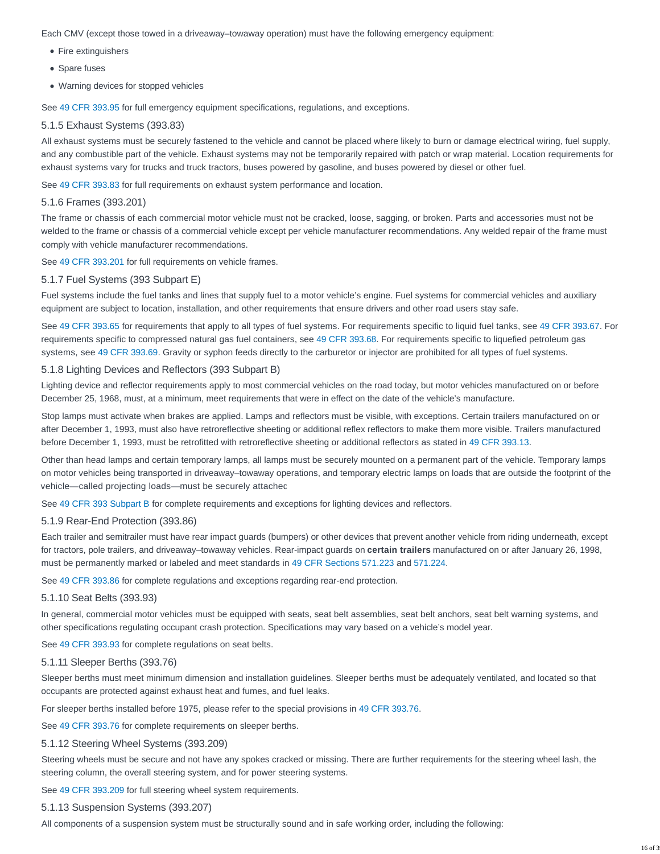Each CMV (except those towed in a driveaway–towaway operation) must have the following emergency equipment:

- Fire extinguishers
- Spare fuses
- Warning devices for stopped vehicles

See [49 CFR 393.95](http://www.ecfr.gov/cgi-bin/text-idx?SID=740badb89179be8f62aa9765282d5b43&mc=true&node=se49.5.393_195&rgn=div8) for full emergency equipment specifications, regulations, and exceptions.

### 5.1.5 Exhaust Systems (393.83)

All exhaust systems must be securely fastened to the vehicle and cannot be placed where likely to burn or damage electrical wiring, fuel supply, and any combustible part of the vehicle. Exhaust systems may not be temporarily repaired with patch or wrap material. Location requirements for exhaust systems vary for trucks and truck tractors, buses powered by gasoline, and buses powered by diesel or other fuel.

See [49 CFR 393.83](http://www.ecfr.gov/cgi-bin/text-idx?SID=740badb89179be8f62aa9765282d5b43&mc=true&node=se49.5.393_183&rgn=div8) for full requirements on exhaust system performance and location.

#### 5.1.6 Frames (393.201)

The frame or chassis of each commercial motor vehicle must not be cracked, loose, sagging, or broken. Parts and accessories must not be welded to the frame or chassis of a commercial vehicle except per vehicle manufacturer recommendations. Any welded repair of the frame must comply with vehicle manufacturer recommendations.

See [49 CFR 393.201](http://www.ecfr.gov/cgi-bin/text-idx?SID=740badb89179be8f62aa9765282d5b43&mc=true&node=se49.5.393_1201&rgn=div8) for full requirements on vehicle frames.

#### 5.1.7 Fuel Systems (393 Subpart E)

Fuel systems include the fuel tanks and lines that supply fuel to a motor vehicle's engine. Fuel systems for commercial vehicles and auxiliary equipment are subject to location, installation, and other requirements that ensure drivers and other road users stay safe.

See [49 CFR 393.65](http://www.ecfr.gov/cgi-bin/text-idx?SID=740badb89179be8f62aa9765282d5b43&mc=true&node=se49.5.393_165&rgn=div8) for requirements that apply to all types of fuel systems. For requirements specific to liquid fuel tanks, see [49 CFR 393.67.](http://www.ecfr.gov/cgi-bin/text-idx?SID=740badb89179be8f62aa9765282d5b43&mc=true&node=se49.5.393_167&rgn=div8) For requirements specific to compressed natural gas fuel containers, see [49 CFR 393.68.](http://www.ecfr.gov/cgi-bin/text-idx?SID=740badb89179be8f62aa9765282d5b43&mc=true&node=se49.5.393_168&rgn=div8) For requirements specific to liquefied petroleum gas systems, see [49 CFR 393.69.](http://www.ecfr.gov/cgi-bin/text-idx?SID=740badb89179be8f62aa9765282d5b43&mc=true&node=se49.5.393_169&rgn=div8) Gravity or syphon feeds directly to the carburetor or injector are prohibited for all types of fuel systems.

#### 5.1.8 Lighting Devices and Reflectors (393 Subpart B)

Lighting device and reflector requirements apply to most commercial vehicles on the road today, but motor vehicles manufactured on or before December 25, 1968, must, at a minimum, meet requirements that were in effect on the date of the vehicle's manufacture.

Stop lamps must activate when brakes are applied. Lamps and reflectors must be visible, with exceptions. Certain trailers manufactured on or after December 1, 1993, must also have retroreflective sheeting or additional reflex reflectors to make them more visible. Trailers manufactured before December 1, 1993, must be retrofitted with retroreflective sheeting or additional reflectors as stated in [49 CFR 393.13.](https://www.ecfr.gov/cgi-bin/text-idx?SID=e96fdf70686fa8683fa96d07f5dfc2bf&mc=true&node=se49.5.393_113&rgn=div8)

Other than head lamps and certain temporary lamps, all lamps must be securely mounted on a permanent part of the vehicle. Temporary lamps on motor vehicles being transported in driveaway–towaway operations, and temporary electric lamps on loads that are outside the footprint of the vehicle—called projecting loads—must be securely attached.

See [49 CFR 393 Subpart B](https://www.ecfr.gov/cgi-bin/retrieveECFR?gp=&SID=14e0a719f159dbcf6b3c38fc07239743&mc=true&n=sp49.5.393.b&r=SUBPART&ty=HTML) for complete requirements and exceptions for lighting devices and reflectors.

#### 5.1.9 Rear-End Protection (393.86)

Each trailer and semitrailer must have rear impact guards (bumpers) or other devices that prevent another vehicle from riding underneath, except for tractors, pole trailers, and driveaway–towaway vehicles. Rear-impact guards on **certain trailers** manufactured on or after January 26, 1998, must be permanently marked or labeled and meet standards in [49 CFR Sections 571.223](http://www.ecfr.gov/cgi-bin/text-idx?SID=d17ab714955facfaca7da5e3818ed5fe&mc=true&node=se49.6.571_1223&rgn=div8) and [571.224.](http://www.ecfr.gov/cgi-bin/text-idx?SID=d17ab714955facfaca7da5e3818ed5fe&mc=true&node=se49.6.571_1224&rgn=div8)

See [49 CFR 393.86](http://www.ecfr.gov/cgi-bin/text-idx?SID=d17ab714955facfaca7da5e3818ed5fe&mc=true&node=se49.6.393_186&rgn=div8) for complete regulations and exceptions regarding rear-end protection.

#### 5.1.10 Seat Belts (393.93)

In general, commercial motor vehicles must be equipped with seats, seat belt assemblies, seat belt anchors, seat belt warning systems, and other specifications regulating occupant crash protection. Specifications may vary based on a vehicle's model year.

See [49 CFR 393.93](http://www.ecfr.gov/cgi-bin/text-idx?SID=d17ab714955facfaca7da5e3818ed5fe&mc=true&node=se49.6.393_193&rgn=div8) for complete regulations on seat belts.

#### 5.1.11 Sleeper Berths (393.76)

Sleeper berths must meet minimum dimension and installation guidelines. Sleeper berths must be adequately ventilated, and located so that occupants are protected against exhaust heat and fumes, and fuel leaks.

For sleeper berths installed before 1975, please refer to the special provisions in [49 CFR 393.76.](https://www.ecfr.gov/cgi-bin/text-idx?SID=89b42ea38ac283f4841b0ffa7cfe4b46&mc=true&node=se49.5.393_176&rgn=div8)

See [49 CFR 393.76](https://www.ecfr.gov/cgi-bin/text-idx?SID=89b42ea38ac283f4841b0ffa7cfe4b46&mc=true&node=se49.5.393_176&rgn=div8) for complete requirements on sleeper berths.

#### 5.1.12 Steering Wheel Systems (393.209)

Steering wheels must be secure and not have any spokes cracked or missing. There are further requirements for the steering wheel lash, the steering column, the overall steering system, and for power steering systems.

See [49 CFR 393.209](http://www.ecfr.gov/cgi-bin/text-idx?SID=d17ab714955facfaca7da5e3818ed5fe&mc=true&node=se49.6.393_1209&rgn=div8) for full steering wheel system requirements.

#### 5.1.13 Suspension Systems (393.207)

All components of a suspension system must be structurally sound and in safe working order, including the following: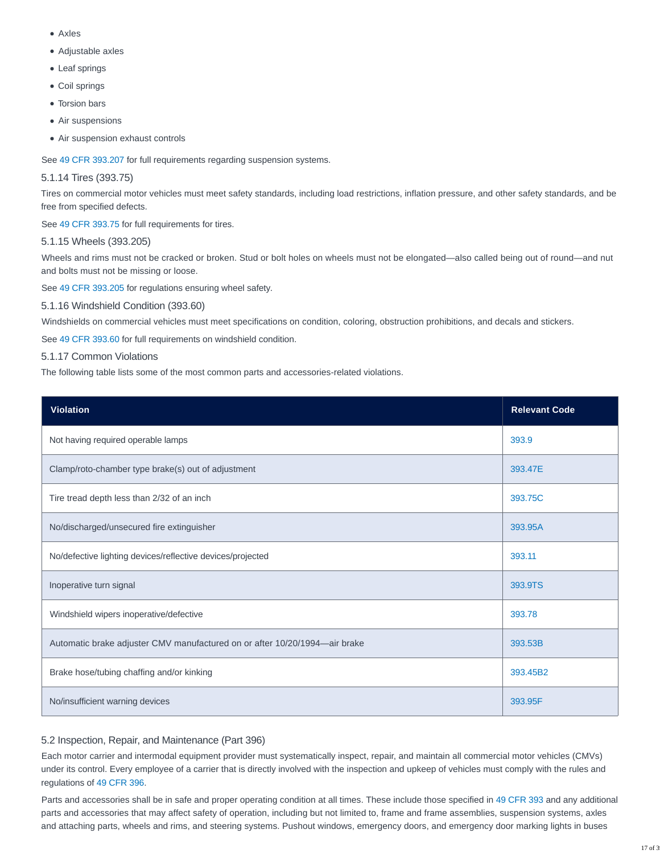- Axles
- Adjustable axles
- Leaf springs
- Coil springs
- Torsion bars
- Air suspensions
- Air suspension exhaust controls

See [49 CFR 393.207](http://www.ecfr.gov/cgi-bin/text-idx?SID=d17ab714955facfaca7da5e3818ed5fe&mc=true&node=se49.6.393_1207&rgn=div8) for full requirements regarding suspension systems.

# 5.1.14 Tires (393.75)

Tires on commercial motor vehicles must meet safety standards, including load restrictions, inflation pressure, and other safety standards, and be free from specified defects.

See [49 CFR 393.75](http://www.ecfr.gov/cgi-bin/text-idx?SID=ffbd09e7fced8a666734b5772f1ca2eb&mc=true&node=se49.5.393_175&rgn=div8) for full requirements for tires.

# 5.1.15 Wheels (393.205)

Wheels and rims must not be cracked or broken. Stud or bolt holes on wheels must not be elongated—also called being out of round—and nut and bolts must not be missing or loose.

See [49 CFR 393.205](http://www.ecfr.gov/cgi-bin/text-idx?SID=d17ab714955facfaca7da5e3818ed5fe&mc=true&node=se49.6.393_1205&rgn=div8) for regulations ensuring wheel safety.

5.1.16 Windshield Condition (393.60)

Windshields on commercial vehicles must meet specifications on condition, coloring, obstruction prohibitions, and decals and stickers.

See [49 CFR 393.60](http://www.ecfr.gov/cgi-bin/text-idx?SID=d17ab714955facfaca7da5e3818ed5fe&mc=true&node=se49.6.393_160&rgn=div8) for full requirements on windshield condition.

5.1.17 Common Violations

The following table lists some of the most common parts and accessories-related violations.

| <b>Violation</b>                                                           | <b>Relevant Code</b> |
|----------------------------------------------------------------------------|----------------------|
| Not having required operable lamps                                         | 393.9                |
| Clamp/roto-chamber type brake(s) out of adjustment                         | 393.47E              |
| Tire tread depth less than 2/32 of an inch                                 | 393.75C              |
| No/discharged/unsecured fire extinguisher                                  | 393.95A              |
| No/defective lighting devices/reflective devices/projected                 | 393.11               |
| Inoperative turn signal                                                    | 393.9TS              |
| Windshield wipers inoperative/defective                                    | 393.78               |
| Automatic brake adjuster CMV manufactured on or after 10/20/1994-air brake | 393.53B              |
| Brake hose/tubing chaffing and/or kinking                                  | 393.45B2             |
| No/insufficient warning devices                                            | 393.95F              |

# 5.2 Inspection, Repair, and Maintenance (Part 396)

Each motor carrier and intermodal equipment provider must systematically inspect, repair, and maintain all commercial motor vehicles (CMVs) under its control. Every employee of a carrier that is directly involved with the inspection and upkeep of vehicles must comply with the rules and regulations of [49 CFR 396.](http://www.ecfr.gov/cgi-bin/text-idx?SID=01440a5026bcf5e40b373f859639b812&mc=true&node=pt49.5.396&rgn=div5)

Parts and accessories shall be in safe and proper operating condition at all times. These include those specified in [49 CFR 393](https://www.ecfr.gov/cgi-bin/text-idx?SID=55178c106ed361350fc6b4c4df20516b&mc=true&tpl=/ecfrbrowse/Title49/49cfr393_main_02.tpl) and any additional parts and accessories that may affect safety of operation, including but not limited to, frame and frame assemblies, suspension systems, axles and attaching parts, wheels and rims, and steering systems. Pushout windows, emergency doors, and emergency door marking lights in buses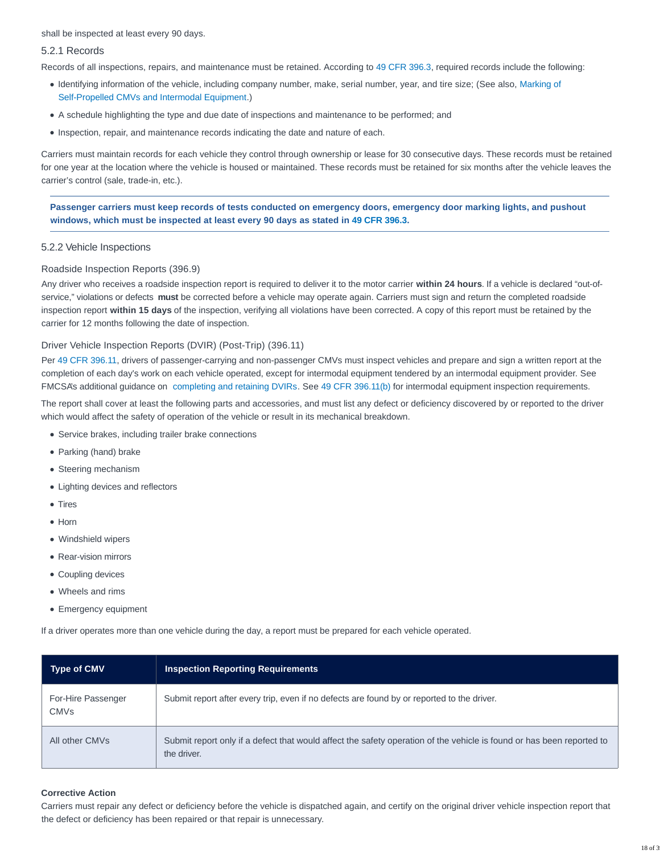shall be inspected at least every 90 days.

#### 5.2.1 Records

Records of all inspections, repairs, and maintenance must be retained. According to [49 CFR 396.3,](http://www.ecfr.gov/cgi-bin/text-idx?SID=d17ab714955facfaca7da5e3818ed5fe&mc=true&node=se49.6.393_13&rgn=div8) required records include the following:

- Identifying information of the vehicle, including company number, make, serial number, year, and tire size; (See also, [Marking of](https://csa.fmcsa.dot.gov/safetyplanner/myfiles/SubSections.aspx?ch=21&sec=59&sub=114) Self-Propelled CMVs and Intermodal Equipment.)
- A schedule highlighting the type and due date of inspections and maintenance to be performed; and
- Inspection, repair, and maintenance records indicating the date and nature of each.

Carriers must maintain records for each vehicle they control through ownership or lease for 30 consecutive days. These records must be retained for one year at the location where the vehicle is housed or maintained. These records must be retained for six months after the vehicle leaves the carrier's control (sale, trade-in, etc.).

**Passenger carriers must keep records of tests conducted on emergency doors, emergency door marking lights, and pushout windows, which must be inspected at least every 90 days as stated in [49 CFR 396.3.](http://www.ecfr.gov/cgi-bin/text-idx?SID=e15306c055004754fa499fc855fb4f17&mc=true&node=pt49.5.396&rgn=div5#se49.5.396_13)**

#### 5.2.2 Vehicle Inspections

#### Roadside Inspection Reports (396.9)

Any driver who receives a roadside inspection report is required to deliver it to the motor carrier **within 24 hours**. If a vehicle is declared "out-ofservice," violations or defects **must** be corrected before a vehicle may operate again. Carriers must sign and return the completed roadside inspection report **within 15 days** of the inspection, verifying all violations have been corrected. A copy of this report must be retained by the carrier for 12 months following the date of inspection.

### Driver Vehicle Inspection Reports (DVIR) (Post-Trip) (396.11)

Per [49 CFR 396.11,](https://www.ecfr.gov/cgi-bin/text-idx?SID=51a9a8b4cb86d7cc6434504ca61fa69f&mc=true&node=se49.5.396_111&rgn=div8) drivers of passenger-carrying and non-passenger CMVs must inspect vehicles and prepare and sign a written report at the completion of each day's work on each vehicle operated, except for intermodal equipment tendered by an intermodal equipment provider. See FMCSA's additional guidance on [completing and retaining DVIRs.](https://www.fmcsa.dot.gov/regulations/title49/section/396.11) See [49 CFR 396.11\(b\)](https://www.ecfr.gov/cgi-bin/text-idx?SID=51a9a8b4cb86d7cc6434504ca61fa69f&mc=true&node=se49.5.396_111&rgn=div8) for intermodal equipment inspection requirements.

The report shall cover at least the following parts and accessories, and must list any defect or deficiency discovered by or reported to the driver which would affect the safety of operation of the vehicle or result in its mechanical breakdown.

- Service brakes, including trailer brake connections
- Parking (hand) brake
- Steering mechanism
- Lighting devices and reflectors
- Tires
- Horn
- Windshield wipers
- Rear-vision mirrors
- Coupling devices
- Wheels and rims
- Emergency equipment

If a driver operates more than one vehicle during the day, a report must be prepared for each vehicle operated.

| <b>Type of CMV</b>                | <b>Inspection Reporting Requirements</b>                                                                                             |
|-----------------------------------|--------------------------------------------------------------------------------------------------------------------------------------|
| For-Hire Passenger<br><b>CMVs</b> | Submit report after every trip, even if no defects are found by or reported to the driver.                                           |
| All other CMVs                    | Submit report only if a defect that would affect the safety operation of the vehicle is found or has been reported to<br>the driver. |

#### **Corrective Action**

Carriers must repair any defect or deficiency before the vehicle is dispatched again, and certify on the original driver vehicle inspection report that the defect or deficiency has been repaired or that repair is unnecessary.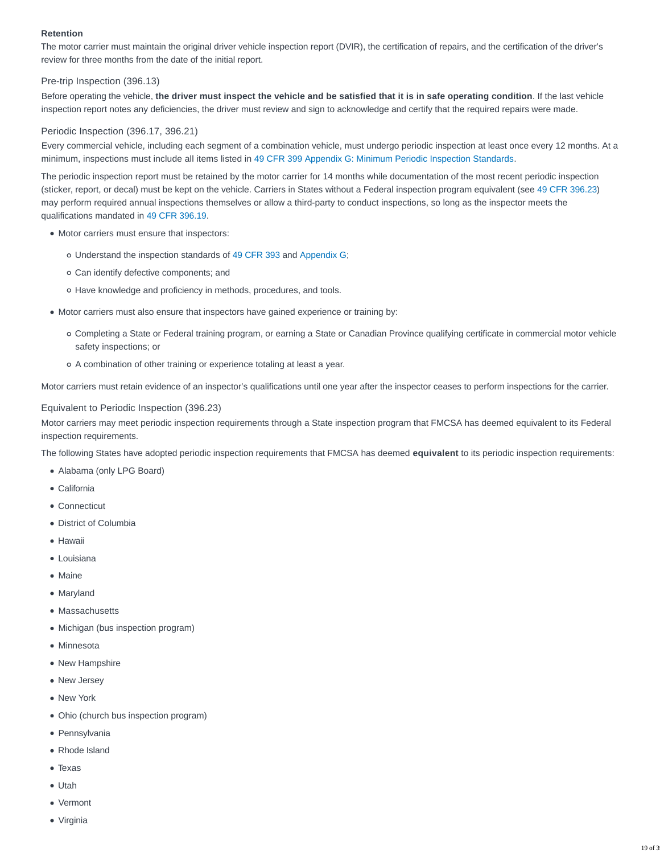## **Retention**

The motor carrier must maintain the original driver vehicle inspection report (DVIR), the certification of repairs, and the certification of the driver's review for three months from the date of the initial report.

# Pre-trip Inspection (396.13)

Before operating the vehicle, **the driver must inspect the vehicle and be satisfied that it is in safe operating condition**. If the last vehicle inspection report notes any deficiencies, the driver must review and sign to acknowledge and certify that the required repairs were made.

# Periodic Inspection (396.17, 396.21)

Every commercial vehicle, including each segment of a combination vehicle, must undergo periodic inspection at least once every 12 months. At a minimum, inspections must include all items listed in [49 CFR 399 Appendix G: Minimum Periodic Inspection Standards.](http://www.ecfr.gov/cgi-bin/text-idx?SID=3a7abe825df5c2cdc83d21db37dfe0c4&mc=true&node=pt49.5.399&rgn=div5#ap49.5.399_1211.g)

The periodic inspection report must be retained by the motor carrier for 14 months while documentation of the most recent periodic inspection (sticker, report, or decal) must be kept on the vehicle. Carriers in States without a Federal inspection program equivalent (see [49 CFR 396.23\)](https://www.ecfr.gov/cgi-bin/text-idx?SID=51a9a8b4cb86d7cc6434504ca61fa69f&mc=true&node=se49.5.396_123&rgn=div8) may perform required annual inspections themselves or allow a third-party to conduct inspections, so long as the inspector meets the qualifications mandated in [49 CFR 396.19.](https://www.ecfr.gov/cgi-bin/text-idx?SID=51a9a8b4cb86d7cc6434504ca61fa69f&mc=true&node=se49.5.396_119&rgn=div8)

- Motor carriers must ensure that inspectors:
	- Understand the inspection standards of [49 CFR 393](http://www.ecfr.gov/cgi-bin/text-idx?SID=6efce565f0ca0f78019dc4ca390da960&mc=true&node=pt49.5.393&rgn=div5) and [Appendix G;](http://www.ecfr.gov/cgi-bin/text-idx?SID=6efce565f0ca0f78019dc4ca390da960&mc=true&node=pt49.5.399&rgn=div5#ap49.5.399_1211.g)
	- Can identify defective components; and
	- o Have knowledge and proficiency in methods, procedures, and tools.
- $\bullet$  Motor carriers must also ensure that inspectors have gained experience or training by:
	- Completing a State or Federal training program, or earning a State or Canadian Province qualifying certificate in commercial motor vehicle safety inspections; or
	- A combination of other training or experience totaling at least a year.

Motor carriers must retain evidence of an inspector's qualifications until one year after the inspector ceases to perform inspections for the carrier.

### Equivalent to Periodic Inspection (396.23)

Motor carriers may meet periodic inspection requirements through a State inspection program that FMCSA has deemed equivalent to its Federal inspection requirements.

The following States have adopted periodic inspection requirements that FMCSA has deemed **equivalent** to its periodic inspection requirements:

- Alabama (only LPG Board)
- California
- Connecticut
- District of Columbia
- Hawaii
- Louisiana
- Maine
- Maryland
- Massachusetts
- Michigan (bus inspection program)
- Minnesota
- New Hampshire
- New Jersey
- New York
- Ohio (church bus inspection program)
- Pennsylvania
- Rhode Island
- Texas
- Utah
- Vermont
- Virginia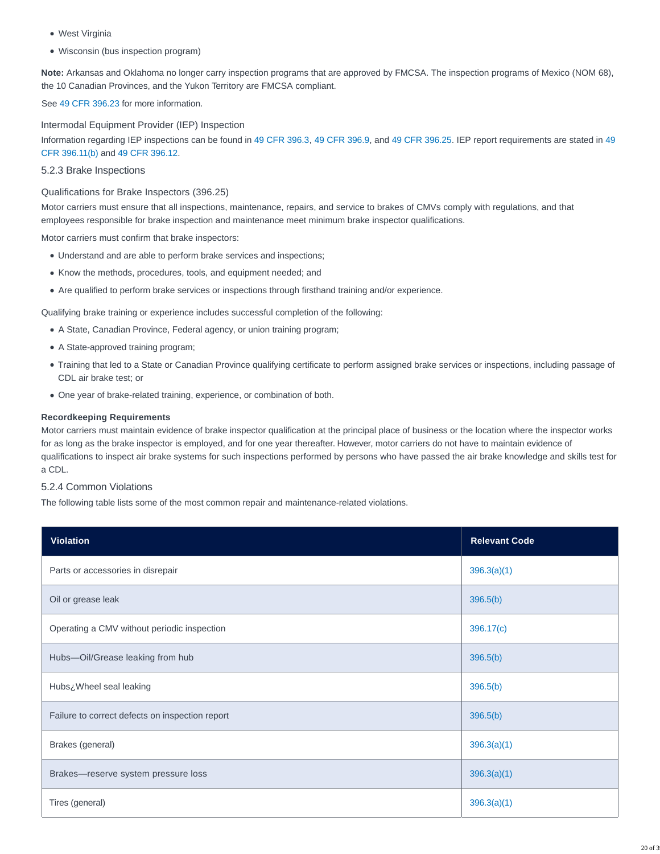- West Virginia
- Wisconsin (bus inspection program)

**Note:** Arkansas and Oklahoma no longer carry inspection programs that are approved by FMCSA. The inspection programs of Mexico (NOM 68), the 10 Canadian Provinces, and the Yukon Territory are FMCSA compliant.

See [49 CFR 396.23](https://www.ecfr.gov/cgi-bin/text-idx?SID=51a9a8b4cb86d7cc6434504ca61fa69f&mc=true&node=se49.5.396_123&rgn=div8) for more information.

Intermodal Equipment Provider (IEP) Inspection Information regarding IEP inspections can be found in [49 CFR 396.3,](https://www.ecfr.gov/cgi-bin/text-idx?SID=51a9a8b4cb86d7cc6434504ca61fa69f&mc=true&node=se49.5.396_13&rgn=div8) [49 CFR 396.9,](https://www.ecfr.gov/cgi-bin/text-idx?SID=51a9a8b4cb86d7cc6434504ca61fa69f&mc=true&node=se49.5.396_19&rgn=div8) and [49 CFR 396.25.](https://www.ecfr.gov/cgi-bin/text-idx?SID=51a9a8b4cb86d7cc6434504ca61fa69f&mc=true&node=se49.5.396_125&rgn=div8) IEP report requirements are stated in [49](https://www.ecfr.gov/cgi-bin/text-idx?SID=51a9a8b4cb86d7cc6434504ca61fa69f&mc=true&node=se49.5.396_111&rgn=div8) CFR 396.11(b) and [49 CFR 396.12.](https://www.ecfr.gov/cgi-bin/text-idx?SID=51a9a8b4cb86d7cc6434504ca61fa69f&mc=true&node=se49.5.396_112&rgn=div8)

## 5.2.3 Brake Inspections

## Qualifications for Brake Inspectors (396.25)

Motor carriers must ensure that all inspections, maintenance, repairs, and service to brakes of CMVs comply with regulations, and that employees responsible for brake inspection and maintenance meet minimum brake inspector qualifications.

Motor carriers must confirm that brake inspectors:

- Understand and are able to perform brake services and inspections;
- Know the methods, procedures, tools, and equipment needed; and
- Are qualified to perform brake services or inspections through firsthand training and/or experience.

Qualifying brake training or experience includes successful completion of the following:

- A State, Canadian Province, Federal agency, or union training program;
- A State-approved training program;
- Training that led to a State or Canadian Province qualifying certificate to perform assigned brake services or inspections, including passage of CDL air brake test; or
- One year of brake-related training, experience, or combination of both.

### **Recordkeeping Requirements**

Motor carriers must maintain evidence of brake inspector qualification at the principal place of business or the location where the inspector works for as long as the brake inspector is employed, and for one year thereafter. However, motor carriers do not have to maintain evidence of qualifications to inspect air brake systems for such inspections performed by persons who have passed the air brake knowledge and skills test for a CDL.

# 5.2.4 Common Violations

The following table lists some of the most common repair and maintenance-related violations.

| <b>Violation</b>                                | <b>Relevant Code</b> |
|-------------------------------------------------|----------------------|
| Parts or accessories in disrepair               | 396.3(a)(1)          |
| Oil or grease leak                              | 396.5(b)             |
| Operating a CMV without periodic inspection     | 396.17(c)            |
| Hubs-Oil/Grease leaking from hub                | 396.5(b)             |
| Hubs¿Wheel seal leaking                         | 396.5(b)             |
| Failure to correct defects on inspection report | 396.5(b)             |
| Brakes (general)                                | 396.3(a)(1)          |
| Brakes-reserve system pressure loss             | 396.3(a)(1)          |
| Tires (general)                                 | 396.3(a)(1)          |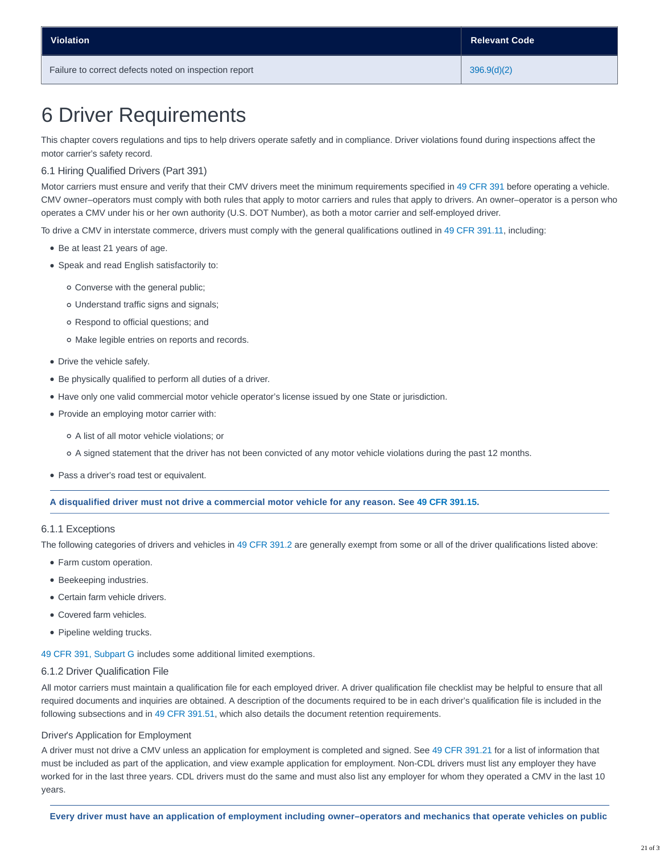# 6 Driver Requirements

This chapter covers regulations and tips to help drivers operate safetly and in compliance. Driver violations found during inspections affect the motor carrier's safety record.

#### 6.1 Hiring Qualified Drivers (Part 391)

Motor carriers must ensure and verify that their CMV drivers meet the minimum requirements specified in [49 CFR 391](http://www.ecfr.gov/cgi-bin/text-idx?SID=c639bc4bdb4e6a0fd8f1deacd9df3308&mc=true&node=pt49.5.391&rgn=div5) before operating a vehicle. CMV owner–operators must comply with both rules that apply to motor carriers and rules that apply to drivers. An owner–operator is a person who operates a CMV under his or her own authority (U.S. DOT Number), as both a motor carrier and self-employed driver.

To drive a CMV in interstate commerce, drivers must comply with the general qualifications outlined in [49 CFR 391.11,](https://www.ecfr.gov/cgi-bin/text-idx?SID=51a9a8b4cb86d7cc6434504ca61fa69f&mc=true&node=se49.5.391_111&rgn=div8) including:

- Be at least 21 years of age.
- Speak and read English satisfactorily to:
	- Converse with the general public;
	- Understand traffic signs and signals;
	- Respond to official questions; and
	- Make legible entries on reports and records.
- Drive the vehicle safely.
- Be physically qualified to perform all duties of a driver.
- Have only one valid commercial motor vehicle operator's license issued by one State or jurisdiction.
- Provide an employing motor carrier with:
	- A list of all motor vehicle violations; or
	- A signed statement that the driver has not been convicted of any motor vehicle violations during the past 12 months.
- Pass a driver's road test or equivalent.

#### **A disqualified driver must not drive a commercial motor vehicle for any reason. See [49 CFR 391.15.](https://www.ecfr.gov/cgi-bin/text-idx?SID=51a9a8b4cb86d7cc6434504ca61fa69f&mc=true&node=se49.5.391_115&rgn=div8)**

#### 6.1.1 Exceptions

The following categories of drivers and vehicles in [49 CFR 391.2](https://www.ecfr.gov/cgi-bin/text-idx?SID=51a9a8b4cb86d7cc6434504ca61fa69f&mc=true&node=se49.5.391_12&rgn=div8) are generally exempt from some or all of the driver qualifications listed above:

- Farm custom operation.
- Beekeeping industries.
- Certain farm vehicle drivers.
- Covered farm vehicles.
- Pipeline welding trucks.

[49 CFR 391, Subpart G](https://www.ecfr.gov/cgi-bin/retrieveECFR?gp=&SID=14e0a719f159dbcf6b3c38fc07239743&mc=true&n=sp49.5.391.g&r=SUBPART&ty=HTML) includes some additional limited exemptions.

#### 6.1.2 Driver Qualification File

All motor carriers must maintain a qualification file for each employed driver. A driver qualification file checklist may be helpful to ensure that all required documents and inquiries are obtained. A description of the documents required to be in each driver's qualification file is included in the following subsections and in [49 CFR 391.51,](https://www.ecfr.gov/cgi-bin/text-idx?SID=51a9a8b4cb86d7cc6434504ca61fa69f&mc=true&node=se49.5.391_151&rgn=div8) which also details the document retention requirements.

#### Driver's Application for Employment

A driver must not drive a CMV unless an application for employment is completed and signed. See [49 CFR 391.21](https://www.ecfr.gov/cgi-bin/text-idx?SID=51a9a8b4cb86d7cc6434504ca61fa69f&mc=true&node=se49.5.391_121&rgn=div8) for a list of information that must be included as part of the application, and view example application for employment. Non-CDL drivers must list any employer they have worked for in the last three years. CDL drivers must do the same and must also list any employer for whom they operated a CMV in the last 10 years.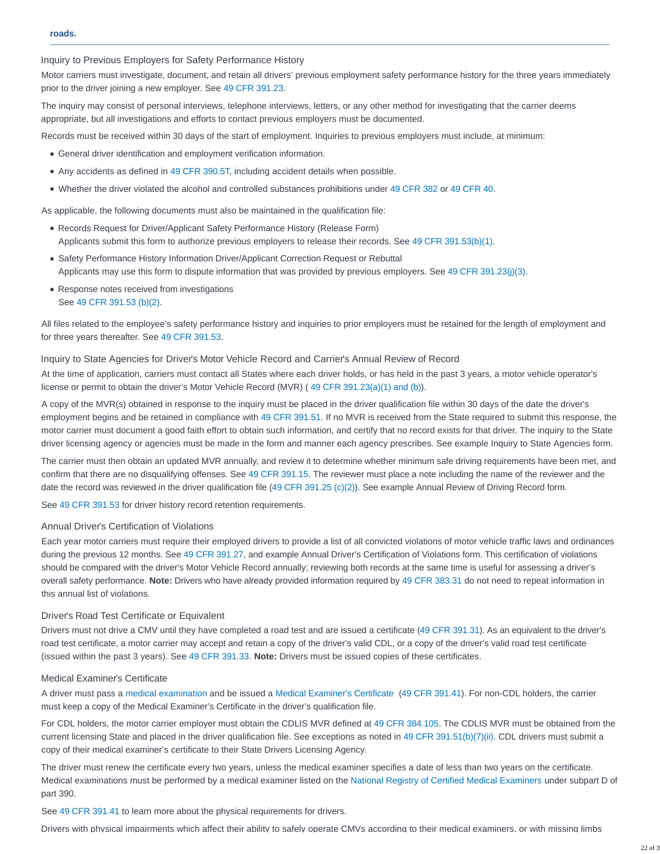Inquiry to Previous Employers for Safety Performance History

Motor carriers must investigate, document, and retain all drivers' previous employment safety performance history for the three years immediately prior to the driver joining a new employer. See [49 CFR 391.23.](https://www.ecfr.gov/cgi-bin/text-idx?SID=51a9a8b4cb86d7cc6434504ca61fa69f&mc=true&node=se49.5.391_123&rgn=div8)

The inquiry may consist of personal interviews, telephone interviews, letters, or any other method for investigating that the carrier deems appropriate, but all investigations and efforts to contact previous employers must be documented.

Records must be received within 30 days of the start of employment. Inquiries to previous employers must include, at minimum:

- General driver identification and employment verification information.
- Any accidents as defined in [49 CFR 390.5T,](https://www.ecfr.gov/cgi-bin/text-idx?SID=51a9a8b4cb86d7cc6434504ca61fa69f&mc=true&node=se49.5.391_15t&rgn=div8) including accident details when possible.
- Whether the driver violated the alcohol and controlled substances prohibitions under [49 CFR 382](https://www.ecfr.gov/cgi-bin/text-idx?SID=9ccb74d3ab6bda2d25312d3e03ab6453&mc=true&tpl=/ecfrbrowse/Title49/49cfr382_main_02.tpl) or [49 CFR 40.](https://www.ecfr.gov/cgi-bin/text-idx?SID=48ac0d1aac621234c0920138a300326e&mc=true&tpl=/ecfrbrowse/Title49/49cfr40_main_02.tpl)

As applicable, the following documents must also be maintained in the qualification file:

- Records Request for Driver/Applicant Safety Performance History (Release Form) Applicants submit this form to authorize previous employers to release their records. See [49 CFR 391.53\(b\)\(1\).](https://www.ecfr.gov/cgi-bin/text-idx?SID=51a9a8b4cb86d7cc6434504ca61fa69f&mc=true&node=se49.5.391_153&rgn=div8)
- **Safety Performance History Information Driver/Applicant Correction Request or Rebuttal** Applicants may use this form to dispute information that was provided by previous employers. See [49 CFR 391.23\(j\)\(3\).](https://www.ecfr.gov/cgi-bin/text-idx?SID=51a9a8b4cb86d7cc6434504ca61fa69f&mc=true&node=se49.5.391_123&rgn=div8)
- Response notes received from investigations See [49 CFR 391.53 \(b\)\(2\).](https://www.ecfr.gov/cgi-bin/text-idx?SID=51a9a8b4cb86d7cc6434504ca61fa69f&mc=true&node=se49.5.391_153&rgn=div8)

All files related to the employee's safety performance history and inquiries to prior employers must be retained for the length of employment and for three years thereafter. See [49 CFR 391.53.](https://www.ecfr.gov/cgi-bin/text-idx?SID=51a9a8b4cb86d7cc6434504ca61fa69f&mc=true&node=se49.5.391_153&rgn=div8)

#### Inquiry to State Agencies for Driver's Motor Vehicle Record and Carrier's Annual Review of Record

At the time of application, carriers must contact all States where each driver holds, or has held in the past 3 years, a motor vehicle operator's license or permit to obtain the driver's Motor Vehicle Record (MVR) ( [49 CFR 391.23\(a\)\(1\) and \(b\)\)](https://www.ecfr.gov/cgi-bin/text-idx?SID=51a9a8b4cb86d7cc6434504ca61fa69f&mc=true&node=se49.5.391_123&rgn=div8).

A copy of the MVR(s) obtained in response to the inquiry must be placed in the driver qualification file within 30 days of the date the driver's employment begins and be retained in compliance with [49 CFR 391.51.](https://www.ecfr.gov/cgi-bin/text-idx?SID=51a9a8b4cb86d7cc6434504ca61fa69f&mc=true&node=se49.5.391_151&rgn=div8) If no MVR is received from the State required to submit this response, the motor carrier must document a good faith effort to obtain such information, and certify that no record exists for that driver. The inquiry to the State driver licensing agency or agencies must be made in the form and manner each agency prescribes. See example Inquiry to State Agencies form.

The carrier must then obtain an updated MVR annually, and review it to determine whether minimum safe driving requirements have been met, and confirm that there are no disqualifying offenses. See [49 CFR 391.15.](https://www.ecfr.gov/cgi-bin/text-idx?SID=51a9a8b4cb86d7cc6434504ca61fa69f&mc=true&node=se49.5.391_115&rgn=div8) The reviewer must place a note including the name of the reviewer and the date the record was reviewed in the driver qualification file [\(49 CFR 391.25 \(c\)\(2\)\)](https://www.ecfr.gov/cgi-bin/text-idx?SID=51a9a8b4cb86d7cc6434504ca61fa69f&mc=true&node=se49.5.391_125&rgn=div8). See example Annual Review of Driving Record form.

See [49 CFR 391.53](https://www.ecfr.gov/cgi-bin/text-idx?SID=51a9a8b4cb86d7cc6434504ca61fa69f&mc=true&node=se49.5.391_153&rgn=div8) for driver history record retention requirements.

# Annual Driver's Certification of Violations

Each year motor carriers must require their employed drivers to provide a list of all convicted violations of motor vehicle traffic laws and ordinances during the previous 12 months. See [49 CFR 391.27,](https://www.ecfr.gov/cgi-bin/text-idx?SID=51a9a8b4cb86d7cc6434504ca61fa69f&mc=true&node=se49.5.391_127&rgn=div8) and example Annual Driver's Certification of Violations form. This certification of violations should be compared with the driver's Motor Vehicle Record annually; reviewing both records at the same time is useful for assessing a driver's overall safety performance. **Note:** Drivers who have already provided information required by [49 CFR 383.31](https://www.ecfr.gov/cgi-bin/text-idx?SID=51a9a8b4cb86d7cc6434504ca61fa69f&mc=true&node=se49.5.383_131&rgn=div8) do not need to repeat information in this annual list of violations.

#### Driver's Road Test Certificate or Equivalent

Drivers must not drive a CMV until they have completed a road test and are issued a certificate [\(49 CFR 391.31\)](https://www.ecfr.gov/cgi-bin/text-idx?SID=51a9a8b4cb86d7cc6434504ca61fa69f&mc=true&node=se49.5.391_131&rgn=div8). As an equivalent to the driver's road test certificate, a motor carrier may accept and retain a copy of the driver's valid CDL, or a copy of the driver's valid road test certificate (issued within the past 3 years). See [49 CFR 391.33.](https://www.ecfr.gov/cgi-bin/text-idx?SID=51a9a8b4cb86d7cc6434504ca61fa69f&mc=true&node=se49.5.391_133&rgn=div8) **Note:** Drivers must be issued copies of these certificates.

#### Medical Examiner's Certificate

A driver must pass a [medical examination](https://www.fmcsa.dot.gov/sites/fmcsa.dot.gov/files/docs/MedicalExaminationReportFormMCSA-5875.pdf) and be issued a [Medical Examiner's Certificate](https://www.fmcsa.dot.gov/regulations/medical/medical-examiners-certificate-commercial-driver-medical-certification) [\(49 CFR 391.41\)](https://www.ecfr.gov/cgi-bin/text-idx?SID=51a9a8b4cb86d7cc6434504ca61fa69f&mc=true&node=se49.5.391_141&rgn=div8). For non-CDL holders, the carrier must keep a copy of the Medical Examiner's Certificate in the driver's qualification file.

For CDL holders, the motor carrier employer must obtain the CDLIS MVR defined at [49 CFR 384.105.](https://www.ecfr.gov/cgi-bin/text-idx?SID=51a9a8b4cb86d7cc6434504ca61fa69f&mc=true&node=se49.5.384_1105&rgn=div8) The CDLIS MVR must be obtained from the current licensing State and placed in the driver qualification file. See exceptions as noted in [49 CFR 391.51\(b\)\(7\)\(ii\).](https://www.ecfr.gov/cgi-bin/text-idx?SID=51a9a8b4cb86d7cc6434504ca61fa69f&mc=true&node=se49.5.391_151&rgn=div8) CDL drivers must submit a copy of their medical examiner's certificate to their State Drivers Licensing Agency.

The driver must renew the certificate every two years, unless the medical examiner specifies a date of less than two years on the certificate. Medical examinations must be performed by a medical examiner listed on the [National Registry of Certified Medical Examiners](https://nationalregistry.fmcsa.dot.gov/NRPublicUI/home.seam) under subpart D of part 390.

See [49 CFR 391.41](https://www.ecfr.gov/cgi-bin/text-idx?SID=51a9a8b4cb86d7cc6434504ca61fa69f&mc=true&node=se49.5.391_141&rgn=div8) to learn more about the physical requirements for drivers.

Drivers with physical impairments which affect their ability to safely operate CMVs according to their medical examiners, or with missing limbs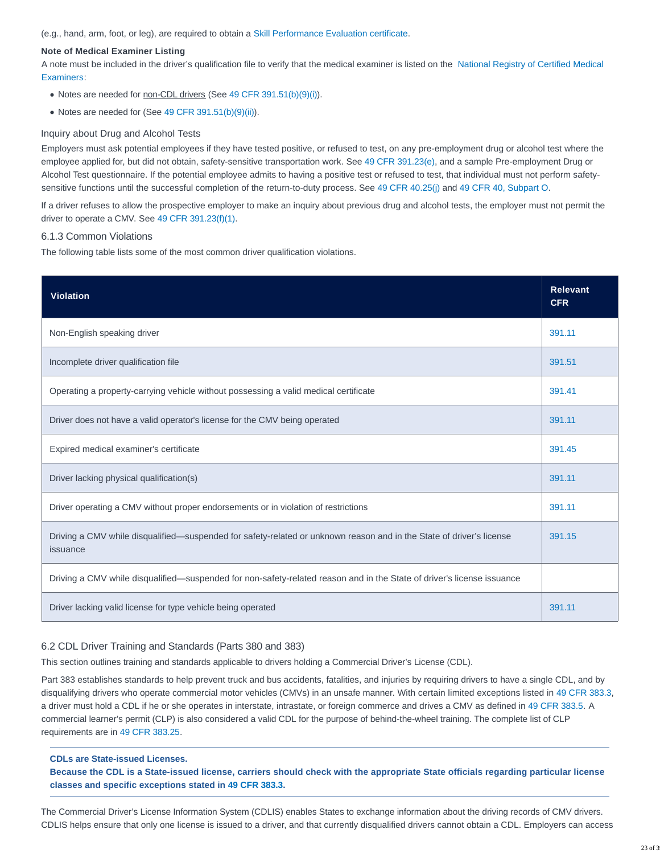(e.g., hand, arm, foot, or leg), are required to obtain a [Skill Performance Evaluation certificate.](https://www.fmcsa.dot.gov/medical/driver-medical-requirements/skill-performance-evaluation-certificate-program)

#### **Note of Medical Examiner Listing**

A note must be included in the driver's qualification file to verify that the medical examiner is listed on the [National Registry of Certified Medical](https://nationalregistry.fmcsa.dot.gov/NRPublicUI/home.seam) Examiners:

- Notes are needed for non-CDL drivers (See [49 CFR 391.51\(b\)\(9\)\(i\)\)](http://www.ecfr.gov/cgi-bin/text-idx?SID=51f95a95ac57663d294af73fb3f7735b&mc=true&node=se49.5.391_151&rgn=div8).
- Notes are needed for (See [49 CFR 391.51\(b\)\(9\)\(ii\)\)](http://www.ecfr.gov/cgi-bin/text-idx?SID=51f95a95ac57663d294af73fb3f7735b&mc=true&node=se49.5.391_151&rgn=div8).

#### Inquiry about Drug and Alcohol Tests

Employers must ask potential employees if they have tested positive, or refused to test, on any pre-employment drug or alcohol test where the employee applied for, but did not obtain, safety-sensitive transportation work. See [49 CFR 391.23\(e\),](http://www.ecfr.gov/cgi-bin/text-idx?SID=51f95a95ac57663d294af73fb3f7735b&mc=true&node=se49.5.391_123&rgn=div8) and a sample Pre-employment Drug or Alcohol Test questionnaire. If the potential employee admits to having a positive test or refused to test, that individual must not perform safetysensitive functions until the successful completion of the return-to-duty process. See [49 CFR 40.25\(j\)](https://www.ecfr.gov/cgi-bin/text-idx?SID=51a9a8b4cb86d7cc6434504ca61fa69f&mc=true&node=se49.5.40_125&rgn=div8) and [49 CFR 40, Subpart O.](https://www.ecfr.gov/cgi-bin/retrieveECFR?gp=&amp;amp;SID=14e0a719f159dbcf6b3c38fc07239743&mc=true&n=sp49.5.40.o&r=SUBPART&ty=HTML)

If a driver refuses to allow the prospective employer to make an inquiry about previous drug and alcohol tests, the employer must not permit the driver to operate a CMV. See [49 CFR 391.23\(f\)\(1\).](https://www.ecfr.gov/cgi-bin/text-idx?SID=51a9a8b4cb86d7cc6434504ca61fa69f&mc=true&node=se49.5.391_123&rgn=div8)

#### 6.1.3 Common Violations

The following table lists some of the most common driver qualification violations.

| <b>Violation</b>                                                                                                                 | <b>Relevant</b><br><b>CFR</b> |
|----------------------------------------------------------------------------------------------------------------------------------|-------------------------------|
| Non-English speaking driver                                                                                                      | 391.11                        |
| Incomplete driver qualification file                                                                                             | 391.51                        |
| Operating a property-carrying vehicle without possessing a valid medical certificate                                             | 391.41                        |
| Driver does not have a valid operator's license for the CMV being operated                                                       | 391.11                        |
| Expired medical examiner's certificate                                                                                           | 391.45                        |
| Driver lacking physical qualification(s)                                                                                         | 391.11                        |
| Driver operating a CMV without proper endorsements or in violation of restrictions                                               | 391.11                        |
| Driving a CMV while disqualified—suspended for safety-related or unknown reason and in the State of driver's license<br>issuance | 391.15                        |
| Driving a CMV while disqualified—suspended for non-safety-related reason and in the State of driver's license issuance           |                               |
| Driver lacking valid license for type vehicle being operated                                                                     | 391.11                        |

#### 6.2 CDL Driver Training and Standards (Parts 380 and 383)

This section outlines training and standards applicable to drivers holding a Commercial Driver's License (CDL).

Part 383 establishes standards to help prevent truck and bus accidents, fatalities, and injuries by requiring drivers to have a single CDL, and by disqualifying drivers who operate commercial motor vehicles (CMVs) in an unsafe manner. With certain limited exceptions listed in [49 CFR 383.3,](https://www.ecfr.gov/cgi-bin/text-idx?SID=51a9a8b4cb86d7cc6434504ca61fa69f&mc=true&node=se49.5.383_13&rgn=div8) a driver must hold a CDL if he or she operates in interstate, intrastate, or foreign commerce and drives a CMV as defined in [49 CFR 383.5.](https://www.ecfr.gov/cgi-bin/text-idx?SID=51a9a8b4cb86d7cc6434504ca61fa69f&mc=true&node=se49.5.385_15&rgn=div8) A commercial learner's permit (CLP) is also considered a valid CDL for the purpose of behind-the-wheel training. The complete list of CLP requirements are in [49 CFR 383.25.](https://www.ecfr.gov/cgi-bin/text-idx?SID=51a9a8b4cb86d7cc6434504ca61fa69f&mc=true&node=se49.5.383_125&rgn=div8)

#### **CDLs are State-issued Licenses.**

**Because the CDL is a State-issued license, carriers should check with the appropriate State officials regarding particular license classes and specific exceptions stated in [49 CFR 383.3.](https://www.ecfr.gov/cgi-bin/text-idx?SID=51a9a8b4cb86d7cc6434504ca61fa69f&mc=true&node=se49.5.383_13&rgn=div8)**

The Commercial Driver's License Information System (CDLIS) enables States to exchange information about the driving records of CMV drivers. CDLIS helps ensure that only one license is issued to a driver, and that currently disqualified drivers cannot obtain a CDL. Employers can access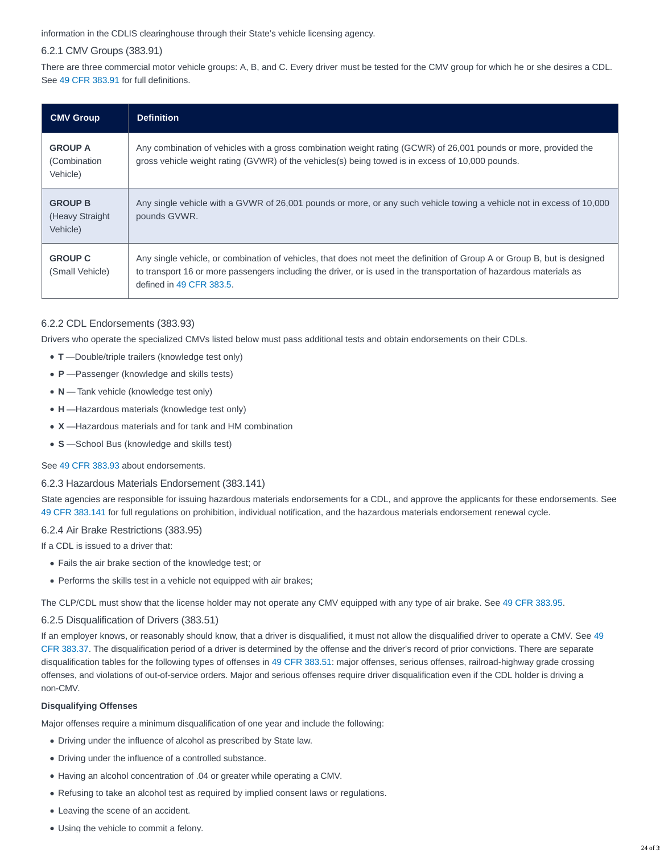information in the CDLIS clearinghouse through their State's vehicle licensing agency.

# 6.2.1 CMV Groups (383.91)

There are three commercial motor vehicle groups: A, B, and C. Every driver must be tested for the CMV group for which he or she desires a CDL. See [49 CFR 383.91](https://www.ecfr.gov/cgi-bin/text-idx?SID=51a9a8b4cb86d7cc6434504ca61fa69f&mc=true&node=se49.5.383_191&rgn=div8) for full definitions.

| <b>CMV Group</b>                               | <b>Definition</b>                                                                                                                                                                                                                                                           |
|------------------------------------------------|-----------------------------------------------------------------------------------------------------------------------------------------------------------------------------------------------------------------------------------------------------------------------------|
| <b>GROUP A</b><br>(Combination<br>Vehicle)     | Any combination of vehicles with a gross combination weight rating (GCWR) of 26,001 pounds or more, provided the<br>gross vehicle weight rating (GVWR) of the vehicles(s) being towed is in excess of 10,000 pounds.                                                        |
| <b>GROUP B</b><br>(Heavy Straight)<br>Vehicle) | Any single vehicle with a GVWR of 26,001 pounds or more, or any such vehicle towing a vehicle not in excess of 10,000<br>pounds GVWR.                                                                                                                                       |
| <b>GROUP C</b><br>(Small Vehicle)              | Any single vehicle, or combination of vehicles, that does not meet the definition of Group A or Group B, but is designed<br>to transport 16 or more passengers including the driver, or is used in the transportation of hazardous materials as<br>defined in 49 CFR 383.5. |

# 6.2.2 CDL Endorsements (383.93)

Drivers who operate the specialized CMVs listed below must pass additional tests and obtain endorsements on their CDLs.

- **T** —Double/triple trailers (knowledge test only)
- **P** —Passenger (knowledge and skills tests)
- N Tank vehicle (knowledge test only)
- **H** —Hazardous materials (knowledge test only)
- **X** —Hazardous materials and for tank and HM combination
- **S** —School Bus (knowledge and skills test)

# See [49 CFR 383.93](https://www.ecfr.gov/cgi-bin/text-idx?SID=51a9a8b4cb86d7cc6434504ca61fa69f&mc=true&node=se49.5.383_193&rgn=div8) about endorsements.

# 6.2.3 Hazardous Materials Endorsement (383.141)

State agencies are responsible for issuing hazardous materials endorsements for a CDL, and approve the applicants for these endorsements. See [49 CFR 383.141](https://www.ecfr.gov/cgi-bin/text-idx?SID=51a9a8b4cb86d7cc6434504ca61fa69f&mc=true&node=se49.5.383_1141&rgn=div8) for full regulations on prohibition, individual notification, and the hazardous materials endorsement renewal cycle.

# 6.2.4 Air Brake Restrictions (383.95)

If a CDL is issued to a driver that:

- Fails the air brake section of the knowledge test; or
- Performs the skills test in a vehicle not equipped with air brakes;

The CLP/CDL must show that the license holder may not operate any CMV equipped with any type of air brake. See [49 CFR 383.95.](https://www.ecfr.gov/cgi-bin/text-idx?SID=51a9a8b4cb86d7cc6434504ca61fa69f&mc=true&node=se49.5.383_195&rgn=div8)

# 6.2.5 Disqualification of Drivers (383.51)

If an employer knows, or reasonably should know, that a driver is disqualified, it must not allow the disqualified driver to operate a CMV. See [49](https://www.ecfr.gov/cgi-bin/text-idx?SID=51a9a8b4cb86d7cc6434504ca61fa69f&mc=true&node=se49.5.383_137) CFR 383.37. The disqualification period of a driver is determined by the offense and the driver's record of prior convictions. There are separate disqualification tables for the following types of offenses in [49 CFR 383.51:](https://www.ecfr.gov/cgi-bin/text-idx?SID=51a9a8b4cb86d7cc6434504ca61fa69f&mc=true&node=se49.5.383_151) major offenses, serious offenses, railroad-highway grade crossing offenses, and violations of out-of-service orders. Major and serious offenses require driver disqualification even if the CDL holder is driving a non-CMV.

## **Disqualifying Offenses**

Major offenses require a minimum disqualification of one year and include the following:

- Driving under the influence of alcohol as prescribed by State law.
- Driving under the influence of a controlled substance.
- Having an alcohol concentration of .04 or greater while operating a CMV.
- Refusing to take an alcohol test as required by implied consent laws or regulations.
- Leaving the scene of an accident.
- Using the vehicle to commit a felony.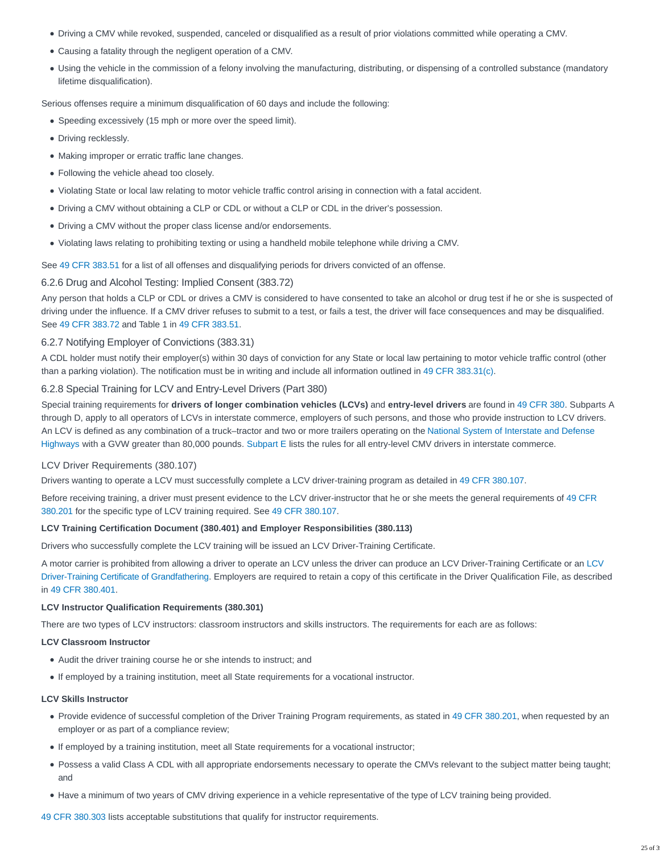- Driving a CMV while revoked, suspended, canceled or disqualified as a result of prior violations committed while operating a CMV.
- Causing a fatality through the negligent operation of a CMV.
- Using the vehicle in the commission of a felony involving the manufacturing, distributing, or dispensing of a controlled substance (mandatory lifetime disqualification).

Serious offenses require a minimum disqualification of 60 days and include the following:

- Speeding excessively (15 mph or more over the speed limit).
- Driving recklessly.
- Making improper or erratic traffic lane changes.
- Following the vehicle ahead too closely.
- Violating State or local law relating to motor vehicle traffic control arising in connection with a fatal accident.
- Driving a CMV without obtaining a CLP or CDL or without a CLP or CDL in the driver's possession.
- Driving a CMV without the proper class license and/or endorsements.
- Violating laws relating to prohibiting texting or using a handheld mobile telephone while driving a CMV.

See [49 CFR 383.51](https://www.ecfr.gov/cgi-bin/text-idx?SID=51a9a8b4cb86d7cc6434504ca61fa69f&mc=true&node=se49.5.383_151) for a list of all offenses and disqualifying periods for drivers convicted of an offense.

# 6.2.6 Drug and Alcohol Testing: Implied Consent (383.72)

Any person that holds a CLP or CDL or drives a CMV is considered to have consented to take an alcohol or drug test if he or she is suspected of driving under the influence. If a CMV driver refuses to submit to a test, or fails a test, the driver will face consequences and may be disqualified. See [49 CFR 383.72](https://www.ecfr.gov/cgi-bin/text-idx?SID=51a9a8b4cb86d7cc6434504ca61fa69f&mc=true&node=se49.5.383_172&rgn=div8) and Table 1 in [49 CFR 383.51.](https://www.ecfr.gov/cgi-bin/text-idx?SID=51a9a8b4cb86d7cc6434504ca61fa69f&mc=true&node=se49.5.383_151)

### 6.2.7 Notifying Employer of Convictions (383.31)

A CDL holder must notify their employer(s) within 30 days of conviction for any State or local law pertaining to motor vehicle traffic control (other than a parking violation). The notification must be in writing and include all information outlined in [49 CFR 383.31\(c\).](https://www.ecfr.gov/cgi-bin/text-idx?SID=51a9a8b4cb86d7cc6434504ca61fa69f&mc=true&node=se49.5.383_131&rgn=div8)

### 6.2.8 Special Training for LCV and Entry-Level Drivers (Part 380)

Special training requirements for **drivers of longer combination vehicles (LCVs)** and **entry-level drivers** are found in [49 CFR 380.](http://www.ecfr.gov/cgi-bin/text-idx?SID=3e07c96b289f432979d354750549cbf7&mc=true&node=pt49.5.380&rgn=div5) Subparts A through D, apply to all operators of LCVs in interstate commerce, employers of such persons, and those who provide instruction to LCV drivers. An LCV is defined as any combination of a truck–tractor and two or more trailers operating on the [National System of Interstate and Defense](https://www.fhwa.dot.gov/interstate/finalmap.cfm) Highways with a GVW greater than 80,000 pounds. [Subpart E](https://www.ecfr.gov/cgi-bin/retrieveECFR?gp=&SID=14e0a719f159dbcf6b3c38fc07239743&mc=true&n=sp49.5.380.e&r=SUBPART&ty=HTML) lists the rules for all entry-level CMV drivers in interstate commerce.

# LCV Driver Requirements (380.107)

Drivers wanting to operate a LCV must successfully complete a LCV driver-training program as detailed in [49 CFR 380.107.](https://www.ecfr.gov/cgi-bin/text-idx?SID=51a9a8b4cb86d7cc6434504ca61fa69f&mc=true&node=se49.5.380_1107&rgn=div8)

Before receiving training, a driver must present evidence to the LCV driver-instructor that he or she meets the general requirements of [49 CFR](https://www.ecfr.gov/cgi-bin/text-idx?SID=51a9a8b4cb86d7cc6434504ca61fa69f&mc=true&node=se49.5.380_1201&rgn=div8) 380.201 for the specific type of LCV training required. See [49 CFR 380.107.](https://www.ecfr.gov/cgi-bin/text-idx?SID=51a9a8b4cb86d7cc6434504ca61fa69f&mc=true&node=se49.5.380_1107&rgn=div8)

#### **LCV Training Certification Document (380.401) and Employer Responsibilities (380.113)**

Drivers who successfully complete the LCV training will be issued an LCV Driver-Training Certificate.

A motor carrier is prohibited from allowing a driver to operate an LCV unless the driver can produce an LCV Driver-Training Certificate or an [LCV](http://www.ecfr.gov/graphics/pdfs/er30mr04.000.pdf) Driver-Training Certificate of Grandfathering. Employers are required to retain a copy of this certificate in the Driver Qualification File, as described in [49 CFR 380.401.](https://www.ecfr.gov/cgi-bin/text-idx?SID=51a9a8b4cb86d7cc6434504ca61fa69f&mc=true&node=se49.5.380_1401&rgn=div8)

#### **LCV Instructor Qualification Requirements (380.301)**

There are two types of LCV instructors: classroom instructors and skills instructors. The requirements for each are as follows:

#### **LCV Classroom Instructor**

- Audit the driver training course he or she intends to instruct; and
- If employed by a training institution, meet all State requirements for a vocational instructor.

#### **LCV Skills Instructor**

- Provide evidence of successful completion of the Driver Training Program requirements, as stated in [49 CFR 380.201,](https://www.ecfr.gov/cgi-bin/text-idx?SID=51a9a8b4cb86d7cc6434504ca61fa69f&mc=true&node=se49.5.380_1201&rgn=div8) when requested by an employer or as part of a compliance review;
- If employed by a training institution, meet all State requirements for a vocational instructor;
- Possess a valid Class A CDL with all appropriate endorsements necessary to operate the CMVs relevant to the subject matter being taught; and
- Have a minimum of two years of CMV driving experience in a vehicle representative of the type of LCV training being provided.

[49 CFR 380.303](https://www.ecfr.gov/cgi-bin/text-idx?SID=51a9a8b4cb86d7cc6434504ca61fa69f&mc=true&node=se49.5.303_1303&rgn=div8) lists acceptable substitutions that qualify for instructor requirements.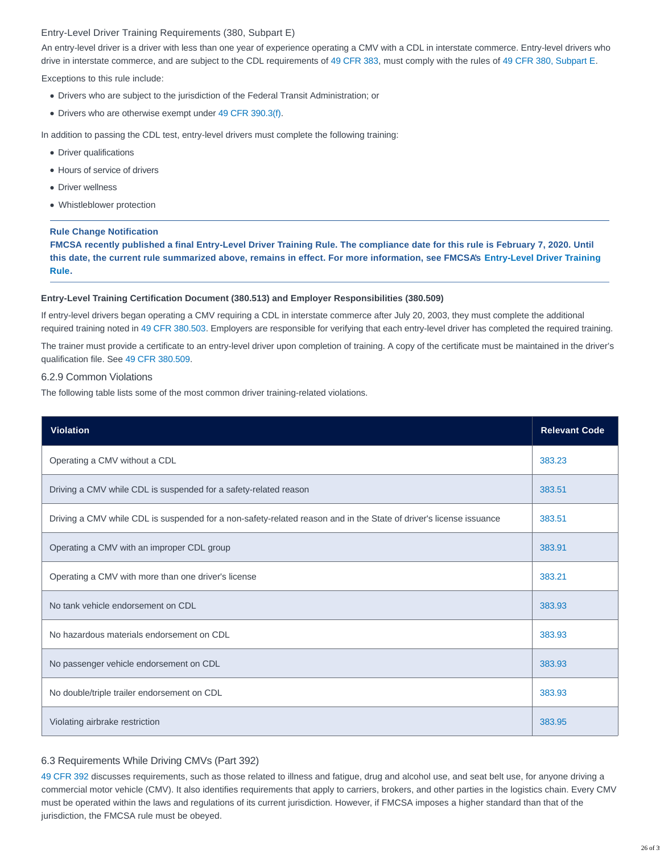#### Entry-Level Driver Training Requirements (380, Subpart E)

An entry-level driver is a driver with less than one year of experience operating a CMV with a CDL in interstate commerce. Entry-level drivers who drive in interstate commerce, and are subject to the CDL requirements of [49 CFR 383,](http://www.ecfr.gov/cgi-bin/text-idx?SID=3e07c96b289f432979d354750549cbf7&mc=true&node=pt49.5.383&rgn=div5) must comply with the rules of [49 CFR 380, Subpart E.](https://www.ecfr.gov/cgi-bin/retrieveECFR?gp=&SID=14e0a719f159dbcf6b3c38fc07239743&mc=true&n=sp49.5.380.e&r=SUBPART&ty=HTML)

Exceptions to this rule include:

- Drivers who are subject to the jurisdiction of the Federal Transit Administration; or
- Drivers who are otherwise exempt under [49 CFR 390.3\(f\).](https://www.ecfr.gov/cgi-bin/text-idx?SID=51a9a8b4cb86d7cc6434504ca61fa69f&mc=true&node=se49.5.390_13&rgn=div8)

In addition to passing the CDL test, entry-level drivers must complete the following training:

- Driver qualifications
- Hours of service of drivers
- Driver wellness
- Whistleblower protection

#### **Rule Change Notification**

**FMCSA recently published a final Entry-Level Driver Training Rule. The compliance date for this rule is February 7, 2020. Until this date, the current rule summarized above, remains in effect. For more information, see FMCSA's [Entry-Level Driver Training](https://www.fmcsa.dot.gov/registration/commercial-drivers-license/eldt) Rule.**

#### **Entry-Level Training Certification Document (380.513) and Employer Responsibilities (380.509)**

If entry-level drivers began operating a CMV requiring a CDL in interstate commerce after July 20, 2003, they must complete the additional required training noted in [49 CFR 380.503.](https://www.ecfr.gov/cgi-bin/text-idx?SID=51a9a8b4cb86d7cc6434504ca61fa69f&mc=true&node=se49.5.380_1503&rgn=div8) Employers are responsible for verifying that each entry-level driver has completed the required training.

The trainer must provide a certificate to an entry-level driver upon completion of training. A copy of the certificate must be maintained in the driver's qualification file. See [49 CFR 380.509.](https://www.ecfr.gov/cgi-bin/text-idx?SID=51a9a8b4cb86d7cc6434504ca61fa69f&mc=true&node=se49.5.380_1509&rgn=div8)

#### 6.2.9 Common Violations

The following table lists some of the most common driver training-related violations.

| <b>Violation</b>                                                                                                   | <b>Relevant Code</b> |
|--------------------------------------------------------------------------------------------------------------------|----------------------|
| Operating a CMV without a CDL                                                                                      | 383.23               |
| Driving a CMV while CDL is suspended for a safety-related reason                                                   | 383.51               |
| Driving a CMV while CDL is suspended for a non-safety-related reason and in the State of driver's license issuance | 383.51               |
| Operating a CMV with an improper CDL group                                                                         | 383.91               |
| Operating a CMV with more than one driver's license                                                                | 383.21               |
| No tank vehicle endorsement on CDL                                                                                 | 383.93               |
| No hazardous materials endorsement on CDL                                                                          | 383.93               |
| No passenger vehicle endorsement on CDL                                                                            | 383.93               |
| No double/triple trailer endorsement on CDL                                                                        | 383.93               |
| Violating airbrake restriction                                                                                     | 383.95               |

#### 6.3 Requirements While Driving CMVs (Part 392)

[49 CFR 392](http://www.ecfr.gov/cgi-bin/text-idx?SID=6be86f66c4096ac034b4e1c9028c7585&mc=true&node=pt49.5.392&rgn=div5) discusses requirements, such as those related to illness and fatigue, drug and alcohol use, and seat belt use, for anyone driving a commercial motor vehicle (CMV). It also identifies requirements that apply to carriers, brokers, and other parties in the logistics chain. Every CMV must be operated within the laws and regulations of its current jurisdiction. However, if FMCSA imposes a higher standard than that of the jurisdiction, the FMCSA rule must be obeyed.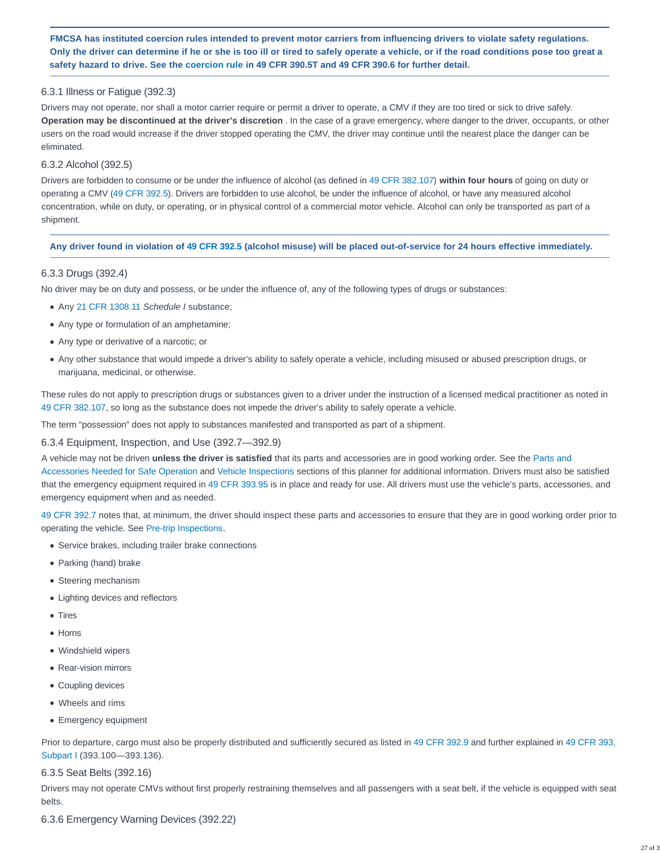**FMCSA has instituted coercion rules intended to prevent motor carriers from influencing drivers to violate safety regulations. Only the driver can determine if he or she is too ill or tired to safely operate a vehicle, or if the road conditions pose too great a safety hazard to drive. See the [coercion rule](https://csa.fmcsa.dot.gov/safetyplanner/myfiles/SubSections.aspx?ch=21&sec=59&sub=109) in 49 CFR 390.5T and 49 CFR 390.6 for further detail.**

# 6.3.1 Illness or Fatigue (392.3)

Drivers may not operate, nor shall a motor carrier require or permit a driver to operate, a CMV if they are too tired or sick to drive safely. **Operation may be discontinued at the driver's discretion** . In the case of a grave emergency, where danger to the driver, occupants, or other users on the road would increase if the driver stopped operating the CMV, the driver may continue until the nearest place the danger can be eliminated.

## 6.3.2 Alcohol (392.5)

Drivers are forbidden to consume or be under the influence of alcohol (as defined in [49 CFR 382.107\)](https://www.ecfr.gov/cgi-bin/text-idx?SID=51a9a8b4cb86d7cc6434504ca61fa69f&mc=true&node=se49.5.382_1107&rgn=div8) **within four hours** of going on duty or operating a CMV [\(49 CFR 392.5\)](https://www.ecfr.gov/cgi-bin/text-idx?SID=51a9a8b4cb86d7cc6434504ca61fa69f&mc=true&node=se49.5.392_15&rgn=div8). Drivers are forbidden to use alcohol, be under the influence of alcohol, or have any measured alcohol concentration, while on duty, or operating, or in physical control of a commercial motor vehicle. Alcohol can only be transported as part of a shipment.

### **Any driver found in violation of [49 CFR 392.5](https://www.ecfr.gov/cgi-bin/text-idx?SID=51a9a8b4cb86d7cc6434504ca61fa69f&mc=true&node=se49.5.392_15&rgn=div8) (alcohol misuse) will be placed out-of-service for 24 hours effective immediately.**

# 6.3.3 Drugs (392.4)

No driver may be on duty and possess, or be under the influence of, any of the following types of drugs or substances:

- Any [21 CFR 1308.11](https://www.ecfr.gov/cgi-bin/text-idx?SID=51a9a8b4cb86d7cc6434504ca61fa69f&mc=true&node=se21.9.1308_111&rgn=div8) Schedule I substance;
- Any type or formulation of an amphetamine;
- Any type or derivative of a narcotic; or
- Any other substance that would impede a driver's ability to safely operate a vehicle, including misused or abused prescription drugs, or marijuana, medicinal, or otherwise.

These rules do not apply to prescription drugs or substances given to a driver under the instruction of a licensed medical practitioner as noted in [49 CFR 382.107,](https://www.ecfr.gov/cgi-bin/text-idx?SID=51a9a8b4cb86d7cc6434504ca61fa69f&mc=true&node=se49.5.382_1107&rgn=div8) so long as the substance does not impede the driver's ability to safely operate a vehicle.

The term "possession" does not apply to substances manifested and transported as part of a shipment.

# 6.3.4 Equipment, Inspection, and Use (392.7—392.9)

A vehicle may not be driven **unless the driver is satisfied** that its parts and accessories are in good working order. See the [Parts and](https://csa.fmcsa.dot.gov/safetyplanner/myfiles/Sections.aspx?ch=22&sec=64) Accessories Needed for Safe Operation and [Vehicle Inspections](https://csa.fmcsa.dot.gov/safetyplanner/myfiles/SubSections.aspx?ch=22&sec=65&sub=148) sections of this planner for additional information. Drivers must also be satisfied that the emergency equipment required in [49 CFR 393.95](https://www.ecfr.gov/cgi-bin/text-idx?SID=51a9a8b4cb86d7cc6434504ca61fa69f&mc=true&node=se49.5.393_195&rgn=div8) is in place and ready for use. All drivers must use the vehicle's parts, accessories, and emergency equipment when and as needed.

[49 CFR 392.7](https://www.ecfr.gov/cgi-bin/text-idx?SID=51a9a8b4cb86d7cc6434504ca61fa69f&mc=true&node=se49.5.392_17&rgn=div8) notes that, at minimum, the driver should inspect these parts and accessories to ensure that they are in good working order prior to operating the vehicle. See [Pre-trip Inspections.](https://csa.fmcsa.dot.gov/safetyplanner/myfiles/SubSections.aspx?ch=22&sec=65&sub=148#pretrip)

- Service brakes, including trailer brake connections
- Parking (hand) brake
- Steering mechanism
- Lighting devices and reflectors
- Tires
- Horns
- Windshield wipers
- Rear-vision mirrors
- Coupling devices
- Wheels and rims
- Emergency equipment

Prior to departure, cargo must also be properly distributed and sufficiently secured as listed in [49 CFR 392.9](https://www.ecfr.gov/cgi-bin/text-idx?SID=51a9a8b4cb86d7cc6434504ca61fa69f&mc=true&node=se49.5.392_19&rgn=div8) and further explained in [49 CFR 393,](https://www.ecfr.gov/cgi-bin/retrieveECFR?gp=&SID=14e0a719f159dbcf6b3c38fc07239743&mc=true&n=sp49.5.393.i&r=SUBPART&ty=HTML) Subpart I (393.100—393.136).

#### 6.3.5 Seat Belts (392.16)

Drivers may not operate CMVs without first properly restraining themselves and all passengers with a seat belt, if the vehicle is equipped with seat belts.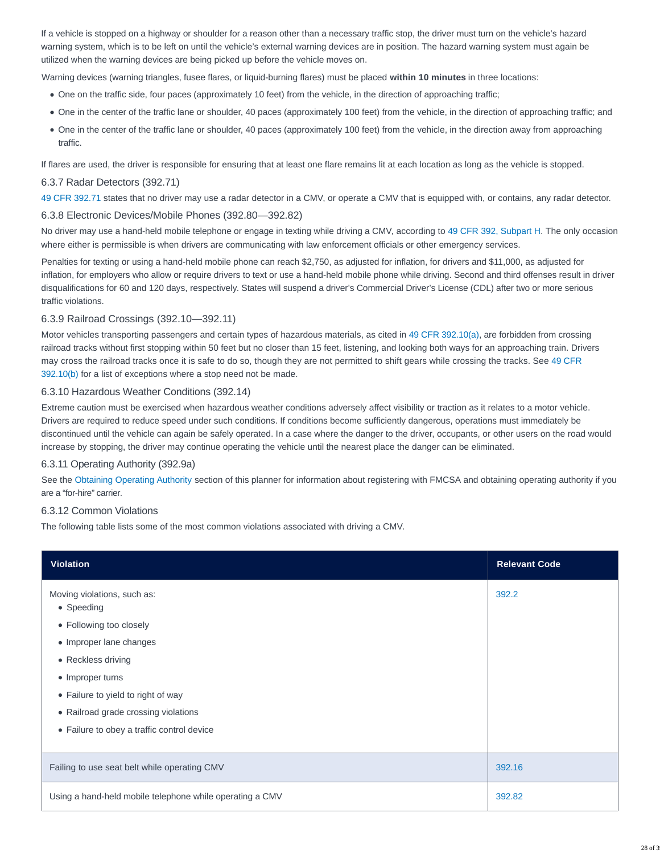If a vehicle is stopped on a highway or shoulder for a reason other than a necessary traffic stop, the driver must turn on the vehicle's hazard warning system, which is to be left on until the vehicle's external warning devices are in position. The hazard warning system must again be utilized when the warning devices are being picked up before the vehicle moves on.

Warning devices (warning triangles, fusee flares, or liquid-burning flares) must be placed **within 10 minutes** in three locations:

- One on the traffic side, four paces (approximately 10 feet) from the vehicle, in the direction of approaching traffic;
- One in the center of the traffic lane or shoulder, 40 paces (approximately 100 feet) from the vehicle, in the direction of approaching traffic; and
- One in the center of the traffic lane or shoulder, 40 paces (approximately 100 feet) from the vehicle, in the direction away from approaching traffic.

If flares are used, the driver is responsible for ensuring that at least one flare remains lit at each location as long as the vehicle is stopped.

## 6.3.7 Radar Detectors (392.71)

[49 CFR 392.71](https://www.ecfr.gov/cgi-bin/text-idx?SID=51a9a8b4cb86d7cc6434504ca61fa69f&mc=true&node=se49.5.392_171) states that no driver may use a radar detector in a CMV, or operate a CMV that is equipped with, or contains, any radar detector.

# 6.3.8 Electronic Devices/Mobile Phones (392.80—392.82)

No driver may use a hand-held mobile telephone or engage in texting while driving a CMV, according to [49 CFR 392, Subpart H.](https://www.ecfr.gov/cgi-bin/retrieveECFR?gp=&SID=14e0a719f159dbcf6b3c38fc07239743&mc=true&n=sp49.5.392.h&r=SUBPART&ty=HTML) The only occasion where either is permissible is when drivers are communicating with law enforcement officials or other emergency services.

Penalties for texting or using a hand-held mobile phone can reach \$2,750, as adjusted for inflation, for drivers and \$11,000, as adjusted for inflation, for employers who allow or require drivers to text or use a hand-held mobile phone while driving. Second and third offenses result in driver disqualifications for 60 and 120 days, respectively. States will suspend a driver's Commercial Driver's License (CDL) after two or more serious traffic violations.

# 6.3.9 Railroad Crossings (392.10—392.11)

Motor vehicles transporting passengers and certain types of hazardous materials, as cited in [49 CFR 392.10\(a\),](https://www.ecfr.gov/cgi-bin/text-idx?SID=51a9a8b4cb86d7cc6434504ca61fa69f&mc=true&node=se49.5.392_110&rgn=div8) are forbidden from crossing railroad tracks without first stopping within 50 feet but no closer than 15 feet, listening, and looking both ways for an approaching train. Drivers may cross the railroad tracks once it is safe to do so, though they are not permitted to shift gears while crossing the tracks. See [49 CFR](https://www.ecfr.gov/cgi-bin/text-idx?SID=51a9a8b4cb86d7cc6434504ca61fa69f&mc=true&node=se49.5.392_110&rgn=div8) 392.10(b) for a list of exceptions where a stop need not be made.

# 6.3.10 Hazardous Weather Conditions (392.14)

Extreme caution must be exercised when hazardous weather conditions adversely affect visibility or traction as it relates to a motor vehicle. Drivers are required to reduce speed under such conditions. If conditions become sufficiently dangerous, operations must immediately be discontinued until the vehicle can again be safely operated. In a case where the danger to the driver, occupants, or other users on the road would increase by stopping, the driver may continue operating the vehicle until the nearest place the danger can be eliminated.

# 6.3.11 Operating Authority (392.9a)

See the [Obtaining Operating Authority](https://csa.fmcsa.dot.gov/safetyplanner/myfiles/Sections.aspx?ch=19&sec=50) section of this planner for information about registering with FMCSA and obtaining operating authority if you are a "for-hire" carrier.

# 6.3.12 Common Violations

The following table lists some of the most common violations associated with driving a CMV.

| <b>Violation</b>                                         | <b>Relevant Code</b> |
|----------------------------------------------------------|----------------------|
| Moving violations, such as:<br>• Speeding                | 392.2                |
| • Following too closely                                  |                      |
| • Improper lane changes                                  |                      |
| • Reckless driving                                       |                      |
| • Improper turns                                         |                      |
| • Failure to yield to right of way                       |                      |
| • Railroad grade crossing violations                     |                      |
| • Failure to obey a traffic control device               |                      |
|                                                          |                      |
| Failing to use seat belt while operating CMV             | 392.16               |
| Using a hand-held mobile telephone while operating a CMV | 392.82               |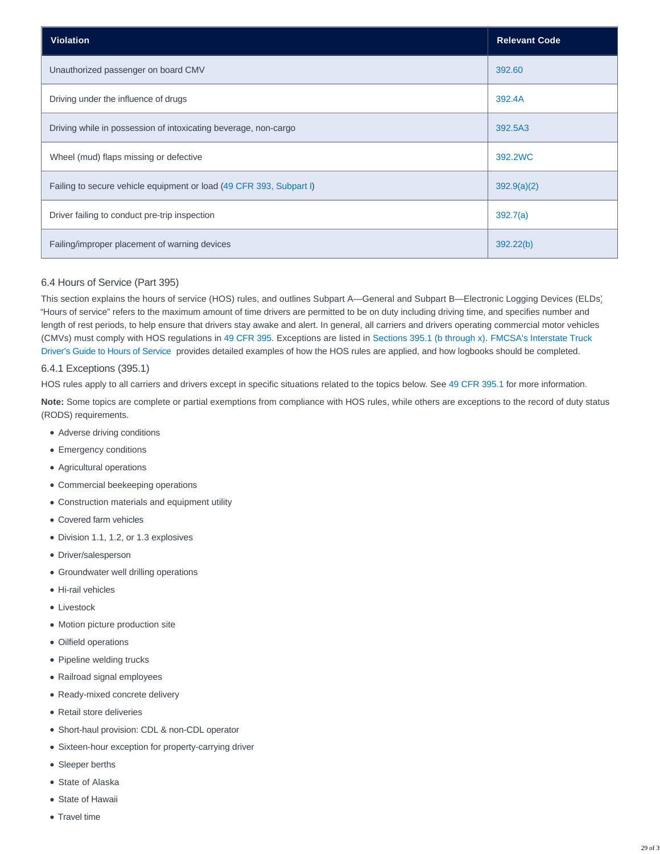| <b>Violation</b>                                                    | <b>Relevant Code</b> |
|---------------------------------------------------------------------|----------------------|
| Unauthorized passenger on board CMV                                 | 392.60               |
| Driving under the influence of drugs                                | 392.4A               |
| Driving while in possession of intoxicating beverage, non-cargo     | 392.5A3              |
| Wheel (mud) flaps missing or defective                              | 392.2WC              |
| Failing to secure vehicle equipment or load (49 CFR 393, Subpart I) | 392.9(a)(2)          |
| Driver failing to conduct pre-trip inspection                       | 392.7(a)             |
| Failing/improper placement of warning devices                       | 392.22(b)            |

# 6.4 Hours of Service (Part 395)

This section explains the hours of service (HOS) rules, and outlines Subpart A—General and Subpart B—Electronic Logging Devices (ELDs). "Hours of service" refers to the maximum amount of time drivers are permitted to be on duty including driving time, and specifies number and length of rest periods, to help ensure that drivers stay awake and alert. In general, all carriers and drivers operating commercial motor vehicles (CMVs) must comply with HOS regulations in [49 CFR 395.](http://www.ecfr.gov/cgi-bin/text-idx?SID=6be86f66c4096ac034b4e1c9028c7585&mc=true&node=pt49.5.395&rgn=div5) Exceptions are listed in [Sections 395.1 \(b through x\).](https://www.ecfr.gov/cgi-bin/text-idx?SID=51a9a8b4cb86d7cc6434504ca61fa69f&mc=true&node=se49.5.395_11&rgn=div8) [FMCSA's Interstate Truck](https://www.fmcsa.dot.gov/sites/fmcsa.dot.gov/files/docs/Drivers%20Guide%20to%20HOS%202015_508.pdf) Driver's Guide to Hours of Service provides detailed examples of how the HOS rules are applied, and how logbooks should be completed.

# 6.4.1 Exceptions (395.1)

HOS rules apply to all carriers and drivers except in specific situations related to the topics below. See [49 CFR 395.1](https://www.ecfr.gov/cgi-bin/text-idx?SID=51a9a8b4cb86d7cc6434504ca61fa69f&mc=true&node=se49.5.395_11&rgn=div8) for more information.

**Note:** Some topics are complete or partial exemptions from compliance with HOS rules, while others are exceptions to the record of duty status (RODS) requirements.

- Adverse driving conditions
- Emergency conditions
- Agricultural operations
- Commercial beekeeping operations
- Construction materials and equipment utility
- Covered farm vehicles
- Division 1.1, 1.2, or 1.3 explosives
- Driver/salesperson
- Groundwater well drilling operations
- Hi-rail vehicles
- Livestock
- Motion picture production site
- Oilfield operations
- Pipeline welding trucks
- Railroad signal employees
- Ready-mixed concrete delivery
- Retail store deliveries
- Short-haul provision: CDL & non-CDL operator
- Sixteen-hour exception for property-carrying driver
- Sleeper berths
- State of Alaska
- State of Hawaii
- Travel time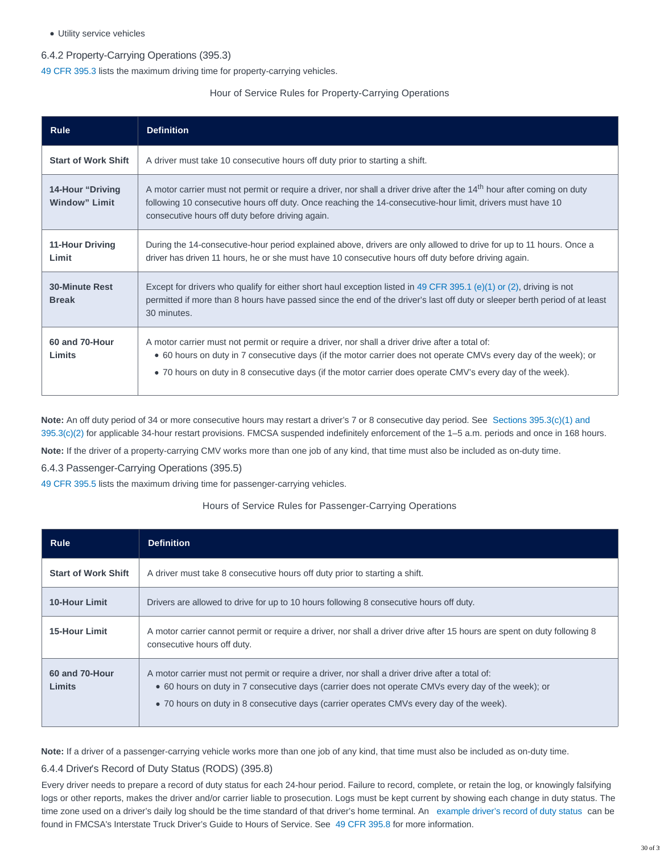Utility service vehicles

# 6.4.2 Property-Carrying Operations (395.3)

[49 CFR 395.3](https://www.ecfr.gov/cgi-bin/text-idx?SID=51a9a8b4cb86d7cc6434504ca61fa69f&mc=true&node=se49.5.395_13&rgn=div8) lists the maximum driving time for property-carrying vehicles.

## Hour of Service Rules for Property-Carrying Operations

| <b>Rule</b>                                      | <b>Definition</b>                                                                                                                                                                                                                                                                                                               |
|--------------------------------------------------|---------------------------------------------------------------------------------------------------------------------------------------------------------------------------------------------------------------------------------------------------------------------------------------------------------------------------------|
| <b>Start of Work Shift</b>                       | A driver must take 10 consecutive hours off duty prior to starting a shift.                                                                                                                                                                                                                                                     |
| <b>14-Hour "Driving</b><br><b>Window</b> " Limit | A motor carrier must not permit or require a driver, nor shall a driver drive after the 14 <sup>th</sup> hour after coming on duty<br>following 10 consecutive hours off duty. Once reaching the 14-consecutive-hour limit, drivers must have 10<br>consecutive hours off duty before driving again.                            |
| 11-Hour Driving<br>Limit                         | During the 14-consecutive-hour period explained above, drivers are only allowed to drive for up to 11 hours. Once a<br>driver has driven 11 hours, he or she must have 10 consecutive hours off duty before driving again.                                                                                                      |
| <b>30-Minute Rest</b><br><b>Break</b>            | Except for drivers who qualify for either short haul exception listed in 49 CFR 395.1 (e)(1) or (2), driving is not<br>permitted if more than 8 hours have passed since the end of the driver's last off duty or sleeper berth period of at least<br>30 minutes.                                                                |
| 60 and 70-Hour<br>Limits                         | A motor carrier must not permit or require a driver, nor shall a driver drive after a total of:<br>• 60 hours on duty in 7 consecutive days (if the motor carrier does not operate CMVs every day of the week); or<br>• 70 hours on duty in 8 consecutive days (if the motor carrier does operate CMV's every day of the week). |

**Note:** An off duty period of 34 or more consecutive hours may restart a driver's 7 or 8 consecutive day period. See [Sections 395.3\(c\)\(1\) and](https://www.ecfr.gov/cgi-bin/text-idx?SID=51a9a8b4cb86d7cc6434504ca61fa69f&mc=true&node=se49.5.395_13&rgn=div8) 395.3(c)(2) for applicable 34-hour restart provisions. FMCSA suspended indefinitely enforcement of the 1–5 a.m. periods and once in 168 hours.

**Note:** If the driver of a property-carrying CMV works more than one job of any kind, that time must also be included as on-duty time.

6.4.3 Passenger-Carrying Operations (395.5)

[49 CFR 395.5](https://www.ecfr.gov/cgi-bin/text-idx?SID=51a9a8b4cb86d7cc6434504ca61fa69f&mc=true&node=se49.5.395_15&rgn=div8) lists the maximum driving time for passenger-carrying vehicles.

# Hours of Service Rules for Passenger-Carrying Operations

| <b>Rule</b>                | <b>Definition</b>                                                                                                                                                                                                                                                                                |
|----------------------------|--------------------------------------------------------------------------------------------------------------------------------------------------------------------------------------------------------------------------------------------------------------------------------------------------|
| <b>Start of Work Shift</b> | A driver must take 8 consecutive hours off duty prior to starting a shift.                                                                                                                                                                                                                       |
| <b>10-Hour Limit</b>       | Drivers are allowed to drive for up to 10 hours following 8 consecutive hours off duty.                                                                                                                                                                                                          |
| <b>15-Hour Limit</b>       | A motor carrier cannot permit or require a driver, nor shall a driver drive after 15 hours are spent on duty following 8<br>consecutive hours off duty.                                                                                                                                          |
| 60 and 70-Hour<br>Limits   | A motor carrier must not permit or require a driver, nor shall a driver drive after a total of:<br>• 60 hours on duty in 7 consecutive days (carrier does not operate CMVs every day of the week); or<br>• 70 hours on duty in 8 consecutive days (carrier operates CMVs every day of the week). |

**Note:** If a driver of a passenger-carrying vehicle works more than one job of any kind, that time must also be included as on-duty time.

# 6.4.4 Driver's Record of Duty Status (RODS) (395.8)

Every driver needs to prepare a record of duty status for each 24-hour period. Failure to record, complete, or retain the log, or knowingly falsifying logs or other reports, makes the driver and/or carrier liable to prosecution. Logs must be kept current by showing each change in duty status. The time zone used on a driver's daily log should be the time standard of that driver's home terminal. An [example driver's record of duty status](https://www.fmcsa.dot.gov/sites/fmcsa.dot.gov/files/docs/Drivers%20Guide%20to%20HOS%202015_508.pdf) can be found in FMCSA's Interstate Truck Driver's Guide to Hours of Service. See [49 CFR 395.8](https://www.fmcsa.dot.gov/sites/fmcsa.dot.gov/files/docs/Drivers%20Guide%20to%20HOS%202015_508.pdf) for more information.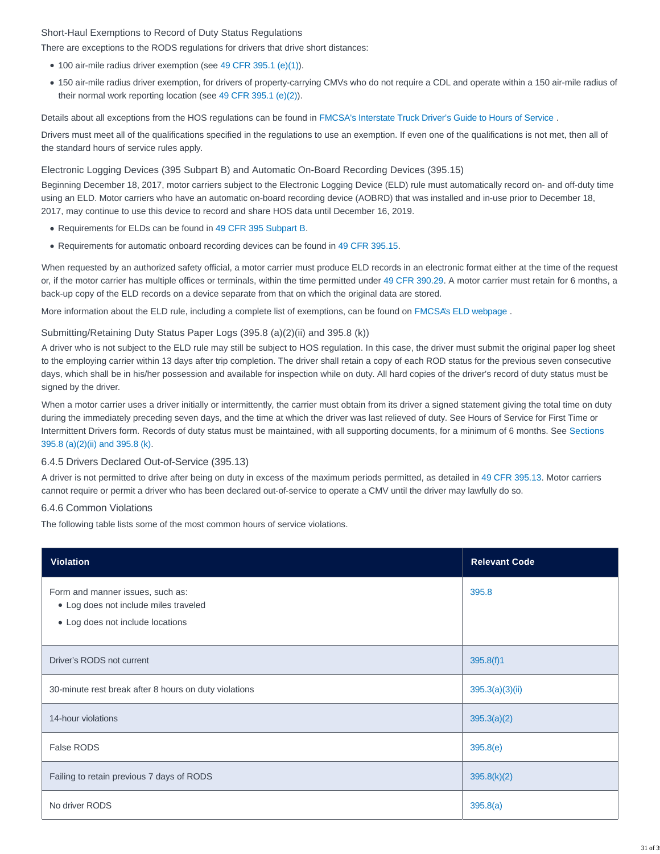# Short-Haul Exemptions to Record of Duty Status Regulations

There are exceptions to the RODS regulations for drivers that drive short distances:

- 100 air-mile radius driver exemption (see [49 CFR 395.1 \(e\)\(1\)\)](https://www.ecfr.gov/cgi-bin/text-idx?SID=51a9a8b4cb86d7cc6434504ca61fa69f&mc=true&node=se49.5.395_11&rgn=div8).
- 150 air-mile radius driver exemption, for drivers of property-carrying CMVs who do not require a CDL and operate within a 150 air-mile radius of their normal work reporting location (see [49 CFR 395.1 \(e\)\(2\)\)](https://www.ecfr.gov/cgi-bin/text-idx?SID=51a9a8b4cb86d7cc6434504ca61fa69f&mc=true&node=se49.5.395_11&rgn=div8).

Details about all exceptions from the HOS regulations can be found in [FMCSA's Interstate Truck Driver's Guide to Hours of Service](https://www.fmcsa.dot.gov/sites/fmcsa.dot.gov/files/docs/Drivers%20Guide%20to%20HOS%202015_508.pdf) .

Drivers must meet all of the qualifications specified in the regulations to use an exemption. If even one of the qualifications is not met, then all of the standard hours of service rules apply.

## Electronic Logging Devices (395 Subpart B) and Automatic On-Board Recording Devices (395.15)

Beginning December 18, 2017, motor carriers subject to the Electronic Logging Device (ELD) rule must automatically record on- and off-duty time using an ELD. Motor carriers who have an automatic on-board recording device (AOBRD) that was installed and in-use prior to December 18, 2017, may continue to use this device to record and share HOS data until December 16, 2019.

- Requirements for ELDs can be found in [49 CFR 395 Subpart B.](https://www.ecfr.gov/cgi-bin/retrieveECFR?gp=&SID=14e0a719f159dbcf6b3c38fc07239743&mc=true&n=sp49.5.395.b&r=SUBPART&ty=HTML)
- Requirements for automatic onboard recording devices can be found in [49 CFR 395.15.](https://www.ecfr.gov/cgi-bin/text-idx?SID=51a9a8b4cb86d7cc6434504ca61fa69f&mc=true&node=se49.5.395_115&rgn=div8)

When requested by an authorized safety official, a motor carrier must produce ELD records in an electronic format either at the time of the request or, if the motor carrier has multiple offices or terminals, within the time permitted under [49 CFR 390.29.](https://www.ecfr.gov/cgi-bin/text-idx?SID=ff6de4c1951028b844773344a009e579&mc=true&node=se49.5.390_129&rgn=div8) A motor carrier must retain for 6 months, a back-up copy of the ELD records on a device separate from that on which the original data are stored.

More information about the ELD rule, including a complete list of exemptions, can be found on [FMCSA's ELD webpage](https://www.fmcsa.dot.gov/hours-service/elds/electronic-logging-devices) .

# Submitting/Retaining Duty Status Paper Logs (395.8 (a)(2)(ii) and 395.8 (k))

A driver who is not subject to the ELD rule may still be subject to HOS regulation. In this case, the driver must submit the original paper log sheet to the employing carrier within 13 days after trip completion. The driver shall retain a copy of each ROD status for the previous seven consecutive days, which shall be in his/her possession and available for inspection while on duty. All hard copies of the driver's record of duty status must be signed by the driver.

When a motor carrier uses a driver initially or intermittently, the carrier must obtain from its driver a signed statement giving the total time on duty during the immediately preceding seven days, and the time at which the driver was last relieved of duty. See Hours of Service for First Time or Intermittent Drivers form. Records of duty status must be maintained, with all supporting documents, for a minimum of 6 months. See [Sections](https://www.ecfr.gov/cgi-bin/text-idx?SID=51a9a8b4cb86d7cc6434504ca61fa69f&mc=true&node=se49.5.395_18&rgn=div8) 395.8 (a)(2)(ii) and 395.8 (k).

# 6.4.5 Drivers Declared Out-of-Service (395.13)

A driver is not permitted to drive after being on duty in excess of the maximum periods permitted, as detailed in [49 CFR 395.13.](https://www.ecfr.gov/cgi-bin/text-idx?SID=51a9a8b4cb86d7cc6434504ca61fa69f&mc=true&node=se49.5.395_113&rgn=div8) Motor carriers cannot require or permit a driver who has been declared out-of-service to operate a CMV until the driver may lawfully do so.

# 6.4.6 Common Violations

The following table lists some of the most common hours of service violations.

| <b>Violation</b>                                                                                              | <b>Relevant Code</b> |
|---------------------------------------------------------------------------------------------------------------|----------------------|
| Form and manner issues, such as:<br>• Log does not include miles traveled<br>• Log does not include locations | 395.8                |
| Driver's RODS not current                                                                                     | 395.8(f)1            |
| 30-minute rest break after 8 hours on duty violations                                                         | 395.3(a)(3)(ii)      |
| 14-hour violations                                                                                            | 395.3(a)(2)          |
| False RODS                                                                                                    | 395.8(e)             |
| Failing to retain previous 7 days of RODS                                                                     | 395.8(k)(2)          |
| No driver RODS                                                                                                | 395.8(a)             |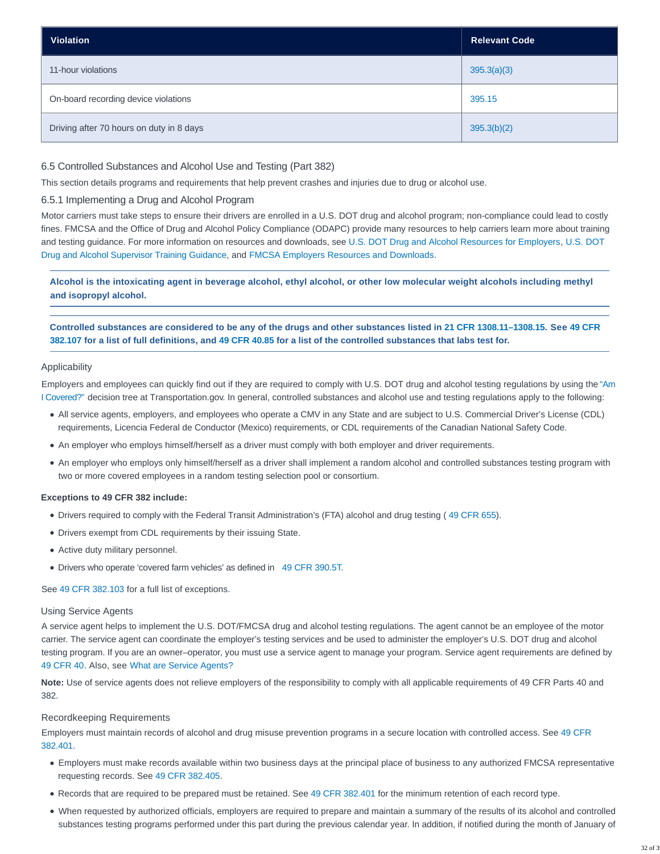| <b>Violation</b>                         | <b>Relevant Code</b> |
|------------------------------------------|----------------------|
| 11-hour violations                       | 395.3(a)(3)          |
| On-board recording device violations     | 395.15               |
| Driving after 70 hours on duty in 8 days | 395.3(b)(2)          |

# 6.5 Controlled Substances and Alcohol Use and Testing (Part 382)

This section details programs and requirements that help prevent crashes and injuries due to drug or alcohol use.

# 6.5.1 Implementing a Drug and Alcohol Program

Motor carriers must take steps to ensure their drivers are enrolled in a U.S. DOT drug and alcohol program; non-compliance could lead to costly fines. FMCSA and the Office of Drug and Alcohol Policy Compliance (ODAPC) provide many resources to help carriers learn more about training and testing guidance. For more information on resources and downloads, see [U.S. DOT Drug and Alcohol Resources for Employers,](https://www.transportation.gov/odapc/employer) [U.S. DOT](https://www.fmcsa.dot.gov/us-department-transportation-dot-drug-alcohol-supervisor-training-guidance) Drug and Alcohol Supervisor Training Guidance, and [FMCSA Employers Resources and Downloads.](https://www.fmcsa.dot.gov/regulations/drug-alcohol-testing/employers-resources-and-downloads)

**Alcohol is the intoxicating agent in beverage alcohol, ethyl alcohol, or other low molecular weight alcohols including methyl and isopropyl alcohol.**

**Controlled substances are considered to be any of the drugs and other substances listed in [21 CFR 1308.11–1308.15.](http://www.ecfr.gov/cgi-bin/retrieveECFR?gp=1&SID=fa20c3ca9d8cc9762002e63319be375e&ty=HTML&h=L&mc=true&n=pt21.9.1308&r=PART#se21.9.1308_111) See [49 CFR](https://www.ecfr.gov/cgi-bin/text-idx?SID=51a9a8b4cb86d7cc6434504ca61fa69f&mc=true&node=se49.5.382_1107&rgn=div8) 382.107 for a list of full definitions, and [49 CFR 40.85](https://www.ecfr.gov/cgi-bin/text-idx?SID=51a9a8b4cb86d7cc6434504ca61fa69f&mc=true&node=se49.5.40_185&rgn=div8) for a list of the controlled substances that labs test for.**

### Applicability

Employers and employees can quickly find out if they are required to comply with U.S. DOT drug and alcohol testing regulations by using the ["Am](https://www.transportation.gov/odapc/am-i-covered) I Covered?" decision tree at Transportation.gov. In general, controlled substances and alcohol use and testing regulations apply to the following:

- All service agents, employers, and employees who operate a CMV in any State and are subject to U.S. Commercial Driver's License (CDL) requirements, Licencia Federal de Conductor (Mexico) requirements, or CDL requirements of the Canadian National Safety Code.
- An employer who employs himself/herself as a driver must comply with both employer and driver requirements.
- An employer who employs only himself/herself as a driver shall implement a random alcohol and controlled substances testing program with two or more covered employees in a random testing selection pool or consortium.

#### **Exceptions to 49 CFR 382 include:**

- Drivers required to comply with the Federal Transit Administration's (FTA) alcohol and drug testing ( [49 CFR 655\)](http://www.ecfr.gov/cgi-bin/text-idx?SID=bf2b228506aa68d6a2e9b539eba1c304&mc=true&node=pt49.7.655&rgn=div5).
- Drivers exempt from CDL requirements by their issuing State.
- Active duty military personnel.
- Drivers who operate 'covered farm vehicles' as defined in [49 CFR 390.5T.](https://www.ecfr.gov/cgi-bin/text-idx?SID=51a9a8b4cb86d7cc6434504ca61fa69f&mc=true&node=se49.5.390_15t&rgn=div8)

See [49 CFR 382.103](https://www.ecfr.gov/cgi-bin/text-idx?SID=51a9a8b4cb86d7cc6434504ca61fa69f&mc=true&node=se49.5.382_1103&rgn=div8) for a full list of exceptions.

#### Using Service Agents

A service agent helps to implement the U.S. DOT/FMCSA drug and alcohol testing regulations. The agent cannot be an employee of the motor carrier. The service agent can coordinate the employer's testing services and be used to administer the employer's U.S. DOT drug and alcohol testing program. If you are an owner–operator, you must use a service agent to manage your program. Service agent requirements are defined by [49 CFR 40.](https://www.transportation.gov/odapc/part40) Also, see [What are Service Agents?](https://www.fmcsa.dot.gov/regulations/drug-alcohol-testing/what-are-service-agents)

**Note:** Use of service agents does not relieve employers of the responsibility to comply with all applicable requirements of 49 CFR Parts 40 and 382.

#### Recordkeeping Requirements

Employers must maintain records of alcohol and drug misuse prevention programs in a secure location with controlled access. See [49 CFR](https://www.ecfr.gov/cgi-bin/text-idx?SID=51a9a8b4cb86d7cc6434504ca61fa69f&mc=true&node=se49.5.382_1401&rgn=div8) 382.401.

- Employers must make records available within two business days at the principal place of business to any authorized FMCSA representative requesting records. See [49 CFR 382.405.](https://www.ecfr.gov/cgi-bin/text-idx?SID=51a9a8b4cb86d7cc6434504ca61fa69f&mc=true&node=se49.5.382_1405&rgn=div8)
- Records that are required to be prepared must be retained. See [49 CFR 382.401](https://www.ecfr.gov/cgi-bin/text-idx?SID=51a9a8b4cb86d7cc6434504ca61fa69f&mc=true&node=se49.5.382_1401&rgn=div8) for the minimum retention of each record type.
- When requested by authorized officials, employers are required to prepare and maintain a summary of the results of its alcohol and controlled substances testing programs performed under this part during the previous calendar year. In addition, if notified during the month of January of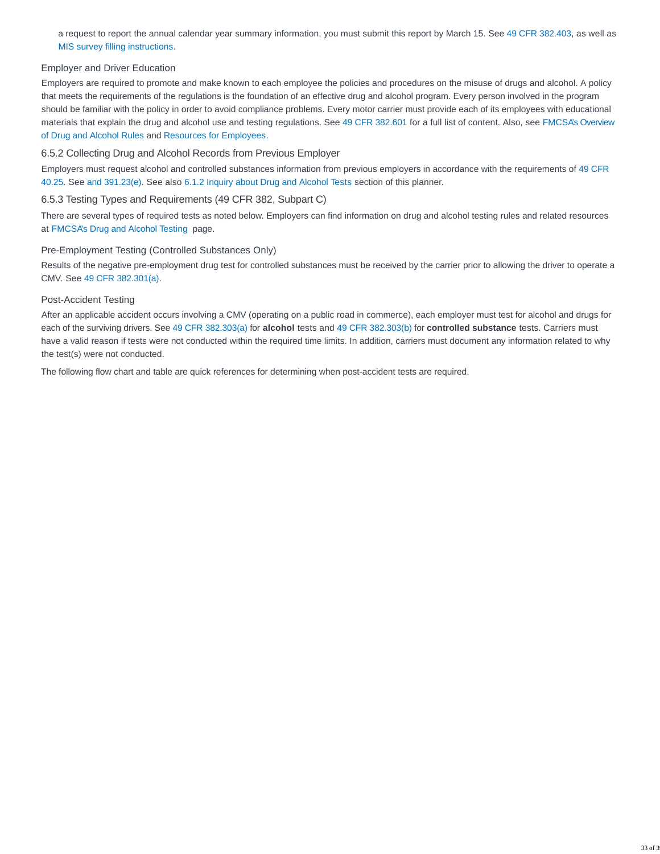a request to report the annual calendar year summary information, you must submit this report by March 15. See [49 CFR 382.403,](https://www.ecfr.gov/cgi-bin/text-idx?SID=51a9a8b4cb86d7cc6434504ca61fa69f&mc=true&node=se49.5.382_1403&rgn=div8) as well as [MIS survey filling instructions.](https://www.fmcsa.dot.gov/regulations/drug-alcohol-testing/annual-survey-instructions)

# Employer and Driver Education

Employers are required to promote and make known to each employee the policies and procedures on the misuse of drugs and alcohol. A policy that meets the requirements of the regulations is the foundation of an effective drug and alcohol program. Every person involved in the program should be familiar with the policy in order to avoid compliance problems. Every motor carrier must provide each of its employees with educational materials that explain the drug and alcohol use and testing regulations. See [49 CFR 382.601](https://www.ecfr.gov/cgi-bin/text-idx?SID=51a9a8b4cb86d7cc6434504ca61fa69f&mc=true&node=se49.5.382_1601&rgn=div8) for a full list of content. Also, see [FMCSA's Overview](https://www.fmcsa.dot.gov/regulations/drug-alcohol-testing/overview-drug-and-alcohol-rules) of Drug and Alcohol Rules and [Resources for Employees.](https://www.transportation.gov/odapc/employee)

### 6.5.2 Collecting Drug and Alcohol Records from Previous Employer

Employers must request alcohol and controlled substances information from previous employers in accordance with the requirements of [49 CFR](https://www.transportation.gov/odapc/part40/40-25) 40.25. See [and](https://www.ecfr.gov/cgi-bin/text-idx?SID=51a9a8b4cb86d7cc6434504ca61fa69f&mc=true&node=se49.5.382_1413&rgn=div8) [391.23\(e\).](https://www.ecfr.gov/cgi-bin/text-idx?SID=51a9a8b4cb86d7cc6434504ca61fa69f&mc=true&node=se49.5.391_123&rgn=div8) See also [6.1.2 Inquiry about Drug and Alcohol Tests](https://csa.fmcsa.dot.gov/safetyplanner/myfiles/SubSections.aspx?ch=23&sec=66&sub=152#inquiry) section of this planner.

## 6.5.3 Testing Types and Requirements (49 CFR 382, Subpart C)

There are several types of required tests as noted below. Employers can find information on drug and alcohol testing rules and related resources at [FMCSA's Drug and Alcohol Testing](https://www.fmcsa.dot.gov/regulations/drug-alcohol-testing/employers-resources-and-downloads) page.

### Pre-Employment Testing (Controlled Substances Only)

Results of the negative pre-employment drug test for controlled substances must be received by the carrier prior to allowing the driver to operate a CMV. See [49 CFR 382.301\(a\).](https://www.ecfr.gov/cgi-bin/text-idx?SID=51a9a8b4cb86d7cc6434504ca61fa69f&mc=true&node=se49.5.382_1301&rgn=div8)

#### Post-Accident Testing

After an applicable accident occurs involving a CMV (operating on a public road in commerce), each employer must test for alcohol and drugs for each of the surviving drivers. See [49 CFR 382.303\(a\) f](https://www.ecfr.gov/cgi-bin/text-idx?SID=51a9a8b4cb86d7cc6434504ca61fa69f&mc=true&node=se49.5.382_1303&rgn=div8)or **alcohol** tests and [49 CFR 382.303\(b\)](https://www.ecfr.gov/cgi-bin/text-idx?SID=51a9a8b4cb86d7cc6434504ca61fa69f&mc=true&node=se49.5.382_1303&rgn=div8) for **controlled substance** tests. Carriers must have a valid reason if tests were not conducted within the required time limits. In addition, carriers must document any information related to why the test(s) were not conducted.

The following flow chart and table are quick references for determining when post-accident tests are required.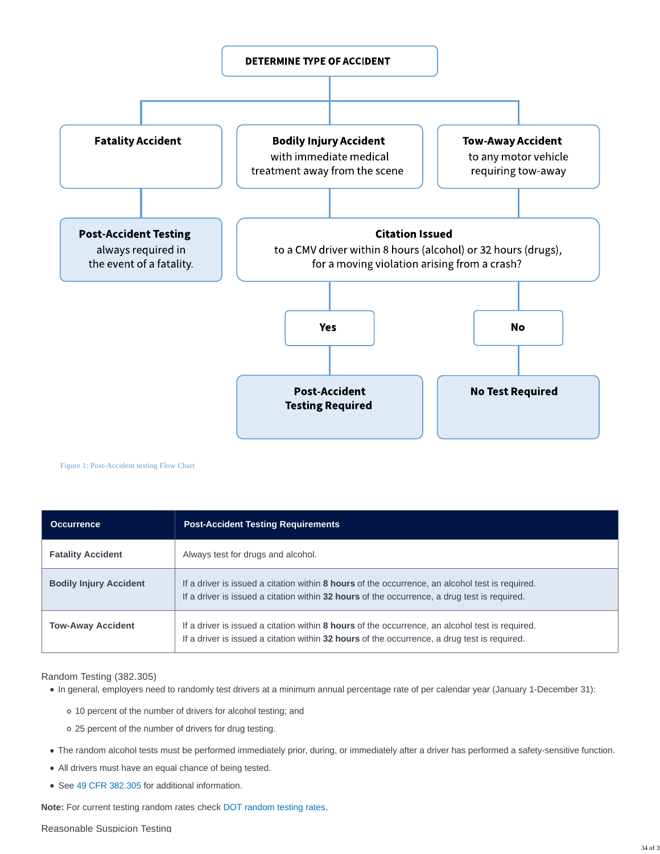

Figure 1: Post-Accident testing Flow Chart

| <b>Occurrence</b>             | <b>Post-Accident Testing Requirements</b>                                                                                                                                                       |  |
|-------------------------------|-------------------------------------------------------------------------------------------------------------------------------------------------------------------------------------------------|--|
| <b>Fatality Accident</b>      | Always test for drugs and alcohol.                                                                                                                                                              |  |
| <b>Bodily Injury Accident</b> | If a driver is issued a citation within 8 hours of the occurrence, an alcohol test is required.<br>If a driver is issued a citation within 32 hours of the occurrence, a drug test is required. |  |
| <b>Tow-Away Accident</b>      | If a driver is issued a citation within 8 hours of the occurrence, an alcohol test is required.<br>If a driver is issued a citation within 32 hours of the occurrence, a drug test is required. |  |

Random Testing (382.305)

In general, employers need to randomly test drivers at a minimum annual percentage rate of per calendar year (January 1-December 31):

- 10 percent of the number of drivers for alcohol testing; and
- 25 percent of the number of drivers for drug testing.
- The random alcohol tests must be performed immediately prior, during, or immediately after a driver has performed a safety-sensitive function.
- All drivers must have an equal chance of being tested.
- See [49 CFR 382.305](https://www.ecfr.gov/cgi-bin/text-idx?SID=51a9a8b4cb86d7cc6434504ca61fa69f&mc=true&node=se49.5.382_1305&rgn=div8) for additional information.

**Note:** For current testing random rates check [DOT random testing rates.](https://www.transportation.gov/odapc/random-testing-rates)

#### Reasonable Suspicion Testing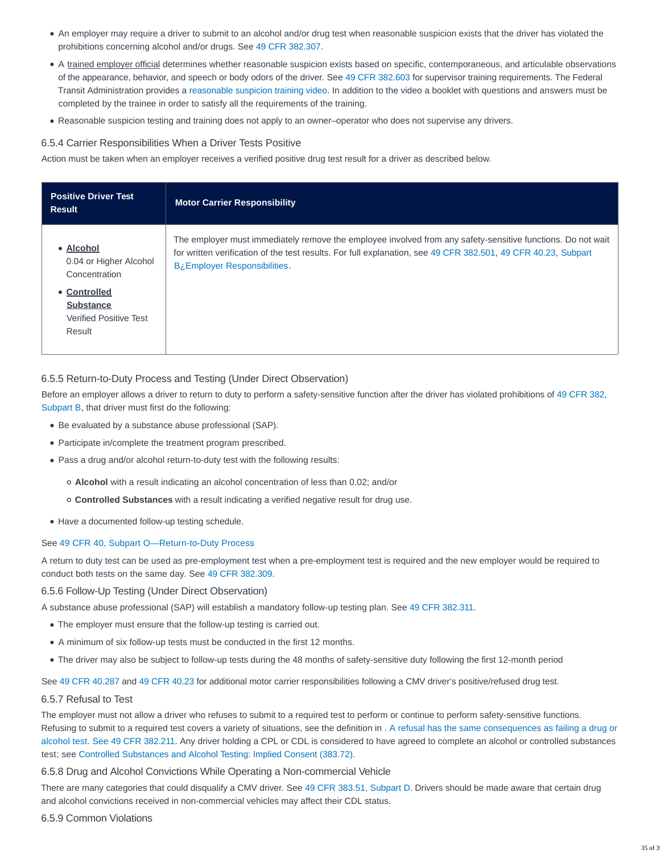- An employer may require a driver to submit to an alcohol and/or drug test when reasonable suspicion exists that the driver has violated the prohibitions concerning alcohol and/or drugs. See [49 CFR 382.307.](http://www.ecfr.gov/cgi-bin/text-idx?SID=4116315f48d7d576db4c3bf6526c2bd8&mc=true&node=se49.5.382_1307&rgn=div8)
- A trained employer official determines whether reasonable suspicion exists based on specific, contemporaneous, and articulable observations of the appearance, behavior, and speech or body odors of the driver. See [49 CFR 382.603](http://www.ecfr.gov/cgi-bin/text-idx?SID=4116315f48d7d576db4c3bf6526c2bd8&mc=true&node=se49.5.382_1603&rgn=div8) for supervisor training requirements. The Federal Transit Administration provides a [reasonable suspicion training video.](http://transit-safety.fta.dot.gov/DrugAndAlcohol/Tools/ReasonableSuspicion.aspx) In addition to the video a booklet with questions and answers must be completed by the trainee in order to satisfy all the requirements of the training.
- Reasonable suspicion testing and training does not apply to an owner–operator who does not supervise any drivers.

## 6.5.4 Carrier Responsibilities When a Driver Tests Positive

Action must be taken when an employer receives a verified positive drug test result for a driver as described below.

| <b>Positive Driver Test</b><br><b>Result</b>                                | <b>Motor Carrier Responsibility</b>                                                                                                                                                                                                                                              |
|-----------------------------------------------------------------------------|----------------------------------------------------------------------------------------------------------------------------------------------------------------------------------------------------------------------------------------------------------------------------------|
| • Alcohol<br>0.04 or Higher Alcohol<br>Concentration                        | The employer must immediately remove the employee involved from any safety-sensitive functions. Do not wait<br>for written verification of the test results. For full explanation, see 49 CFR 382.501, 49 CFR 40.23, Subpart<br><b>B</b> <sub>i</sub> Employer Responsibilities. |
| • Controlled<br><b>Substance</b><br><b>Verified Positive Test</b><br>Result |                                                                                                                                                                                                                                                                                  |

### 6.5.5 Return-to-Duty Process and Testing (Under Direct Observation)

Before an employer allows a driver to return to duty to perform a safety-sensitive function after the driver has violated prohibitions of [49 CFR 382,](https://www.ecfr.gov/cgi-bin/retrieveECFR?gp=&SID=14e0a719f159dbcf6b3c38fc07239743&mc=true&n=sp49.5.382.b&r=SUBPART&ty=HTML) Subpart B, that driver must first do the following:

- Be evaluated by a substance abuse professional (SAP).
- Participate in/complete the treatment program prescribed.
- Pass a drug and/or alcohol return-to-duty test with the following results:
	- **Alcohol** with a result indicating an alcohol concentration of less than 0.02; and/or

**Controlled Substances** with a result indicating a verified negative result for drug use.

Have a documented follow-up testing schedule.

#### See [49 CFR 40, Subpart O—Return-to-Duty Process.](https://www.transportation.gov/odapc/part40#SubpartO)

A return to duty test can be used as pre-employment test when a pre-employment test is required and the new employer would be required to conduct both tests on the same day. See [49 CFR 382.309.](http://www.ecfr.gov/cgi-bin/text-idx?SID=4116315f48d7d576db4c3bf6526c2bd8&mc=true&node=se49.5.382_1309&rgn=div8)

#### 6.5.6 Follow-Up Testing (Under Direct Observation)

A substance abuse professional (SAP) will establish a mandatory follow-up testing plan. See [49 CFR 382.311.](http://www.ecfr.gov/cgi-bin/text-idx?SID=4116315f48d7d576db4c3bf6526c2bd8&mc=true&node=se49.5.382_1311&rgn=div8)

- The employer must ensure that the follow-up testing is carried out.
- A minimum of six follow-up tests must be conducted in the first 12 months.
- The driver may also be subject to follow-up tests during the 48 months of safety-sensitive duty following the first 12-month period

See [49 CFR 40.287](http://www.ecfr.gov/cgi-bin/text-idx?SID=4116315f48d7d576db4c3bf6526c2bd8&mc=true&node=se49.5.40_1287&rgn=div8) and [49 CFR 40.23](https://www.transportation.gov/odapc/part40/40-23) for additional motor carrier responsibilities following a CMV driver's positive/refused drug test.

#### 6.5.7 Refusal to Test

The employer must not allow a driver who refuses to submit to a required test to perform or continue to perform safety-sensitive functions. Refusing to submit to a required test covers a variety of situations, see the definition in [. A refusal has the same consequences as failing a drug or](http://www.ecfr.gov/cgi-bin/text-idx?SID=4116315f48d7d576db4c3bf6526c2bd8&mc=true&node=se49.5.382_1107&rgn=div8) alcohol test. See [49 CFR 382.211.](http://www.ecfr.gov/cgi-bin/text-idx?SID=4116315f48d7d576db4c3bf6526c2bd8&mc=true&node=se49.5.382_1211&rgn=div8) Any driver holding a CPL or CDL is considered to have agreed to complete an alcohol or controlled substances test; see [Controlled Substances and Alcohol Testing: Implied Consent \(383.72\).](https://csa.fmcsa.dot.gov/safetyplanner/myfiles/SubSections.aspx?ch=23&sec=67&sub=159)

#### 6.5.8 Drug and Alcohol Convictions While Operating a Non-commercial Vehicle

There are many categories that could disqualify a CMV driver. See [49 CFR 383.51, Subpart D.](https://www.ecfr.gov/cgi-bin/retrieveECFR?gp=&amp;SID=14e0a719f159dbcf6b3c38fc07239743&mc=true&n=sp49.5.383.d&r=SUBPART&ty=HTML) Drivers should be made aware that certain drug and alcohol convictions received in non-commercial vehicles may affect their CDL status.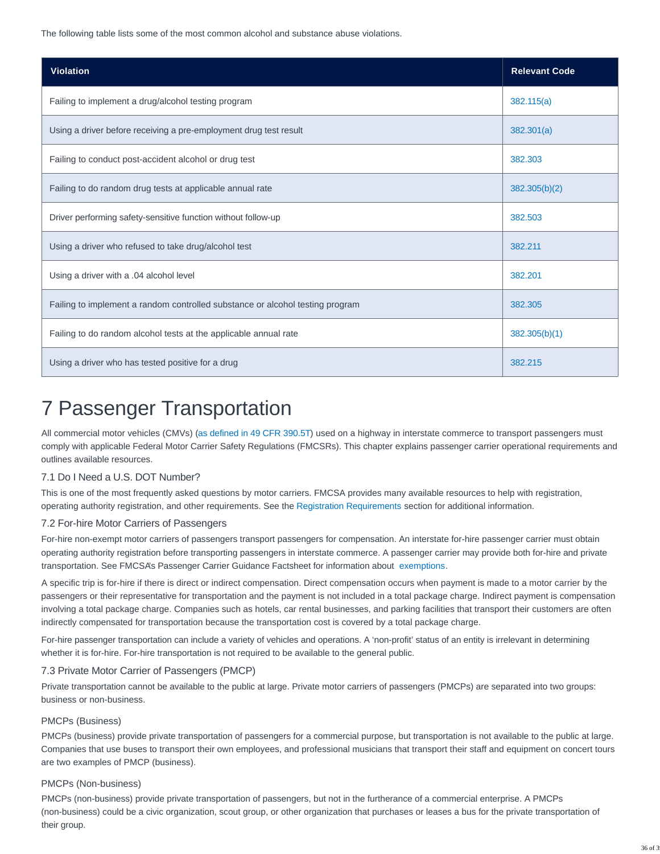The following table lists some of the most common alcohol and substance abuse violations.

| <b>Violation</b>                                                              | <b>Relevant Code</b> |
|-------------------------------------------------------------------------------|----------------------|
| Failing to implement a drug/alcohol testing program                           | 382.115(a)           |
| Using a driver before receiving a pre-employment drug test result             | 382.301(a)           |
| Failing to conduct post-accident alcohol or drug test                         | 382.303              |
| Failing to do random drug tests at applicable annual rate                     | 382.305(b)(2)        |
| Driver performing safety-sensitive function without follow-up                 | 382.503              |
| Using a driver who refused to take drug/alcohol test                          | 382.211              |
| Using a driver with a .04 alcohol level                                       | 382.201              |
| Failing to implement a random controlled substance or alcohol testing program | 382.305              |
| Failing to do random alcohol tests at the applicable annual rate              | 382.305(b)(1)        |
| Using a driver who has tested positive for a drug                             | 382.215              |

# 7 Passenger Transportation

All commercial motor vehicles (CMVs) [\(as defined in 49 CFR 390.5T\)](https://www.ecfr.gov/cgi-bin/text-idx?SID=813d7a0d80e776a62d57b7361d7285aa&mc=true&node=se49.5.390_15t&rgn=div8) used on a highway in interstate commerce to transport passengers must comply with applicable Federal Motor Carrier Safety Regulations (FMCSRs). This chapter explains passenger carrier operational requirements and outlines available resources.

# 7.1 Do I Need a U.S. DOT Number?

This is one of the most frequently asked questions by motor carriers. FMCSA provides many available resources to help with registration, operating authority registration, and other requirements. See the [Registration Requirements](https://csa.fmcsa.dot.gov/safetyplanner/myfiles/Chapters.aspx?ch=19) section for additional information.

# 7.2 For-hire Motor Carriers of Passengers

For-hire non-exempt motor carriers of passengers transport passengers for compensation. An interstate for-hire passenger carrier must obtain operating authority registration before transporting passengers in interstate commerce. A passenger carrier may provide both for-hire and private transportation. See FMCSA's Passenger Carrier Guidance Factsheet for information about [exemptions.](https://www.fmcsa.dot.gov/regulations/passenger-carrier-guidance-fact-sheet)

A specific trip is for-hire if there is direct or indirect compensation. Direct compensation occurs when payment is made to a motor carrier by the passengers or their representative for transportation and the payment is not included in a total package charge. Indirect payment is compensation involving a total package charge. Companies such as hotels, car rental businesses, and parking facilities that transport their customers are often indirectly compensated for transportation because the transportation cost is covered by a total package charge.

For-hire passenger transportation can include a variety of vehicles and operations. A 'non-profit' status of an entity is irrelevant in determining whether it is for-hire. For-hire transportation is not required to be available to the general public.

# 7.3 Private Motor Carrier of Passengers (PMCP)

Private transportation cannot be available to the public at large. Private motor carriers of passengers (PMCPs) are separated into two groups: business or non-business.

#### PMCPs (Business)

PMCPs (business) provide private transportation of passengers for a commercial purpose, but transportation is not available to the public at large. Companies that use buses to transport their own employees, and professional musicians that transport their staff and equipment on concert tours are two examples of PMCP (business).

## PMCPs (Non-business)

PMCPs (non-business) provide private transportation of passengers, but not in the furtherance of a commercial enterprise. A PMCPs (non-business) could be a civic organization, scout group, or other organization that purchases or leases a bus for the private transportation of their group.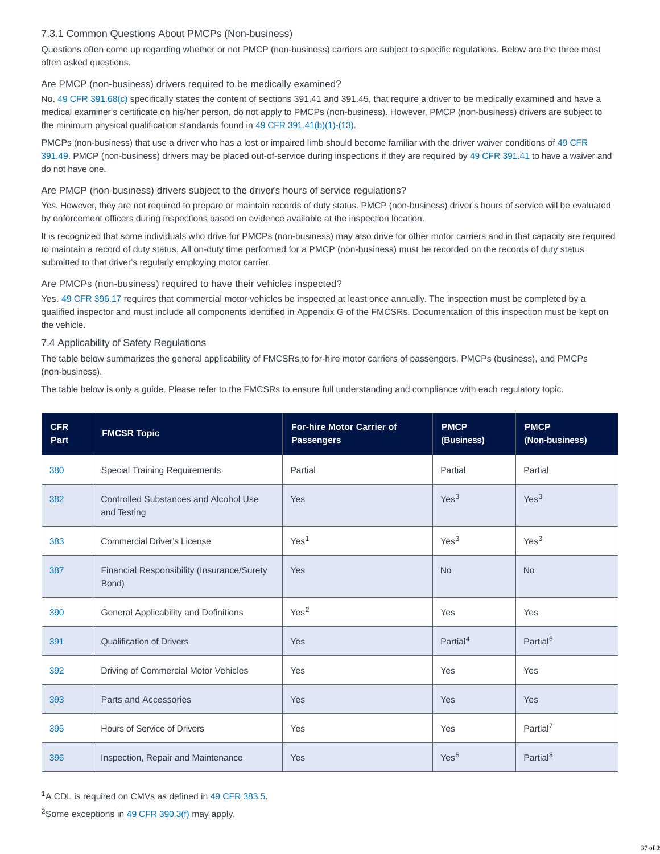# 7.3.1 Common Questions About PMCPs (Non-business)

Questions often come up regarding whether or not PMCP (non-business) carriers are subject to specific regulations. Below are the three most often asked questions.

# Are PMCP (non-business) drivers required to be medically examined?

No. [49 CFR 391.68\(c\)](http://www.ecfr.gov/cgi-bin/text-idx?SID=4116315f48d7d576db4c3bf6526c2bd8&mc=true&node=se49.5.391_168&rgn=div8) specifically states the content of sections 391.41 and 391.45, that require a driver to be medically examined and have a medical examiner's certificate on his/her person, do not apply to PMCPs (non-business). However, PMCP (non-business) drivers are subject to the minimum physical qualification standards found in [49 CFR 391.41\(b\)\(1\)-\(13\).](http://www.ecfr.gov/cgi-bin/text-idx?SID=4116315f48d7d576db4c3bf6526c2bd8&mc=true&node=se49.5.391_141&rgn=div8)

PMCPs (non-business) that use a driver who has a lost or impaired limb should become familiar with the driver waiver conditions of [49 CFR](http://www.ecfr.gov/cgi-bin/text-idx?SID=4116315f48d7d576db4c3bf6526c2bd8&mc=true&node=se49.5.391_149&rgn=div8) 391.49. PMCP (non-business) drivers may be placed out-of-service during inspections if they are required by [49 CFR 391.41](http://www.ecfr.gov/cgi-bin/text-idx?SID=4116315f48d7d576db4c3bf6526c2bd8&mc=true&node=se49.5.391_141&rgn=div8) to have a waiver and do not have one.

# Are PMCP (non-business) drivers subject to the driver's hours of service regulations?

Yes. However, they are not required to prepare or maintain records of duty status. PMCP (non-business) driver's hours of service will be evaluated by enforcement officers during inspections based on evidence available at the inspection location.

It is recognized that some individuals who drive for PMCPs (non-business) may also drive for other motor carriers and in that capacity are required to maintain a record of duty status. All on-duty time performed for a PMCP (non-business) must be recorded on the records of duty status submitted to that driver's regularly employing motor carrier.

# Are PMCPs (non-business) required to have their vehicles inspected?

Yes. [49 CFR 396.17](http://www.ecfr.gov/cgi-bin/text-idx?SID=4116315f48d7d576db4c3bf6526c2bd8&mc=true&node=se49.5.396_117&rgn=div8) requires that commercial motor vehicles be inspected at least once annually. The inspection must be completed by a qualified inspector and must include all components identified in Appendix G of the FMCSRs. Documentation of this inspection must be kept on the vehicle.

# 7.4 Applicability of Safety Regulations

The table below summarizes the general applicability of FMCSRs to for-hire motor carriers of passengers, PMCPs (business), and PMCPs (non-business).

The table below is only a guide. Please refer to the FMCSRs to ensure full understanding and compliance with each regulatory topic.

| <b>CFR</b><br>Part | <b>FMCSR Topic</b>                                          | <b>For-hire Motor Carrier of</b><br><b>Passengers</b> | <b>PMCP</b><br>(Business) | <b>PMCP</b><br>(Non-business) |
|--------------------|-------------------------------------------------------------|-------------------------------------------------------|---------------------------|-------------------------------|
| 380                | <b>Special Training Requirements</b>                        | Partial                                               | Partial                   | Partial                       |
| 382                | <b>Controlled Substances and Alcohol Use</b><br>and Testing | Yes                                                   | Yes <sup>3</sup>          | Yes <sup>3</sup>              |
| 383                | <b>Commercial Driver's License</b>                          | Yes <sup>1</sup>                                      | Yes <sup>3</sup>          | Yes <sup>3</sup>              |
| 387                | Financial Responsibility (Insurance/Surety<br>Bond)         | Yes                                                   | <b>No</b>                 | <b>No</b>                     |
| 390                | General Applicability and Definitions                       | Yes <sup>2</sup>                                      | Yes                       | Yes                           |
| 391                | <b>Qualification of Drivers</b>                             | Yes                                                   | Partial <sup>4</sup>      | Partial <sup>6</sup>          |
| 392                | Driving of Commercial Motor Vehicles                        | Yes                                                   | Yes                       | Yes                           |
| 393                | Parts and Accessories                                       | Yes                                                   | Yes                       | <b>Yes</b>                    |
| 395                | Hours of Service of Drivers                                 | Yes                                                   | Yes                       | Partial <sup>7</sup>          |
| 396                | Inspection, Repair and Maintenance                          | Yes                                                   | Yes <sup>5</sup>          | Partial <sup>8</sup>          |

<sup>1</sup>A CDL is required on CMVs as defined in [49 CFR 383.5.](http://www.ecfr.gov/cgi-bin/text-idx?SID=4116315f48d7d576db4c3bf6526c2bd8&mc=true&node=se49.5.383_15&rgn=div8)

<sup>2</sup> Some exceptions in [49 CFR 390.3\(f\)](http://www.ecfr.gov/cgi-bin/text-idx?SID=4116315f48d7d576db4c3bf6526c2bd8&mc=true&node=se49.5.390_15&rgn=div8) may apply.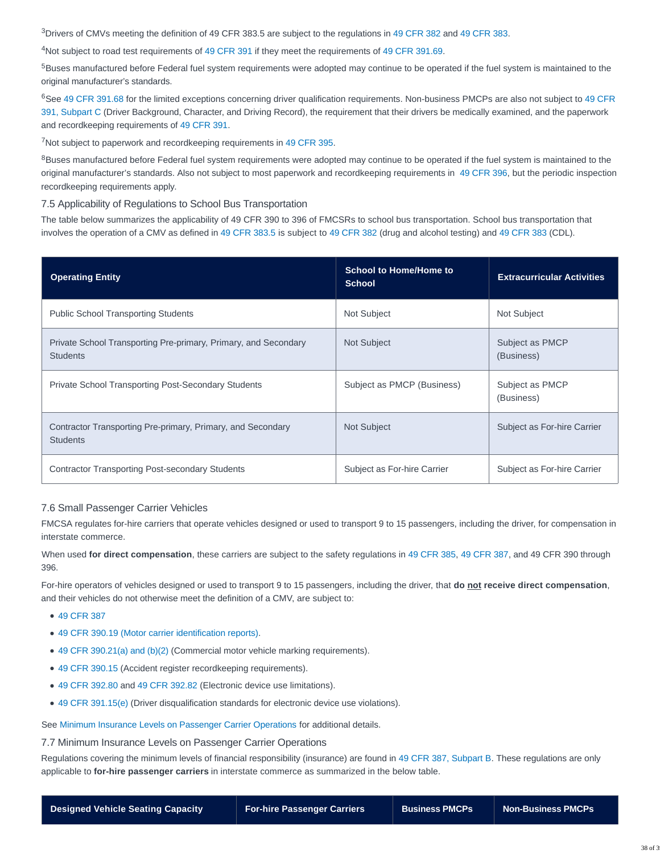$3$ Drivers of CMVs meeting the definition of 49 CFR 383.5 are subject to the regulations in [49 CFR 382](http://www.ecfr.gov/cgi-bin/text-idx?SID=712f8e107ed40a98181b895e9669f373&mc=true&node=pt49.5.382&rgn=div5) and [49 CFR 383.](http://www.ecfr.gov/cgi-bin/text-idx?SID=712f8e107ed40a98181b895e9669f373&mc=true&node=pt49.5.383&rgn=div5)

<sup>4</sup>Not subject to road test requirements of [49 CFR 391](http://www.ecfr.gov/cgi-bin/text-idx?SID=712f8e107ed40a98181b895e9669f373&mc=true&node=pt49.5.391&rgn=div5) if they meet the requirements of [49 CFR 391.69.](http://www.ecfr.gov/cgi-bin/text-idx?SID=4116315f48d7d576db4c3bf6526c2bd8&mc=true&node=se49.5.391_169&rgn=div8)

<sup>5</sup>Buses manufactured before Federal fuel system requirements were adopted may continue to be operated if the fuel system is maintained to the original manufacturer's standards.

<sup>6</sup>See [49 CFR 391.68](http://www.ecfr.gov/cgi-bin/text-idx?SID=4116315f48d7d576db4c3bf6526c2bd8&mc=true&node=se49.5.391_168&rgn=div8) for the limited exceptions concerning driver qualification requirements. Non-business PMCPs are also not subject to [49 CFR](https://www.ecfr.gov/cgi-bin/retrieveECFR?gp=&SID=14e0a719f159dbcf6b3c38fc07239743&mc=true&n=sp49.5.391.c&r=SUBPART&ty=HTML) 391, Subpart C (Driver Background, Character, and Driving Record), the requirement that their drivers be medically examined, and the paperwork and recordkeeping requirements of [49 CFR 391.](http://www.ecfr.gov/cgi-bin/text-idx?SID=712f8e107ed40a98181b895e9669f373&mc=true&node=pt49.5.391&rgn=div5)

<sup>7</sup>Not subject to paperwork and recordkeeping requirements in [49 CFR 395.](http://www.ecfr.gov/cgi-bin/text-idx?SID=712f8e107ed40a98181b895e9669f373&mc=true&node=pt49.5.395&rgn=div5)

<sup>8</sup>Buses manufactured before Federal fuel system requirements were adopted may continue to be operated if the fuel system is maintained to the original manufacturer's standards. Also not subject to most paperwork and recordkeeping requirements in [49 CFR 396,](https://www.ecfr.gov/cgi-bin/text-idx?SID=d233fc9a6069170906861a1acf771f05&mc=true&node=pt49.5.396&rgn=div5) but the periodic inspection recordkeeping requirements apply.

#### 7.5 Applicability of Regulations to School Bus Transportation

The table below summarizes the applicability of 49 CFR 390 to 396 of FMCSRs to school bus transportation. School bus transportation that involves the operation of a CMV as defined in [49 CFR 383.5](http://www.ecfr.gov/cgi-bin/text-idx?SID=4116315f48d7d576db4c3bf6526c2bd8&mc=true&node=se49.5.383_15&rgn=div8) is subject to [49 CFR 382](http://www.ecfr.gov/cgi-bin/text-idx?SID=712f8e107ed40a98181b895e9669f373&mc=true&node=pt49.5.382&rgn=div5) (drug and alcohol testing) and [49 CFR 383](http://www.ecfr.gov/cgi-bin/text-idx?SID=712f8e107ed40a98181b895e9669f373&mc=true&node=pt49.5.383&rgn=div5) (CDL).

| <b>Operating Entity</b>                                                            | <b>School to Home/Home to</b><br><b>School</b> | <b>Extracurricular Activities</b> |
|------------------------------------------------------------------------------------|------------------------------------------------|-----------------------------------|
| <b>Public School Transporting Students</b>                                         | Not Subject                                    | <b>Not Subject</b>                |
| Private School Transporting Pre-primary, Primary, and Secondary<br><b>Students</b> | Not Subject                                    | Subject as PMCP<br>(Business)     |
| <b>Private School Transporting Post-Secondary Students</b>                         | Subject as PMCP (Business)                     | Subject as PMCP<br>(Business)     |
| Contractor Transporting Pre-primary, Primary, and Secondary<br><b>Students</b>     | <b>Not Subject</b>                             | Subject as For-hire Carrier       |
| <b>Contractor Transporting Post-secondary Students</b>                             | Subject as For-hire Carrier                    | Subject as For-hire Carrier       |

#### 7.6 Small Passenger Carrier Vehicles

FMCSA regulates for-hire carriers that operate vehicles designed or used to transport 9 to 15 passengers, including the driver, for compensation in interstate commerce.

When used **for direct compensation**, these carriers are subject to the safety regulations in [49 CFR 385,](http://www.ecfr.gov/cgi-bin/text-idx?SID=712f8e107ed40a98181b895e9669f373&mc=true&node=pt49.5.385&rgn=div5) [49 CFR 387,](https://www.ecfr.gov/cgi-bin/text-idx?SID=5fdfc42ecd1bb41875a85bb9eea1c406&mc=true&node=sp49.5.387.b&rgn=div6) and 49 CFR 390 through 396.

For-hire operators of vehicles designed or used to transport 9 to 15 passengers, including the driver, that **do not receive direct compensation**, and their vehicles do not otherwise meet the definition of a CMV, are subject to:

- [49 CFR 387](https://www.ecfr.gov/cgi-bin/text-idx?SID=5fdfc42ecd1bb41875a85bb9eea1c406&mc=true&node=sp49.5.387.b&rgn=div6)
- [49 CFR 390.19 \(Motor carrier identification reports\).](http://www.ecfr.gov/cgi-bin/text-idx?SID=4116315f48d7d576db4c3bf6526c2bd8&mc=true&node=se49.5.390_119&rgn=div8)
- [49 CFR 390.21\(a\) and \(b\)\(2\)](http://www.ecfr.gov/cgi-bin/text-idx?SID=4116315f48d7d576db4c3bf6526c2bd8&mc=true&node=se49.5.390_121&rgn=div8) (Commercial motor vehicle marking requirements).
- [49 CFR 390.15](http://www.ecfr.gov/cgi-bin/text-idx?SID=4116315f48d7d576db4c3bf6526c2bd8&mc=true&node=se49.5.390_115&rgn=div8) (Accident register recordkeeping requirements).
- [49 CFR 392.80](http://www.ecfr.gov/cgi-bin/text-idx?SID=4116315f48d7d576db4c3bf6526c2bd8&mc=true&node=se49.5.392_180&rgn=div8) and [49 CFR 392.82](http://www.ecfr.gov/cgi-bin/text-idx?SID=4116315f48d7d576db4c3bf6526c2bd8&mc=true&node=se49.5.392_182&rgn=div8) (Electronic device use limitations).
- [49 CFR 391.15\(e\)](http://www.ecfr.gov/cgi-bin/text-idx?SID=4116315f48d7d576db4c3bf6526c2bd8&mc=true&node=se49.5.391_115&rgn=div8) (Driver disqualification standards for electronic device use violations).

See [Minimum Insurance Levels on Passenger Carrier Operations](https://csa.fmcsa.dot.gov/safetyplanner/myfiles/Sections.aspx?ch=24&sec=78) for additional details.

7.7 Minimum Insurance Levels on Passenger Carrier Operations

Regulations covering the minimum levels of financial responsibility (insurance) are found in [49 CFR 387, Subpart B.](http://www.ecfr.gov/cgi-bin/text-idx?SID=712f8e107ed40a98181b895e9669f373&mc=true&node=pt49.5.387&rgn=div5#se49.5.387_125) These regulations are only applicable to **for-hire passenger carriers** in interstate commerce as summarized in the below table.